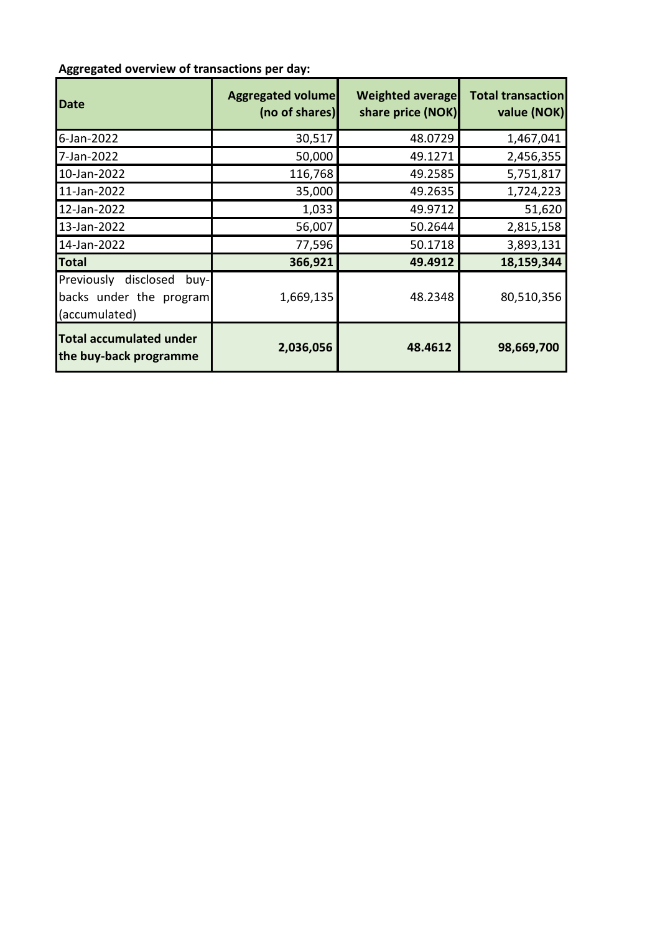## **Aggregated overview of transactions per day:**

| <b>Date</b>                                                              | <b>Aggregated volume</b><br>(no of shares) | <b>Weighted average</b><br>share price (NOK) | <b>Total transaction</b><br>value (NOK) |
|--------------------------------------------------------------------------|--------------------------------------------|----------------------------------------------|-----------------------------------------|
| 6-Jan-2022                                                               | 30,517                                     | 48.0729                                      | 1,467,041                               |
| 7-Jan-2022                                                               | 50,000                                     | 49.1271                                      | 2,456,355                               |
| 10-Jan-2022                                                              | 116,768                                    | 49.2585                                      | 5,751,817                               |
| 11-Jan-2022                                                              | 35,000                                     | 49.2635                                      | 1,724,223                               |
| 12-Jan-2022                                                              | 1,033                                      | 49.9712                                      | 51,620                                  |
| 13-Jan-2022                                                              | 56,007                                     | 50.2644                                      | 2,815,158                               |
| 14-Jan-2022                                                              | 77,596                                     | 50.1718                                      | 3,893,131                               |
| <b>Total</b>                                                             | 366,921                                    | 49.4912                                      | 18,159,344                              |
| Previously disclosed<br>buy-<br>backs under the program<br>(accumulated) | 1,669,135                                  | 48.2348                                      | 80,510,356                              |
| <b>Total accumulated under</b><br>the buy-back programme                 | 2,036,056                                  | 48.4612                                      | 98,669,700                              |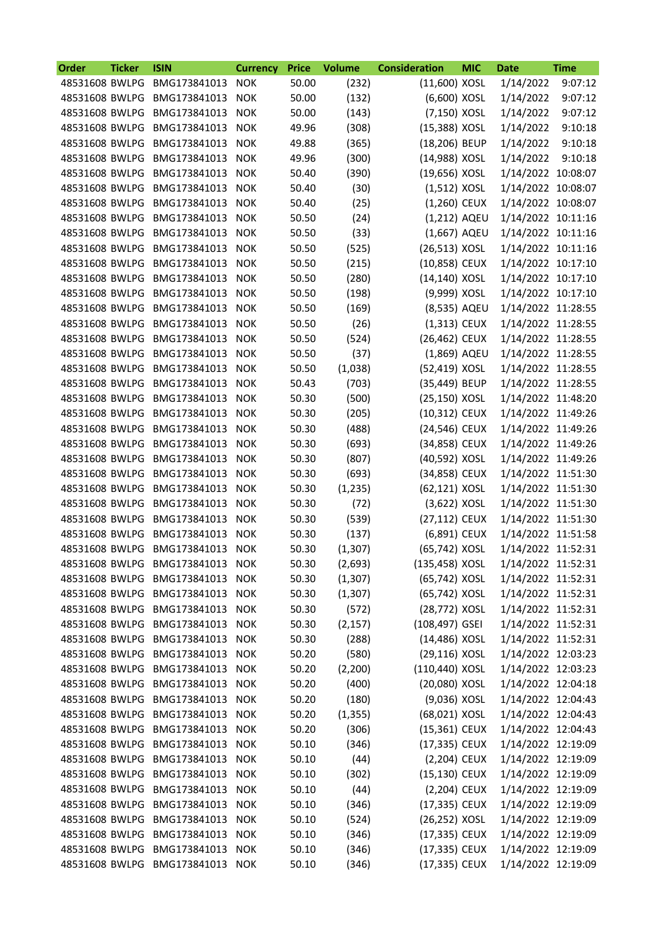| Order          | <b>Ticker</b> | <b>ISIN</b>                     | <b>Currency</b> | <b>Price</b> | <b>Volume</b> | <b>Consideration</b> | <b>MIC</b> | <b>Date</b>        | <b>Time</b> |
|----------------|---------------|---------------------------------|-----------------|--------------|---------------|----------------------|------------|--------------------|-------------|
| 48531608 BWLPG |               | BMG173841013                    | <b>NOK</b>      | 50.00        | (232)         | (11,600) XOSL        |            | 1/14/2022          | 9:07:12     |
| 48531608 BWLPG |               | BMG173841013                    | <b>NOK</b>      | 50.00        | (132)         | (6,600) XOSL         |            | 1/14/2022          | 9:07:12     |
| 48531608 BWLPG |               | BMG173841013                    | <b>NOK</b>      | 50.00        | (143)         | (7,150) XOSL         |            | 1/14/2022          | 9:07:12     |
| 48531608 BWLPG |               | BMG173841013                    | <b>NOK</b>      | 49.96        | (308)         | (15,388) XOSL        |            | 1/14/2022          | 9:10:18     |
| 48531608 BWLPG |               | BMG173841013                    | <b>NOK</b>      | 49.88        | (365)         | (18,206) BEUP        |            | 1/14/2022          | 9:10:18     |
| 48531608 BWLPG |               | BMG173841013                    | <b>NOK</b>      | 49.96        | (300)         | (14,988) XOSL        |            | 1/14/2022          | 9:10:18     |
| 48531608 BWLPG |               | BMG173841013                    | <b>NOK</b>      | 50.40        | (390)         | (19,656) XOSL        |            | 1/14/2022 10:08:07 |             |
| 48531608 BWLPG |               | BMG173841013                    | <b>NOK</b>      | 50.40        | (30)          | $(1,512)$ XOSL       |            | 1/14/2022 10:08:07 |             |
| 48531608 BWLPG |               | BMG173841013                    | <b>NOK</b>      | 50.40        | (25)          | $(1,260)$ CEUX       |            | 1/14/2022 10:08:07 |             |
| 48531608 BWLPG |               | BMG173841013                    | <b>NOK</b>      | 50.50        | (24)          | (1,212) AQEU         |            | 1/14/2022 10:11:16 |             |
| 48531608 BWLPG |               | BMG173841013                    | <b>NOK</b>      | 50.50        | (33)          | (1,667) AQEU         |            | 1/14/2022 10:11:16 |             |
| 48531608 BWLPG |               | BMG173841013                    | <b>NOK</b>      | 50.50        | (525)         | (26,513) XOSL        |            | 1/14/2022 10:11:16 |             |
| 48531608 BWLPG |               | BMG173841013                    | <b>NOK</b>      | 50.50        | (215)         | (10,858) CEUX        |            | 1/14/2022 10:17:10 |             |
| 48531608 BWLPG |               | BMG173841013                    | <b>NOK</b>      | 50.50        | (280)         | (14,140) XOSL        |            | 1/14/2022 10:17:10 |             |
| 48531608 BWLPG |               | BMG173841013                    | <b>NOK</b>      | 50.50        | (198)         | (9,999) XOSL         |            | 1/14/2022 10:17:10 |             |
| 48531608 BWLPG |               | BMG173841013                    | <b>NOK</b>      | 50.50        | (169)         | (8,535) AQEU         |            | 1/14/2022 11:28:55 |             |
| 48531608 BWLPG |               | BMG173841013                    | <b>NOK</b>      | 50.50        | (26)          | $(1,313)$ CEUX       |            | 1/14/2022 11:28:55 |             |
| 48531608 BWLPG |               | BMG173841013                    | <b>NOK</b>      | 50.50        | (524)         | (26,462) CEUX        |            | 1/14/2022 11:28:55 |             |
| 48531608 BWLPG |               | BMG173841013                    | <b>NOK</b>      | 50.50        | (37)          | (1,869) AQEU         |            | 1/14/2022 11:28:55 |             |
| 48531608 BWLPG |               | BMG173841013                    | <b>NOK</b>      | 50.50        | (1,038)       | (52,419) XOSL        |            | 1/14/2022 11:28:55 |             |
| 48531608 BWLPG |               | BMG173841013                    | <b>NOK</b>      | 50.43        | (703)         | (35,449) BEUP        |            | 1/14/2022 11:28:55 |             |
| 48531608 BWLPG |               | BMG173841013                    | <b>NOK</b>      | 50.30        | (500)         | (25,150) XOSL        |            | 1/14/2022 11:48:20 |             |
| 48531608 BWLPG |               | BMG173841013                    | <b>NOK</b>      | 50.30        | (205)         | (10,312) CEUX        |            | 1/14/2022 11:49:26 |             |
| 48531608 BWLPG |               | BMG173841013                    | <b>NOK</b>      | 50.30        | (488)         | (24,546) CEUX        |            | 1/14/2022 11:49:26 |             |
| 48531608 BWLPG |               | BMG173841013                    | <b>NOK</b>      | 50.30        | (693)         | (34,858) CEUX        |            | 1/14/2022 11:49:26 |             |
| 48531608 BWLPG |               | BMG173841013                    | <b>NOK</b>      | 50.30        | (807)         | (40,592) XOSL        |            | 1/14/2022 11:49:26 |             |
| 48531608 BWLPG |               | BMG173841013                    | <b>NOK</b>      | 50.30        | (693)         | (34,858) CEUX        |            | 1/14/2022 11:51:30 |             |
| 48531608 BWLPG |               | BMG173841013                    | <b>NOK</b>      | 50.30        | (1,235)       | (62,121) XOSL        |            | 1/14/2022 11:51:30 |             |
| 48531608 BWLPG |               | BMG173841013                    | <b>NOK</b>      | 50.30        | (72)          | (3,622) XOSL         |            | 1/14/2022 11:51:30 |             |
| 48531608 BWLPG |               | BMG173841013                    | <b>NOK</b>      | 50.30        | (539)         | (27,112) CEUX        |            | 1/14/2022 11:51:30 |             |
| 48531608 BWLPG |               | BMG173841013                    | <b>NOK</b>      | 50.30        | (137)         | (6,891) CEUX         |            | 1/14/2022 11:51:58 |             |
| 48531608 BWLPG |               | BMG173841013                    | <b>NOK</b>      | 50.30        | (1, 307)      | (65,742) XOSL        |            | 1/14/2022 11:52:31 |             |
| 48531608 BWLPG |               | BMG173841013                    | <b>NOK</b>      | 50.30        | (2,693)       | (135,458) XOSL       |            | 1/14/2022 11:52:31 |             |
| 48531608 BWLPG |               | BMG173841013                    | <b>NOK</b>      | 50.30        | (1, 307)      | (65,742) XOSL        |            | 1/14/2022 11:52:31 |             |
| 48531608 BWLPG |               | BMG173841013                    | <b>NOK</b>      | 50.30        | (1, 307)      | (65,742) XOSL        |            | 1/14/2022 11:52:31 |             |
| 48531608 BWLPG |               | BMG173841013                    | <b>NOK</b>      | 50.30        | (572)         | (28,772) XOSL        |            | 1/14/2022 11:52:31 |             |
| 48531608 BWLPG |               | BMG173841013                    | <b>NOK</b>      | 50.30        | (2, 157)      | (108,497) GSEI       |            | 1/14/2022 11:52:31 |             |
| 48531608 BWLPG |               | BMG173841013                    | <b>NOK</b>      | 50.30        | (288)         | (14,486) XOSL        |            | 1/14/2022 11:52:31 |             |
| 48531608 BWLPG |               | BMG173841013                    | <b>NOK</b>      | 50.20        | (580)         | (29,116) XOSL        |            | 1/14/2022 12:03:23 |             |
| 48531608 BWLPG |               | BMG173841013                    | <b>NOK</b>      | 50.20        | (2,200)       | (110,440) XOSL       |            | 1/14/2022 12:03:23 |             |
| 48531608 BWLPG |               | BMG173841013                    | <b>NOK</b>      | 50.20        | (400)         | (20,080) XOSL        |            | 1/14/2022 12:04:18 |             |
| 48531608 BWLPG |               | BMG173841013                    | <b>NOK</b>      | 50.20        | (180)         | (9,036) XOSL         |            | 1/14/2022 12:04:43 |             |
| 48531608 BWLPG |               | BMG173841013                    | <b>NOK</b>      | 50.20        | (1, 355)      | (68,021) XOSL        |            | 1/14/2022 12:04:43 |             |
| 48531608 BWLPG |               | BMG173841013                    | <b>NOK</b>      | 50.20        | (306)         | (15,361) CEUX        |            | 1/14/2022 12:04:43 |             |
| 48531608 BWLPG |               | BMG173841013                    | <b>NOK</b>      | 50.10        | (346)         | (17,335) CEUX        |            | 1/14/2022 12:19:09 |             |
| 48531608 BWLPG |               | BMG173841013                    | <b>NOK</b>      | 50.10        | (44)          | $(2,204)$ CEUX       |            | 1/14/2022 12:19:09 |             |
| 48531608 BWLPG |               | BMG173841013                    | <b>NOK</b>      | 50.10        | (302)         | (15,130) CEUX        |            | 1/14/2022 12:19:09 |             |
| 48531608 BWLPG |               | BMG173841013                    | <b>NOK</b>      | 50.10        | (44)          | (2,204) CEUX         |            | 1/14/2022 12:19:09 |             |
| 48531608 BWLPG |               | BMG173841013                    | <b>NOK</b>      | 50.10        | (346)         | (17,335) CEUX        |            | 1/14/2022 12:19:09 |             |
| 48531608 BWLPG |               | BMG173841013                    | <b>NOK</b>      | 50.10        | (524)         | (26,252) XOSL        |            | 1/14/2022 12:19:09 |             |
| 48531608 BWLPG |               | BMG173841013                    | <b>NOK</b>      | 50.10        | (346)         | (17,335) CEUX        |            | 1/14/2022 12:19:09 |             |
| 48531608 BWLPG |               | BMG173841013                    | <b>NOK</b>      | 50.10        | (346)         | (17,335) CEUX        |            | 1/14/2022 12:19:09 |             |
|                |               | 48531608 BWLPG BMG173841013 NOK |                 | 50.10        | (346)         | (17,335) CEUX        |            | 1/14/2022 12:19:09 |             |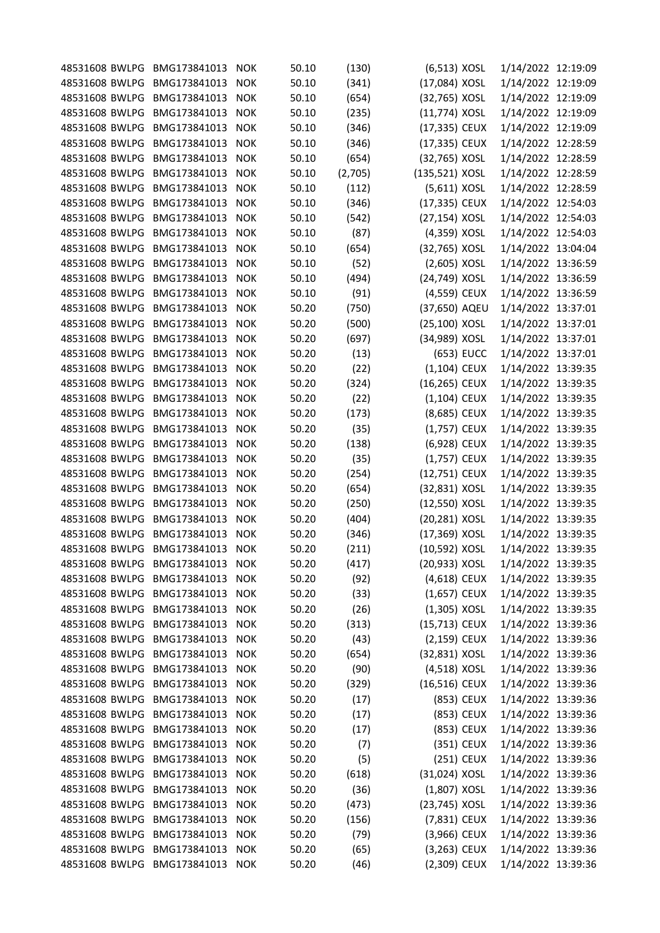| 48531608 BWLPG | BMG173841013     | <b>NOK</b> | 50.10 | (130)   | (6,513) XOSL   | 1/14/2022 12:19:09 |  |
|----------------|------------------|------------|-------|---------|----------------|--------------------|--|
| 48531608 BWLPG | BMG173841013     | <b>NOK</b> | 50.10 | (341)   | (17,084) XOSL  | 1/14/2022 12:19:09 |  |
| 48531608 BWLPG | BMG173841013     | <b>NOK</b> | 50.10 | (654)   | (32,765) XOSL  | 1/14/2022 12:19:09 |  |
| 48531608 BWLPG | BMG173841013     | <b>NOK</b> | 50.10 | (235)   | (11,774) XOSL  | 1/14/2022 12:19:09 |  |
| 48531608 BWLPG | BMG173841013     | <b>NOK</b> | 50.10 | (346)   | (17,335) CEUX  | 1/14/2022 12:19:09 |  |
| 48531608 BWLPG | BMG173841013     | <b>NOK</b> | 50.10 | (346)   | (17,335) CEUX  | 1/14/2022 12:28:59 |  |
| 48531608 BWLPG | BMG173841013     | <b>NOK</b> | 50.10 | (654)   | (32,765) XOSL  | 1/14/2022 12:28:59 |  |
| 48531608 BWLPG | BMG173841013     | <b>NOK</b> | 50.10 | (2,705) | (135,521) XOSL | 1/14/2022 12:28:59 |  |
| 48531608 BWLPG | BMG173841013     | <b>NOK</b> | 50.10 | (112)   | (5,611) XOSL   | 1/14/2022 12:28:59 |  |
| 48531608 BWLPG | BMG173841013     | <b>NOK</b> | 50.10 | (346)   | (17,335) CEUX  | 1/14/2022 12:54:03 |  |
| 48531608 BWLPG | BMG173841013     | <b>NOK</b> | 50.10 | (542)   | (27,154) XOSL  | 1/14/2022 12:54:03 |  |
| 48531608 BWLPG | BMG173841013     | <b>NOK</b> | 50.10 | (87)    | (4,359) XOSL   | 1/14/2022 12:54:03 |  |
| 48531608 BWLPG | BMG173841013     | <b>NOK</b> | 50.10 | (654)   | (32,765) XOSL  | 1/14/2022 13:04:04 |  |
| 48531608 BWLPG | BMG173841013     | <b>NOK</b> | 50.10 | (52)    | (2,605) XOSL   | 1/14/2022 13:36:59 |  |
| 48531608 BWLPG | BMG173841013     | <b>NOK</b> | 50.10 | (494)   | (24,749) XOSL  | 1/14/2022 13:36:59 |  |
| 48531608 BWLPG | BMG173841013     | <b>NOK</b> | 50.10 | (91)    | (4,559) CEUX   | 1/14/2022 13:36:59 |  |
| 48531608 BWLPG | BMG173841013     | <b>NOK</b> | 50.20 | (750)   | (37,650) AQEU  | 1/14/2022 13:37:01 |  |
| 48531608 BWLPG | BMG173841013     | <b>NOK</b> | 50.20 | (500)   | (25,100) XOSL  | 1/14/2022 13:37:01 |  |
| 48531608 BWLPG | BMG173841013     | <b>NOK</b> | 50.20 | (697)   | (34,989) XOSL  | 1/14/2022 13:37:01 |  |
| 48531608 BWLPG | BMG173841013     | <b>NOK</b> | 50.20 | (13)    | (653) EUCC     | 1/14/2022 13:37:01 |  |
| 48531608 BWLPG | BMG173841013     | <b>NOK</b> | 50.20 | (22)    | (1,104) CEUX   | 1/14/2022 13:39:35 |  |
| 48531608 BWLPG | BMG173841013     | <b>NOK</b> | 50.20 | (324)   | (16,265) CEUX  | 1/14/2022 13:39:35 |  |
| 48531608 BWLPG | BMG173841013     | <b>NOK</b> | 50.20 | (22)    | $(1,104)$ CEUX | 1/14/2022 13:39:35 |  |
| 48531608 BWLPG | BMG173841013     | <b>NOK</b> | 50.20 | (173)   | (8,685) CEUX   | 1/14/2022 13:39:35 |  |
| 48531608 BWLPG | BMG173841013     | <b>NOK</b> | 50.20 | (35)    | (1,757) CEUX   | 1/14/2022 13:39:35 |  |
| 48531608 BWLPG | BMG173841013     | <b>NOK</b> | 50.20 | (138)   | (6,928) CEUX   | 1/14/2022 13:39:35 |  |
| 48531608 BWLPG | BMG173841013     | <b>NOK</b> | 50.20 | (35)    | (1,757) CEUX   | 1/14/2022 13:39:35 |  |
| 48531608 BWLPG | BMG173841013     | <b>NOK</b> | 50.20 | (254)   | (12,751) CEUX  | 1/14/2022 13:39:35 |  |
| 48531608 BWLPG | BMG173841013     | <b>NOK</b> | 50.20 | (654)   | (32,831) XOSL  | 1/14/2022 13:39:35 |  |
| 48531608 BWLPG | BMG173841013     | <b>NOK</b> | 50.20 | (250)   | (12,550) XOSL  | 1/14/2022 13:39:35 |  |
| 48531608 BWLPG | BMG173841013     | <b>NOK</b> | 50.20 | (404)   | (20,281) XOSL  | 1/14/2022 13:39:35 |  |
| 48531608 BWLPG | BMG173841013     | <b>NOK</b> | 50.20 | (346)   | (17,369) XOSL  | 1/14/2022 13:39:35 |  |
| 48531608 BWLPG | BMG173841013     | <b>NOK</b> | 50.20 | (211)   | (10,592) XOSL  | 1/14/2022 13:39:35 |  |
| 48531608 BWLPG | BMG173841013     | <b>NOK</b> | 50.20 | (417)   | (20,933) XOSL  | 1/14/2022 13:39:35 |  |
| 48531608 BWLPG | BMG173841013     | <b>NOK</b> | 50.20 | (92)    | (4,618) CEUX   | 1/14/2022 13:39:35 |  |
| 48531608 BWLPG | BMG173841013     | <b>NOK</b> | 50.20 | (33)    | $(1,657)$ CEUX | 1/14/2022 13:39:35 |  |
| 48531608 BWLPG | BMG173841013     | <b>NOK</b> | 50.20 | (26)    | $(1,305)$ XOSL | 1/14/2022 13:39:35 |  |
| 48531608 BWLPG | BMG173841013     | <b>NOK</b> | 50.20 | (313)   | (15,713) CEUX  | 1/14/2022 13:39:36 |  |
| 48531608 BWLPG | BMG173841013     | <b>NOK</b> | 50.20 | (43)    | (2,159) CEUX   | 1/14/2022 13:39:36 |  |
| 48531608 BWLPG | BMG173841013     | <b>NOK</b> | 50.20 | (654)   | (32,831) XOSL  | 1/14/2022 13:39:36 |  |
| 48531608 BWLPG | BMG173841013     | <b>NOK</b> | 50.20 | (90)    | (4,518) XOSL   | 1/14/2022 13:39:36 |  |
| 48531608 BWLPG | BMG173841013     | <b>NOK</b> | 50.20 | (329)   | (16,516) CEUX  | 1/14/2022 13:39:36 |  |
| 48531608 BWLPG | BMG173841013     | <b>NOK</b> | 50.20 | (17)    | (853) CEUX     | 1/14/2022 13:39:36 |  |
| 48531608 BWLPG | BMG173841013     | <b>NOK</b> | 50.20 | (17)    | (853) CEUX     | 1/14/2022 13:39:36 |  |
| 48531608 BWLPG | BMG173841013     | <b>NOK</b> | 50.20 | (17)    | (853) CEUX     | 1/14/2022 13:39:36 |  |
| 48531608 BWLPG | BMG173841013     | <b>NOK</b> | 50.20 | (7)     | (351) CEUX     | 1/14/2022 13:39:36 |  |
| 48531608 BWLPG | BMG173841013     | <b>NOK</b> | 50.20 | (5)     | (251) CEUX     | 1/14/2022 13:39:36 |  |
| 48531608 BWLPG | BMG173841013     | <b>NOK</b> | 50.20 | (618)   | (31,024) XOSL  | 1/14/2022 13:39:36 |  |
| 48531608 BWLPG | BMG173841013     | <b>NOK</b> | 50.20 | (36)    | $(1,807)$ XOSL | 1/14/2022 13:39:36 |  |
| 48531608 BWLPG | BMG173841013     | <b>NOK</b> | 50.20 | (473)   | (23,745) XOSL  | 1/14/2022 13:39:36 |  |
| 48531608 BWLPG | BMG173841013     | <b>NOK</b> | 50.20 | (156)   | (7,831) CEUX   | 1/14/2022 13:39:36 |  |
| 48531608 BWLPG | BMG173841013     | <b>NOK</b> | 50.20 | (79)    | (3,966) CEUX   | 1/14/2022 13:39:36 |  |
| 48531608 BWLPG | BMG173841013     | <b>NOK</b> | 50.20 | (65)    | $(3,263)$ CEUX | 1/14/2022 13:39:36 |  |
| 48531608 BWLPG | BMG173841013 NOK |            | 50.20 | (46)    | (2,309) CEUX   | 1/14/2022 13:39:36 |  |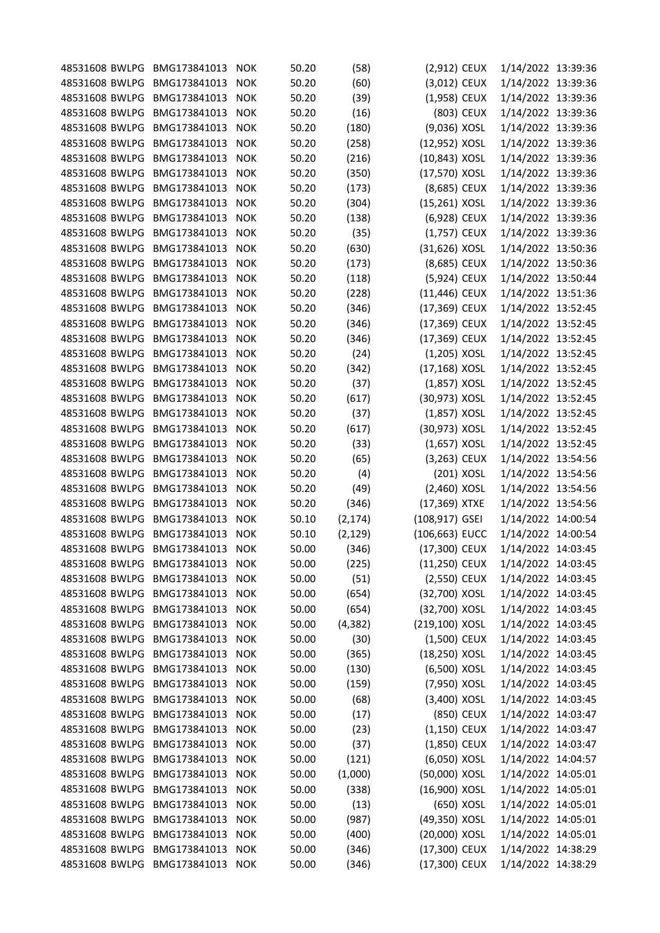| 48531608 BWLPG BMG173841013 |                  | <b>NOK</b> | 50.20 | (58)     | (2,912) CEUX   |            | 1/14/2022 13:39:36 |  |
|-----------------------------|------------------|------------|-------|----------|----------------|------------|--------------------|--|
| 48531608 BWLPG              | BMG173841013     | <b>NOK</b> | 50.20 | (60)     | (3,012) CEUX   |            | 1/14/2022 13:39:36 |  |
| 48531608 BWLPG              | BMG173841013     | <b>NOK</b> | 50.20 | (39)     | (1,958) CEUX   |            | 1/14/2022 13:39:36 |  |
| 48531608 BWLPG              | BMG173841013     | <b>NOK</b> | 50.20 | (16)     |                | (803) CEUX | 1/14/2022 13:39:36 |  |
| 48531608 BWLPG              | BMG173841013     | <b>NOK</b> | 50.20 | (180)    | (9,036) XOSL   |            | 1/14/2022 13:39:36 |  |
| 48531608 BWLPG              | BMG173841013     | <b>NOK</b> | 50.20 | (258)    | (12,952) XOSL  |            | 1/14/2022 13:39:36 |  |
| 48531608 BWLPG              | BMG173841013     | <b>NOK</b> | 50.20 | (216)    | (10,843) XOSL  |            | 1/14/2022 13:39:36 |  |
| 48531608 BWLPG              | BMG173841013     | <b>NOK</b> | 50.20 | (350)    | (17,570) XOSL  |            | 1/14/2022 13:39:36 |  |
| 48531608 BWLPG              | BMG173841013     | <b>NOK</b> | 50.20 | (173)    | (8,685) CEUX   |            | 1/14/2022 13:39:36 |  |
| 48531608 BWLPG              | BMG173841013     | <b>NOK</b> | 50.20 | (304)    | (15,261) XOSL  |            | 1/14/2022 13:39:36 |  |
| 48531608 BWLPG              | BMG173841013     | <b>NOK</b> | 50.20 | (138)    | (6,928) CEUX   |            | 1/14/2022 13:39:36 |  |
| 48531608 BWLPG              | BMG173841013     | <b>NOK</b> | 50.20 | (35)     | (1,757) CEUX   |            | 1/14/2022 13:39:36 |  |
| 48531608 BWLPG              | BMG173841013     | <b>NOK</b> | 50.20 | (630)    | (31,626) XOSL  |            | 1/14/2022 13:50:36 |  |
| 48531608 BWLPG              | BMG173841013     | <b>NOK</b> | 50.20 | (173)    | (8,685) CEUX   |            | 1/14/2022 13:50:36 |  |
| 48531608 BWLPG              | BMG173841013     | <b>NOK</b> | 50.20 | (118)    | (5,924) CEUX   |            | 1/14/2022 13:50:44 |  |
| 48531608 BWLPG              | BMG173841013     | <b>NOK</b> | 50.20 | (228)    | (11,446) CEUX  |            | 1/14/2022 13:51:36 |  |
| 48531608 BWLPG              | BMG173841013     | <b>NOK</b> | 50.20 | (346)    | (17,369) CEUX  |            | 1/14/2022 13:52:45 |  |
| 48531608 BWLPG              | BMG173841013     | <b>NOK</b> | 50.20 | (346)    | (17,369) CEUX  |            | 1/14/2022 13:52:45 |  |
| 48531608 BWLPG              | BMG173841013     | <b>NOK</b> | 50.20 | (346)    | (17,369) CEUX  |            | 1/14/2022 13:52:45 |  |
| 48531608 BWLPG              | BMG173841013     | <b>NOK</b> | 50.20 | (24)     | $(1,205)$ XOSL |            | 1/14/2022 13:52:45 |  |
| 48531608 BWLPG              | BMG173841013     | <b>NOK</b> | 50.20 | (342)    | (17,168) XOSL  |            | 1/14/2022 13:52:45 |  |
| 48531608 BWLPG              | BMG173841013     | <b>NOK</b> | 50.20 | (37)     | (1,857) XOSL   |            | 1/14/2022 13:52:45 |  |
| 48531608 BWLPG              | BMG173841013     | <b>NOK</b> | 50.20 | (617)    | (30,973) XOSL  |            | 1/14/2022 13:52:45 |  |
| 48531608 BWLPG              | BMG173841013     | <b>NOK</b> | 50.20 | (37)     | $(1,857)$ XOSL |            | 1/14/2022 13:52:45 |  |
| 48531608 BWLPG              | BMG173841013     | <b>NOK</b> | 50.20 | (617)    | (30,973) XOSL  |            | 1/14/2022 13:52:45 |  |
| 48531608 BWLPG              | BMG173841013     | <b>NOK</b> | 50.20 | (33)     | $(1,657)$ XOSL |            | 1/14/2022 13:52:45 |  |
| 48531608 BWLPG              | BMG173841013     | <b>NOK</b> | 50.20 | (65)     | (3,263) CEUX   |            | 1/14/2022 13:54:56 |  |
| 48531608 BWLPG              | BMG173841013     | <b>NOK</b> | 50.20 | (4)      | (201) XOSL     |            | 1/14/2022 13:54:56 |  |
| 48531608 BWLPG              | BMG173841013     | <b>NOK</b> | 50.20 | (49)     | (2,460) XOSL   |            | 1/14/2022 13:54:56 |  |
| 48531608 BWLPG              | BMG173841013     | <b>NOK</b> | 50.20 | (346)    | (17,369) XTXE  |            | 1/14/2022 13:54:56 |  |
| 48531608 BWLPG              | BMG173841013     | <b>NOK</b> | 50.10 | (2, 174) | (108,917) GSEI |            | 1/14/2022 14:00:54 |  |
| 48531608 BWLPG              | BMG173841013     | <b>NOK</b> | 50.10 | (2, 129) | (106,663) EUCC |            | 1/14/2022 14:00:54 |  |
| 48531608 BWLPG              | BMG173841013     | <b>NOK</b> | 50.00 | (346)    | (17,300) CEUX  |            | 1/14/2022 14:03:45 |  |
| 48531608 BWLPG              | BMG173841013     | <b>NOK</b> | 50.00 | (225)    | (11,250) CEUX  |            | 1/14/2022 14:03:45 |  |
| 48531608 BWLPG              | BMG173841013     | <b>NOK</b> | 50.00 | (51)     | (2,550) CEUX   |            | 1/14/2022 14:03:45 |  |
| 48531608 BWLPG              | BMG173841013     | <b>NOK</b> | 50.00 | (654)    | (32,700) XOSL  |            | 1/14/2022 14:03:45 |  |
| 48531608 BWLPG              | BMG173841013     | <b>NOK</b> | 50.00 | (654)    | (32,700) XOSL  |            | 1/14/2022 14:03:45 |  |
| 48531608 BWLPG              | BMG173841013     | <b>NOK</b> | 50.00 | (4, 382) | (219,100) XOSL |            | 1/14/2022 14:03:45 |  |
| 48531608 BWLPG              | BMG173841013     | <b>NOK</b> | 50.00 | (30)     | (1,500) CEUX   |            | 1/14/2022 14:03:45 |  |
| 48531608 BWLPG              | BMG173841013     | <b>NOK</b> | 50.00 | (365)    | (18,250) XOSL  |            | 1/14/2022 14:03:45 |  |
| 48531608 BWLPG              | BMG173841013     | <b>NOK</b> | 50.00 | (130)    | (6,500) XOSL   |            | 1/14/2022 14:03:45 |  |
| 48531608 BWLPG              | BMG173841013     | <b>NOK</b> | 50.00 | (159)    | (7,950) XOSL   |            | 1/14/2022 14:03:45 |  |
| 48531608 BWLPG              | BMG173841013     | <b>NOK</b> | 50.00 |          | (3,400) XOSL   |            | 1/14/2022 14:03:45 |  |
|                             |                  |            |       | (68)     |                |            |                    |  |
| 48531608 BWLPG              | BMG173841013     | <b>NOK</b> | 50.00 | (17)     | (850) CEUX     |            | 1/14/2022 14:03:47 |  |
| 48531608 BWLPG              | BMG173841013     | <b>NOK</b> | 50.00 | (23)     | (1,150) CEUX   |            | 1/14/2022 14:03:47 |  |
| 48531608 BWLPG              | BMG173841013     | <b>NOK</b> | 50.00 | (37)     | $(1,850)$ CEUX |            | 1/14/2022 14:03:47 |  |
| 48531608 BWLPG              | BMG173841013     | <b>NOK</b> | 50.00 | (121)    | (6,050) XOSL   |            | 1/14/2022 14:04:57 |  |
| 48531608 BWLPG              | BMG173841013     | <b>NOK</b> | 50.00 | (1,000)  | (50,000) XOSL  |            | 1/14/2022 14:05:01 |  |
| 48531608 BWLPG              | BMG173841013     | <b>NOK</b> | 50.00 | (338)    | (16,900) XOSL  |            | 1/14/2022 14:05:01 |  |
| 48531608 BWLPG              | BMG173841013     | <b>NOK</b> | 50.00 | (13)     | (650) XOSL     |            | 1/14/2022 14:05:01 |  |
| 48531608 BWLPG              | BMG173841013     | <b>NOK</b> | 50.00 | (987)    | (49,350) XOSL  |            | 1/14/2022 14:05:01 |  |
| 48531608 BWLPG              | BMG173841013     | <b>NOK</b> | 50.00 | (400)    | (20,000) XOSL  |            | 1/14/2022 14:05:01 |  |
| 48531608 BWLPG              | BMG173841013     | <b>NOK</b> | 50.00 | (346)    | (17,300) CEUX  |            | 1/14/2022 14:38:29 |  |
| 48531608 BWLPG              | BMG173841013 NOK |            | 50.00 | (346)    | (17,300) CEUX  |            | 1/14/2022 14:38:29 |  |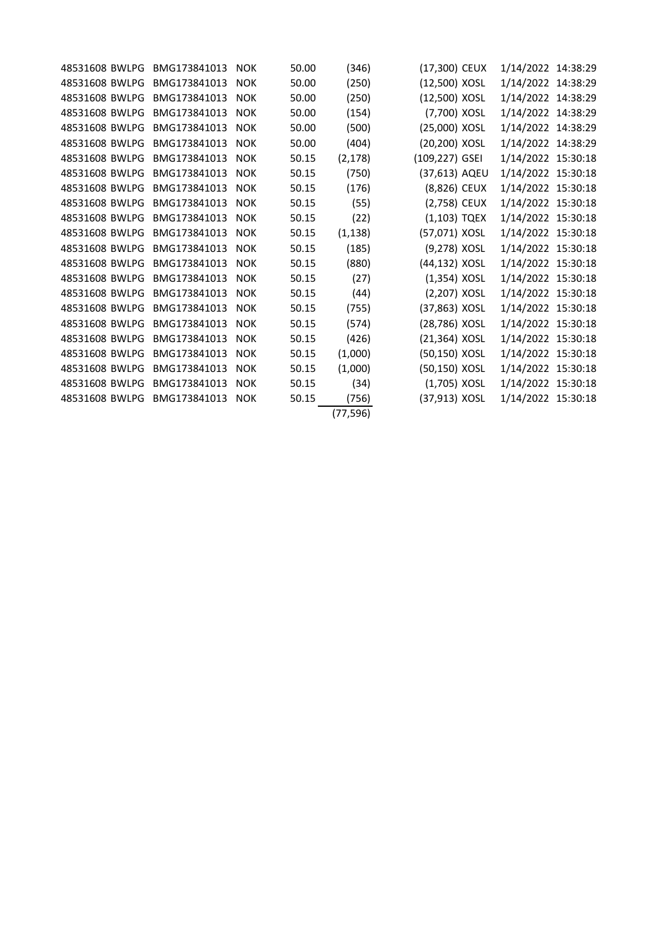| 48531608 BWLPG | BMG173841013 | <b>NOK</b> | 50.00 | (346)     | (17,300) CEUX  | 1/14/2022 14:38:29 |  |
|----------------|--------------|------------|-------|-----------|----------------|--------------------|--|
| 48531608 BWLPG | BMG173841013 | <b>NOK</b> | 50.00 | (250)     | (12,500) XOSL  | 1/14/2022 14:38:29 |  |
| 48531608 BWLPG | BMG173841013 | <b>NOK</b> | 50.00 | (250)     | (12,500) XOSL  | 1/14/2022 14:38:29 |  |
| 48531608 BWLPG | BMG173841013 | <b>NOK</b> | 50.00 | (154)     | (7,700) XOSL   | 1/14/2022 14:38:29 |  |
| 48531608 BWLPG | BMG173841013 | <b>NOK</b> | 50.00 | (500)     | (25,000) XOSL  | 1/14/2022 14:38:29 |  |
| 48531608 BWLPG | BMG173841013 | <b>NOK</b> | 50.00 | (404)     | (20,200) XOSL  | 1/14/2022 14:38:29 |  |
| 48531608 BWLPG | BMG173841013 | <b>NOK</b> | 50.15 | (2, 178)  | (109,227) GSEI | 1/14/2022 15:30:18 |  |
| 48531608 BWLPG | BMG173841013 | <b>NOK</b> | 50.15 | (750)     | (37,613) AQEU  | 1/14/2022 15:30:18 |  |
| 48531608 BWLPG | BMG173841013 | <b>NOK</b> | 50.15 | (176)     | (8,826) CEUX   | 1/14/2022 15:30:18 |  |
| 48531608 BWLPG | BMG173841013 | <b>NOK</b> | 50.15 | (55)      | (2,758) CEUX   | 1/14/2022 15:30:18 |  |
| 48531608 BWLPG | BMG173841013 | <b>NOK</b> | 50.15 | (22)      | $(1,103)$ TQEX | 1/14/2022 15:30:18 |  |
| 48531608 BWLPG | BMG173841013 | <b>NOK</b> | 50.15 | (1, 138)  | (57,071) XOSL  | 1/14/2022 15:30:18 |  |
| 48531608 BWLPG | BMG173841013 | <b>NOK</b> | 50.15 | (185)     | (9,278) XOSL   | 1/14/2022 15:30:18 |  |
| 48531608 BWLPG | BMG173841013 | <b>NOK</b> | 50.15 | (880)     | (44,132) XOSL  | 1/14/2022 15:30:18 |  |
| 48531608 BWLPG | BMG173841013 | <b>NOK</b> | 50.15 | (27)      | $(1,354)$ XOSL | 1/14/2022 15:30:18 |  |
| 48531608 BWLPG | BMG173841013 | <b>NOK</b> | 50.15 | (44)      | (2,207) XOSL   | 1/14/2022 15:30:18 |  |
| 48531608 BWLPG | BMG173841013 | <b>NOK</b> | 50.15 | (755)     | (37,863) XOSL  | 1/14/2022 15:30:18 |  |
| 48531608 BWLPG | BMG173841013 | <b>NOK</b> | 50.15 | (574)     | (28,786) XOSL  | 1/14/2022 15:30:18 |  |
| 48531608 BWLPG | BMG173841013 | <b>NOK</b> | 50.15 | (426)     | (21,364) XOSL  | 1/14/2022 15:30:18 |  |
| 48531608 BWLPG | BMG173841013 | <b>NOK</b> | 50.15 | (1,000)   | (50,150) XOSL  | 1/14/2022 15:30:18 |  |
| 48531608 BWLPG | BMG173841013 | <b>NOK</b> | 50.15 | (1,000)   | (50,150) XOSL  | 1/14/2022 15:30:18 |  |
| 48531608 BWLPG | BMG173841013 | <b>NOK</b> | 50.15 | (34)      | $(1,705)$ XOSL | 1/14/2022 15:30:18 |  |
| 48531608 BWLPG | BMG173841013 | <b>NOK</b> | 50.15 | (756)     | (37,913) XOSL  | 1/14/2022 15:30:18 |  |
|                |              |            |       | (77, 596) |                |                    |  |
|                |              |            |       |           |                |                    |  |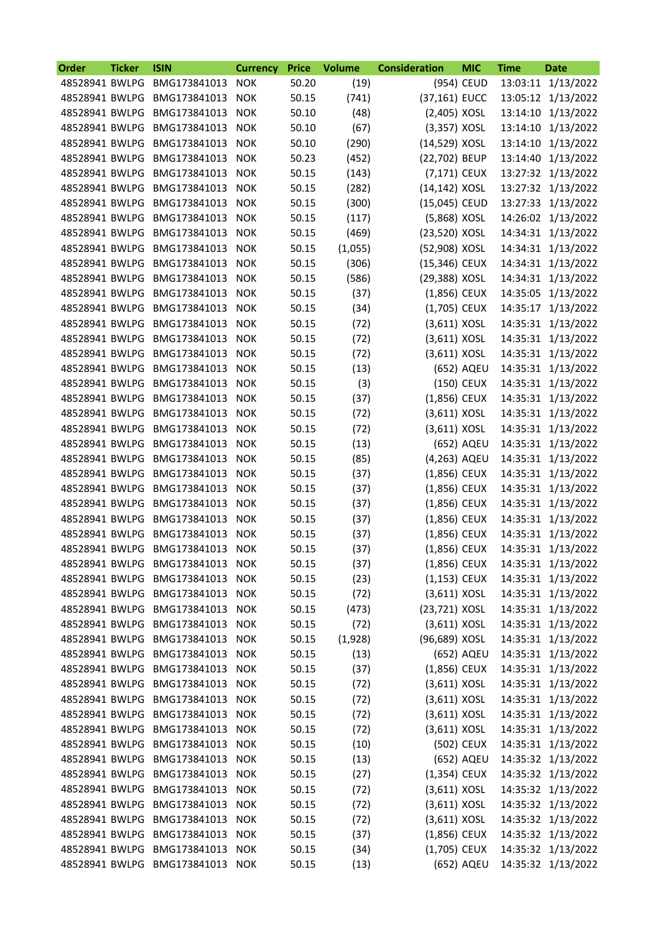| <b>Order</b>   | <b>Ticker</b> | <b>ISIN</b>                     | <b>Currency</b> | <b>Price</b> | <b>Volume</b> | <b>Consideration</b> | <b>MIC</b> | <b>Time</b> | <b>Date</b>        |
|----------------|---------------|---------------------------------|-----------------|--------------|---------------|----------------------|------------|-------------|--------------------|
| 48528941 BWLPG |               | BMG173841013                    | <b>NOK</b>      | 50.20        | (19)          |                      | (954) CEUD | 13:03:11    | 1/13/2022          |
| 48528941 BWLPG |               | BMG173841013                    | <b>NOK</b>      | 50.15        | (741)         | (37,161) EUCC        |            | 13:05:12    | 1/13/2022          |
| 48528941 BWLPG |               | BMG173841013                    | <b>NOK</b>      | 50.10        | (48)          | (2,405) XOSL         |            | 13:14:10    | 1/13/2022          |
| 48528941 BWLPG |               | BMG173841013                    | <b>NOK</b>      | 50.10        | (67)          | (3,357) XOSL         |            | 13:14:10    | 1/13/2022          |
| 48528941 BWLPG |               | BMG173841013                    | <b>NOK</b>      | 50.10        | (290)         | (14,529) XOSL        |            | 13:14:10    | 1/13/2022          |
| 48528941 BWLPG |               | BMG173841013                    | <b>NOK</b>      | 50.23        | (452)         | (22,702) BEUP        |            | 13:14:40    | 1/13/2022          |
| 48528941 BWLPG |               | BMG173841013                    | <b>NOK</b>      | 50.15        | (143)         | (7,171) CEUX         |            | 13:27:32    | 1/13/2022          |
| 48528941 BWLPG |               | BMG173841013                    | <b>NOK</b>      | 50.15        | (282)         | (14,142) XOSL        |            | 13:27:32    | 1/13/2022          |
| 48528941 BWLPG |               | BMG173841013                    | <b>NOK</b>      | 50.15        | (300)         | (15,045) CEUD        |            | 13:27:33    | 1/13/2022          |
| 48528941 BWLPG |               | BMG173841013                    | <b>NOK</b>      | 50.15        | (117)         | (5,868) XOSL         |            | 14:26:02    | 1/13/2022          |
| 48528941 BWLPG |               | BMG173841013                    | <b>NOK</b>      | 50.15        | (469)         | (23,520) XOSL        |            |             | 14:34:31 1/13/2022 |
| 48528941 BWLPG |               | BMG173841013                    | <b>NOK</b>      | 50.15        | (1,055)       | (52,908) XOSL        |            |             | 14:34:31 1/13/2022 |
| 48528941 BWLPG |               | BMG173841013                    | <b>NOK</b>      | 50.15        | (306)         | (15,346) CEUX        |            | 14:34:31    | 1/13/2022          |
| 48528941 BWLPG |               | BMG173841013                    | <b>NOK</b>      | 50.15        | (586)         | (29,388) XOSL        |            | 14:34:31    | 1/13/2022          |
| 48528941 BWLPG |               | BMG173841013                    | <b>NOK</b>      | 50.15        | (37)          | (1,856) CEUX         |            | 14:35:05    | 1/13/2022          |
| 48528941 BWLPG |               | BMG173841013                    | <b>NOK</b>      | 50.15        | (34)          | (1,705) CEUX         |            | 14:35:17    | 1/13/2022          |
| 48528941 BWLPG |               | BMG173841013                    | <b>NOK</b>      | 50.15        | (72)          | $(3,611)$ XOSL       |            | 14:35:31    | 1/13/2022          |
| 48528941 BWLPG |               | BMG173841013                    | <b>NOK</b>      | 50.15        | (72)          | $(3,611)$ XOSL       |            | 14:35:31    | 1/13/2022          |
| 48528941 BWLPG |               | BMG173841013                    | <b>NOK</b>      | 50.15        | (72)          | $(3,611)$ XOSL       |            | 14:35:31    | 1/13/2022          |
| 48528941 BWLPG |               | BMG173841013                    | <b>NOK</b>      | 50.15        | (13)          |                      | (652) AQEU | 14:35:31    | 1/13/2022          |
| 48528941 BWLPG |               | BMG173841013                    | <b>NOK</b>      | 50.15        | (3)           |                      | (150) CEUX | 14:35:31    | 1/13/2022          |
| 48528941 BWLPG |               | BMG173841013                    | <b>NOK</b>      | 50.15        | (37)          | (1,856) CEUX         |            |             | 14:35:31 1/13/2022 |
| 48528941 BWLPG |               | BMG173841013                    | <b>NOK</b>      | 50.15        | (72)          | $(3,611)$ XOSL       |            |             | 14:35:31 1/13/2022 |
| 48528941 BWLPG |               | BMG173841013                    | <b>NOK</b>      | 50.15        | (72)          | $(3,611)$ XOSL       |            | 14:35:31    | 1/13/2022          |
| 48528941 BWLPG |               | BMG173841013                    | <b>NOK</b>      | 50.15        | (13)          |                      | (652) AQEU | 14:35:31    | 1/13/2022          |
| 48528941 BWLPG |               | BMG173841013                    | <b>NOK</b>      | 50.15        | (85)          | (4,263) AQEU         |            |             | 14:35:31 1/13/2022 |
| 48528941 BWLPG |               | BMG173841013                    | <b>NOK</b>      | 50.15        | (37)          | (1,856) CEUX         |            | 14:35:31    | 1/13/2022          |
| 48528941 BWLPG |               | BMG173841013                    | <b>NOK</b>      | 50.15        | (37)          | (1,856) CEUX         |            | 14:35:31    | 1/13/2022          |
| 48528941 BWLPG |               | BMG173841013                    | <b>NOK</b>      | 50.15        | (37)          | (1,856) CEUX         |            | 14:35:31    | 1/13/2022          |
| 48528941 BWLPG |               | BMG173841013                    | <b>NOK</b>      | 50.15        | (37)          | (1,856) CEUX         |            |             | 14:35:31 1/13/2022 |
| 48528941 BWLPG |               | BMG173841013                    | <b>NOK</b>      | 50.15        | (37)          | (1,856) CEUX         |            | 14:35:31    | 1/13/2022          |
| 48528941 BWLPG |               | BMG173841013                    | <b>NOK</b>      | 50.15        | (37)          | (1,856) CEUX         |            |             | 14:35:31 1/13/2022 |
| 48528941 BWLPG |               | BMG173841013                    | <b>NOK</b>      | 50.15        | (37)          | (1,856) CEUX         |            |             | 14:35:31 1/13/2022 |
| 48528941 BWLPG |               | BMG173841013                    | <b>NOK</b>      | 50.15        | (23)          | $(1,153)$ CEUX       |            |             | 14:35:31 1/13/2022 |
| 48528941 BWLPG |               | BMG173841013                    | <b>NOK</b>      | 50.15        | (72)          | $(3,611)$ XOSL       |            |             | 14:35:31 1/13/2022 |
| 48528941 BWLPG |               | BMG173841013                    | <b>NOK</b>      | 50.15        | (473)         | (23,721) XOSL        |            |             | 14:35:31 1/13/2022 |
| 48528941 BWLPG |               | BMG173841013                    | <b>NOK</b>      | 50.15        | (72)          | $(3,611)$ XOSL       |            |             | 14:35:31 1/13/2022 |
| 48528941 BWLPG |               | BMG173841013                    | <b>NOK</b>      | 50.15        | (1,928)       | (96,689) XOSL        |            |             | 14:35:31 1/13/2022 |
| 48528941 BWLPG |               | BMG173841013                    | <b>NOK</b>      | 50.15        | (13)          |                      | (652) AQEU |             | 14:35:31 1/13/2022 |
| 48528941 BWLPG |               | BMG173841013                    | <b>NOK</b>      | 50.15        | (37)          | (1,856) CEUX         |            |             | 14:35:31 1/13/2022 |
| 48528941 BWLPG |               | BMG173841013                    | <b>NOK</b>      | 50.15        | (72)          | $(3,611)$ XOSL       |            |             | 14:35:31 1/13/2022 |
| 48528941 BWLPG |               | BMG173841013                    | <b>NOK</b>      | 50.15        | (72)          | $(3,611)$ XOSL       |            |             | 14:35:31 1/13/2022 |
| 48528941 BWLPG |               | BMG173841013                    | <b>NOK</b>      | 50.15        | (72)          | $(3,611)$ XOSL       |            |             | 14:35:31 1/13/2022 |
| 48528941 BWLPG |               | BMG173841013                    | <b>NOK</b>      | 50.15        | (72)          | $(3,611)$ XOSL       |            |             | 14:35:31 1/13/2022 |
| 48528941 BWLPG |               | BMG173841013                    | <b>NOK</b>      | 50.15        | (10)          |                      | (502) CEUX |             | 14:35:31 1/13/2022 |
| 48528941 BWLPG |               | BMG173841013                    | <b>NOK</b>      | 50.15        | (13)          |                      | (652) AQEU |             | 14:35:32 1/13/2022 |
| 48528941 BWLPG |               | BMG173841013                    | <b>NOK</b>      | 50.15        | (27)          | (1,354) CEUX         |            |             | 14:35:32 1/13/2022 |
| 48528941 BWLPG |               | BMG173841013                    | <b>NOK</b>      | 50.15        | (72)          | $(3,611)$ XOSL       |            |             | 14:35:32 1/13/2022 |
| 48528941 BWLPG |               | BMG173841013                    | <b>NOK</b>      | 50.15        | (72)          | $(3,611)$ XOSL       |            |             | 14:35:32 1/13/2022 |
| 48528941 BWLPG |               | BMG173841013                    | <b>NOK</b>      | 50.15        | (72)          | $(3,611)$ XOSL       |            |             | 14:35:32 1/13/2022 |
| 48528941 BWLPG |               | BMG173841013                    | <b>NOK</b>      | 50.15        | (37)          | (1,856) CEUX         |            |             | 14:35:32 1/13/2022 |
| 48528941 BWLPG |               | BMG173841013                    | <b>NOK</b>      | 50.15        | (34)          | $(1,705)$ CEUX       |            |             | 14:35:32 1/13/2022 |
|                |               | 48528941 BWLPG BMG173841013 NOK |                 | 50.15        | (13)          |                      | (652) AQEU |             | 14:35:32 1/13/2022 |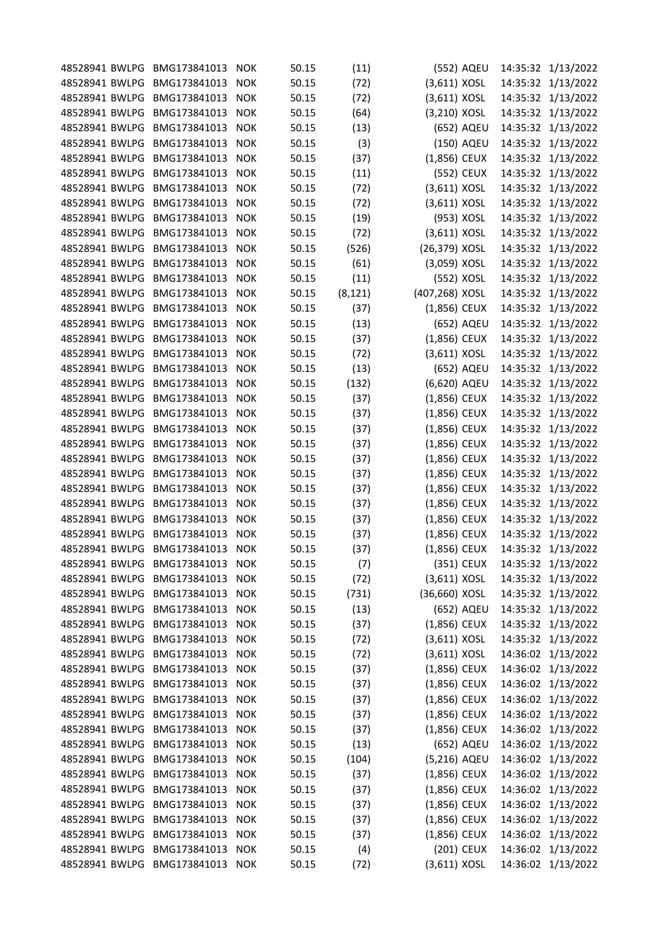| 48528941 BWLPG | BMG173841013     | <b>NOK</b> | 50.15 | (11)     | (552) AQEU     |          | 14:35:32 1/13/2022 |
|----------------|------------------|------------|-------|----------|----------------|----------|--------------------|
| 48528941 BWLPG | BMG173841013     | <b>NOK</b> | 50.15 | (72)     | $(3,611)$ XOSL | 14:35:32 | 1/13/2022          |
| 48528941 BWLPG | BMG173841013     | <b>NOK</b> | 50.15 | (72)     | $(3,611)$ XOSL |          | 14:35:32 1/13/2022 |
| 48528941 BWLPG | BMG173841013     | <b>NOK</b> | 50.15 | (64)     | (3,210) XOSL   |          | 14:35:32 1/13/2022 |
| 48528941 BWLPG | BMG173841013     | <b>NOK</b> | 50.15 | (13)     | (652) AQEU     |          | 14:35:32 1/13/2022 |
| 48528941 BWLPG | BMG173841013     | <b>NOK</b> | 50.15 | (3)      | (150) AQEU     |          | 14:35:32 1/13/2022 |
| 48528941 BWLPG | BMG173841013     | <b>NOK</b> | 50.15 | (37)     | (1,856) CEUX   |          | 14:35:32 1/13/2022 |
| 48528941 BWLPG | BMG173841013     | <b>NOK</b> | 50.15 | (11)     | (552) CEUX     |          | 14:35:32 1/13/2022 |
| 48528941 BWLPG | BMG173841013     | <b>NOK</b> | 50.15 | (72)     | $(3,611)$ XOSL | 14:35:32 | 1/13/2022          |
| 48528941 BWLPG | BMG173841013     | <b>NOK</b> | 50.15 | (72)     | $(3,611)$ XOSL | 14:35:32 | 1/13/2022          |
| 48528941 BWLPG | BMG173841013     | <b>NOK</b> | 50.15 | (19)     | (953) XOSL     |          | 14:35:32 1/13/2022 |
| 48528941 BWLPG | BMG173841013     | <b>NOK</b> | 50.15 | (72)     | $(3,611)$ XOSL |          | 14:35:32 1/13/2022 |
| 48528941 BWLPG | BMG173841013     | <b>NOK</b> | 50.15 | (526)    | (26,379) XOSL  |          | 14:35:32 1/13/2022 |
| 48528941 BWLPG | BMG173841013     | <b>NOK</b> | 50.15 | (61)     | (3,059) XOSL   |          | 14:35:32 1/13/2022 |
| 48528941 BWLPG | BMG173841013     | <b>NOK</b> | 50.15 | (11)     | (552) XOSL     |          | 14:35:32 1/13/2022 |
| 48528941 BWLPG | BMG173841013     | <b>NOK</b> | 50.15 | (8, 121) | (407,268) XOSL |          | 14:35:32 1/13/2022 |
| 48528941 BWLPG | BMG173841013     | <b>NOK</b> | 50.15 | (37)     | (1,856) CEUX   |          | 14:35:32 1/13/2022 |
| 48528941 BWLPG | BMG173841013     | <b>NOK</b> | 50.15 | (13)     | (652) AQEU     |          | 14:35:32 1/13/2022 |
| 48528941 BWLPG | BMG173841013     | <b>NOK</b> | 50.15 | (37)     | (1,856) CEUX   |          | 14:35:32 1/13/2022 |
| 48528941 BWLPG | BMG173841013     | <b>NOK</b> | 50.15 | (72)     | $(3,611)$ XOSL |          | 14:35:32 1/13/2022 |
| 48528941 BWLPG | BMG173841013     | <b>NOK</b> | 50.15 | (13)     | (652) AQEU     | 14:35:32 | 1/13/2022          |
| 48528941 BWLPG | BMG173841013     | <b>NOK</b> | 50.15 | (132)    | (6,620) AQEU   | 14:35:32 | 1/13/2022          |
| 48528941 BWLPG | BMG173841013     | <b>NOK</b> | 50.15 | (37)     | (1,856) CEUX   |          | 14:35:32 1/13/2022 |
| 48528941 BWLPG | BMG173841013     | <b>NOK</b> | 50.15 | (37)     | (1,856) CEUX   | 14:35:32 | 1/13/2022          |
| 48528941 BWLPG | BMG173841013     | <b>NOK</b> | 50.15 | (37)     | (1,856) CEUX   | 14:35:32 | 1/13/2022          |
| 48528941 BWLPG | BMG173841013     | <b>NOK</b> | 50.15 | (37)     | (1,856) CEUX   | 14:35:32 | 1/13/2022          |
| 48528941 BWLPG | BMG173841013     | <b>NOK</b> | 50.15 | (37)     | (1,856) CEUX   | 14:35:32 | 1/13/2022          |
| 48528941 BWLPG | BMG173841013     | <b>NOK</b> | 50.15 | (37)     | (1,856) CEUX   | 14:35:32 | 1/13/2022          |
| 48528941 BWLPG | BMG173841013     | <b>NOK</b> | 50.15 | (37)     | (1,856) CEUX   | 14:35:32 | 1/13/2022          |
| 48528941 BWLPG | BMG173841013     | <b>NOK</b> | 50.15 | (37)     | (1,856) CEUX   | 14:35:32 | 1/13/2022          |
| 48528941 BWLPG | BMG173841013     | <b>NOK</b> | 50.15 | (37)     | (1,856) CEUX   |          | 14:35:32 1/13/2022 |
| 48528941 BWLPG | BMG173841013     | <b>NOK</b> | 50.15 | (37)     | (1,856) CEUX   |          | 14:35:32 1/13/2022 |
| 48528941 BWLPG | BMG173841013     | <b>NOK</b> | 50.15 | (37)     | (1,856) CEUX   |          | 14:35:32 1/13/2022 |
| 48528941 BWLPG | BMG173841013     | <b>NOK</b> | 50.15 | (7)      | (351) CEUX     |          | 14:35:32 1/13/2022 |
| 48528941 BWLPG | BMG173841013     | <b>NOK</b> | 50.15 | (72)     | $(3,611)$ XOSL |          | 14:35:32 1/13/2022 |
| 48528941 BWLPG | BMG173841013     | <b>NOK</b> | 50.15 | (731)    | (36,660) XOSL  |          | 14:35:32 1/13/2022 |
| 48528941 BWLPG | BMG173841013     | <b>NOK</b> | 50.15 | (13)     | (652) AQEU     |          | 14:35:32 1/13/2022 |
| 48528941 BWLPG | BMG173841013     | <b>NOK</b> | 50.15 | (37)     | $(1,856)$ CEUX |          | 14:35:32 1/13/2022 |
| 48528941 BWLPG | BMG173841013     | <b>NOK</b> | 50.15 | (72)     | $(3,611)$ XOSL |          | 14:35:32 1/13/2022 |
| 48528941 BWLPG | BMG173841013     | <b>NOK</b> | 50.15 | (72)     | $(3,611)$ XOSL |          | 14:36:02 1/13/2022 |
| 48528941 BWLPG | BMG173841013     | <b>NOK</b> | 50.15 | (37)     | (1,856) CEUX   |          | 14:36:02 1/13/2022 |
| 48528941 BWLPG | BMG173841013     | <b>NOK</b> | 50.15 | (37)     | $(1,856)$ CEUX |          | 14:36:02 1/13/2022 |
| 48528941 BWLPG | BMG173841013     | <b>NOK</b> | 50.15 | (37)     | $(1,856)$ CEUX |          | 14:36:02 1/13/2022 |
| 48528941 BWLPG | BMG173841013     | <b>NOK</b> |       |          |                |          | 14:36:02 1/13/2022 |
|                |                  |            | 50.15 | (37)     | (1,856) CEUX   |          |                    |
| 48528941 BWLPG | BMG173841013     | <b>NOK</b> | 50.15 | (37)     | $(1,856)$ CEUX |          | 14:36:02 1/13/2022 |
| 48528941 BWLPG | BMG173841013     | <b>NOK</b> | 50.15 | (13)     | (652) AQEU     |          | 14:36:02 1/13/2022 |
| 48528941 BWLPG | BMG173841013     | <b>NOK</b> | 50.15 | (104)    | (5,216) AQEU   |          | 14:36:02 1/13/2022 |
| 48528941 BWLPG | BMG173841013     | <b>NOK</b> | 50.15 | (37)     | (1,856) CEUX   |          | 14:36:02 1/13/2022 |
| 48528941 BWLPG | BMG173841013     | <b>NOK</b> | 50.15 | (37)     | $(1,856)$ CEUX |          | 14:36:02 1/13/2022 |
| 48528941 BWLPG | BMG173841013     | <b>NOK</b> | 50.15 | (37)     | $(1,856)$ CEUX |          | 14:36:02 1/13/2022 |
| 48528941 BWLPG | BMG173841013     | <b>NOK</b> | 50.15 | (37)     | (1,856) CEUX   |          | 14:36:02 1/13/2022 |
| 48528941 BWLPG | BMG173841013     | <b>NOK</b> | 50.15 | (37)     | $(1,856)$ CEUX |          | 14:36:02 1/13/2022 |
| 48528941 BWLPG | BMG173841013     | <b>NOK</b> | 50.15 | (4)      | (201) CEUX     |          | 14:36:02 1/13/2022 |
| 48528941 BWLPG | BMG173841013 NOK |            | 50.15 | (72)     | $(3,611)$ XOSL |          | 14:36:02 1/13/2022 |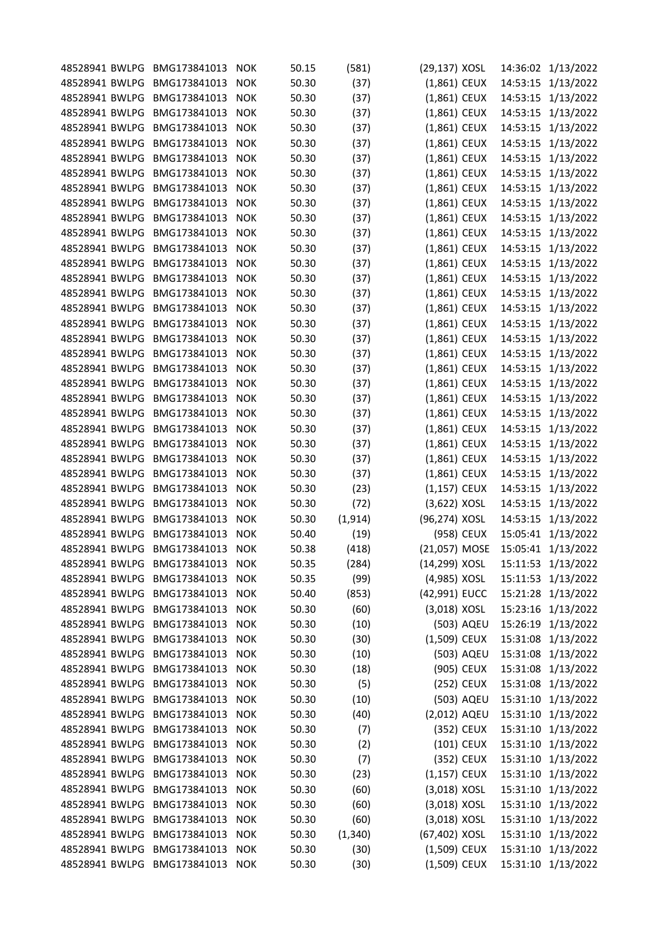| 48528941 BWLPG | BMG173841013     | <b>NOK</b> | 50.15 | (581)    | (29,137) XOSL  | 14:36:02 | 1/13/2022          |
|----------------|------------------|------------|-------|----------|----------------|----------|--------------------|
| 48528941 BWLPG | BMG173841013     | <b>NOK</b> | 50.30 | (37)     | (1,861) CEUX   | 14:53:15 | 1/13/2022          |
| 48528941 BWLPG | BMG173841013     | <b>NOK</b> | 50.30 | (37)     | (1,861) CEUX   | 14:53:15 | 1/13/2022          |
| 48528941 BWLPG | BMG173841013     | <b>NOK</b> | 50.30 | (37)     | (1,861) CEUX   | 14:53:15 | 1/13/2022          |
| 48528941 BWLPG | BMG173841013     | <b>NOK</b> | 50.30 | (37)     | (1,861) CEUX   | 14:53:15 | 1/13/2022          |
| 48528941 BWLPG | BMG173841013     | <b>NOK</b> | 50.30 | (37)     | (1,861) CEUX   | 14:53:15 | 1/13/2022          |
| 48528941 BWLPG | BMG173841013     | <b>NOK</b> | 50.30 | (37)     | (1,861) CEUX   | 14:53:15 | 1/13/2022          |
| 48528941 BWLPG | BMG173841013     | <b>NOK</b> | 50.30 | (37)     | (1,861) CEUX   | 14:53:15 | 1/13/2022          |
| 48528941 BWLPG | BMG173841013     | <b>NOK</b> | 50.30 | (37)     | (1,861) CEUX   | 14:53:15 | 1/13/2022          |
| 48528941 BWLPG | BMG173841013     | <b>NOK</b> | 50.30 | (37)     | (1,861) CEUX   | 14:53:15 | 1/13/2022          |
| 48528941 BWLPG | BMG173841013     | <b>NOK</b> | 50.30 | (37)     | (1,861) CEUX   | 14:53:15 | 1/13/2022          |
| 48528941 BWLPG | BMG173841013     | <b>NOK</b> | 50.30 | (37)     | (1,861) CEUX   | 14:53:15 | 1/13/2022          |
| 48528941 BWLPG | BMG173841013     | <b>NOK</b> | 50.30 | (37)     | (1,861) CEUX   | 14:53:15 | 1/13/2022          |
| 48528941 BWLPG | BMG173841013     | <b>NOK</b> | 50.30 | (37)     | (1,861) CEUX   | 14:53:15 | 1/13/2022          |
| 48528941 BWLPG | BMG173841013     | <b>NOK</b> | 50.30 | (37)     | (1,861) CEUX   | 14:53:15 | 1/13/2022          |
| 48528941 BWLPG | BMG173841013     | <b>NOK</b> | 50.30 | (37)     | (1,861) CEUX   | 14:53:15 | 1/13/2022          |
| 48528941 BWLPG | BMG173841013     | <b>NOK</b> | 50.30 | (37)     | (1,861) CEUX   | 14:53:15 | 1/13/2022          |
| 48528941 BWLPG | BMG173841013     | <b>NOK</b> | 50.30 | (37)     | (1,861) CEUX   | 14:53:15 | 1/13/2022          |
| 48528941 BWLPG | BMG173841013     | <b>NOK</b> | 50.30 | (37)     | (1,861) CEUX   | 14:53:15 | 1/13/2022          |
| 48528941 BWLPG | BMG173841013     | <b>NOK</b> | 50.30 | (37)     | (1,861) CEUX   | 14:53:15 | 1/13/2022          |
| 48528941 BWLPG | BMG173841013     | <b>NOK</b> | 50.30 | (37)     | (1,861) CEUX   | 14:53:15 | 1/13/2022          |
| 48528941 BWLPG | BMG173841013     | <b>NOK</b> | 50.30 | (37)     | (1,861) CEUX   | 14:53:15 | 1/13/2022          |
| 48528941 BWLPG | BMG173841013     | <b>NOK</b> | 50.30 | (37)     | (1,861) CEUX   | 14:53:15 | 1/13/2022          |
| 48528941 BWLPG | BMG173841013     | <b>NOK</b> | 50.30 | (37)     | $(1,861)$ CEUX | 14:53:15 | 1/13/2022          |
| 48528941 BWLPG | BMG173841013     | <b>NOK</b> | 50.30 | (37)     | (1,861) CEUX   | 14:53:15 | 1/13/2022          |
| 48528941 BWLPG | BMG173841013     | <b>NOK</b> | 50.30 | (37)     | (1,861) CEUX   | 14:53:15 | 1/13/2022          |
| 48528941 BWLPG | BMG173841013     | <b>NOK</b> | 50.30 | (37)     | (1,861) CEUX   | 14:53:15 | 1/13/2022          |
| 48528941 BWLPG | BMG173841013     | <b>NOK</b> | 50.30 | (37)     | (1,861) CEUX   | 14:53:15 | 1/13/2022          |
| 48528941 BWLPG | BMG173841013     | <b>NOK</b> | 50.30 | (23)     | (1,157) CEUX   | 14:53:15 | 1/13/2022          |
| 48528941 BWLPG | BMG173841013     | <b>NOK</b> | 50.30 | (72)     | (3,622) XOSL   | 14:53:15 | 1/13/2022          |
| 48528941 BWLPG | BMG173841013     | <b>NOK</b> | 50.30 | (1, 914) | (96,274) XOSL  |          | 14:53:15 1/13/2022 |
| 48528941 BWLPG | BMG173841013     | <b>NOK</b> | 50.40 | (19)     | (958) CEUX     |          | 15:05:41 1/13/2022 |
| 48528941 BWLPG | BMG173841013     | <b>NOK</b> | 50.38 | (418)    | (21,057) MOSE  |          | 15:05:41 1/13/2022 |
| 48528941 BWLPG | BMG173841013     | <b>NOK</b> | 50.35 | (284)    | (14,299) XOSL  |          | 15:11:53 1/13/2022 |
| 48528941 BWLPG | BMG173841013     | <b>NOK</b> | 50.35 | (99)     | (4,985) XOSL   |          | 15:11:53 1/13/2022 |
| 48528941 BWLPG | BMG173841013     | <b>NOK</b> | 50.40 | (853)    | (42,991) EUCC  |          | 15:21:28 1/13/2022 |
| 48528941 BWLPG | BMG173841013     | <b>NOK</b> | 50.30 | (60)     | (3,018) XOSL   |          | 15:23:16 1/13/2022 |
| 48528941 BWLPG | BMG173841013     | <b>NOK</b> | 50.30 | (10)     | (503) AQEU     |          | 15:26:19 1/13/2022 |
| 48528941 BWLPG | BMG173841013     | <b>NOK</b> | 50.30 | (30)     | (1,509) CEUX   |          | 15:31:08 1/13/2022 |
| 48528941 BWLPG | BMG173841013     | <b>NOK</b> | 50.30 | (10)     | (503) AQEU     |          | 15:31:08 1/13/2022 |
| 48528941 BWLPG | BMG173841013     | <b>NOK</b> | 50.30 | (18)     | (905) CEUX     |          | 15:31:08 1/13/2022 |
| 48528941 BWLPG | BMG173841013     | <b>NOK</b> | 50.30 | (5)      | (252) CEUX     |          | 15:31:08 1/13/2022 |
| 48528941 BWLPG | BMG173841013     | <b>NOK</b> | 50.30 | (10)     | (503) AQEU     |          | 15:31:10 1/13/2022 |
| 48528941 BWLPG | BMG173841013     | <b>NOK</b> | 50.30 | (40)     | (2,012) AQEU   |          | 15:31:10 1/13/2022 |
| 48528941 BWLPG | BMG173841013     | <b>NOK</b> | 50.30 | (7)      | (352) CEUX     |          | 15:31:10 1/13/2022 |
| 48528941 BWLPG | BMG173841013     | <b>NOK</b> | 50.30 | (2)      | (101) CEUX     |          | 15:31:10 1/13/2022 |
| 48528941 BWLPG | BMG173841013     | <b>NOK</b> | 50.30 | (7)      | (352) CEUX     |          | 15:31:10 1/13/2022 |
| 48528941 BWLPG | BMG173841013     | <b>NOK</b> | 50.30 | (23)     | $(1,157)$ CEUX |          | 15:31:10 1/13/2022 |
| 48528941 BWLPG | BMG173841013     | <b>NOK</b> | 50.30 | (60)     | $(3,018)$ XOSL |          | 15:31:10 1/13/2022 |
| 48528941 BWLPG | BMG173841013     | <b>NOK</b> | 50.30 | (60)     | $(3,018)$ XOSL |          | 15:31:10 1/13/2022 |
| 48528941 BWLPG | BMG173841013     | <b>NOK</b> | 50.30 | (60)     | (3,018) XOSL   |          | 15:31:10 1/13/2022 |
| 48528941 BWLPG | BMG173841013     | <b>NOK</b> | 50.30 | (1, 340) | (67,402) XOSL  |          | 15:31:10 1/13/2022 |
| 48528941 BWLPG | BMG173841013     | <b>NOK</b> | 50.30 | (30)     | (1,509) CEUX   |          | 15:31:10 1/13/2022 |
| 48528941 BWLPG | BMG173841013 NOK |            | 50.30 | (30)     | (1,509) CEUX   |          | 15:31:10 1/13/2022 |
|                |                  |            |       |          |                |          |                    |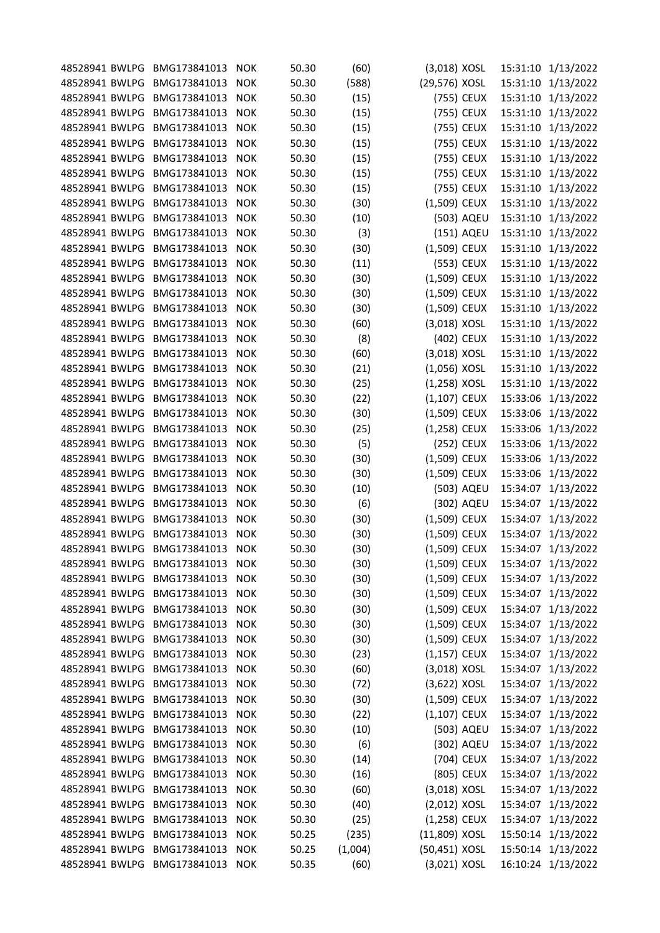| 48528941 BWLPG | BMG173841013     | <b>NOK</b> | 50.30 | (60)    | (3,018) XOSL   | 15:31:10 | 1/13/2022          |
|----------------|------------------|------------|-------|---------|----------------|----------|--------------------|
| 48528941 BWLPG | BMG173841013     | <b>NOK</b> | 50.30 | (588)   | (29,576) XOSL  | 15:31:10 | 1/13/2022          |
| 48528941 BWLPG | BMG173841013     | <b>NOK</b> | 50.30 | (15)    | (755) CEUX     | 15:31:10 | 1/13/2022          |
| 48528941 BWLPG | BMG173841013     | <b>NOK</b> | 50.30 | (15)    | (755) CEUX     | 15:31:10 | 1/13/2022          |
| 48528941 BWLPG | BMG173841013     | <b>NOK</b> | 50.30 | (15)    | (755) CEUX     | 15:31:10 | 1/13/2022          |
| 48528941 BWLPG | BMG173841013     | <b>NOK</b> | 50.30 | (15)    | (755) CEUX     | 15:31:10 | 1/13/2022          |
| 48528941 BWLPG | BMG173841013     | <b>NOK</b> | 50.30 | (15)    | (755) CEUX     | 15:31:10 | 1/13/2022          |
| 48528941 BWLPG | BMG173841013     | <b>NOK</b> | 50.30 | (15)    | (755) CEUX     | 15:31:10 | 1/13/2022          |
| 48528941 BWLPG | BMG173841013     | <b>NOK</b> | 50.30 | (15)    | (755) CEUX     | 15:31:10 | 1/13/2022          |
| 48528941 BWLPG | BMG173841013     | <b>NOK</b> | 50.30 | (30)    | (1,509) CEUX   | 15:31:10 | 1/13/2022          |
| 48528941 BWLPG | BMG173841013     | <b>NOK</b> | 50.30 | (10)    | (503) AQEU     | 15:31:10 | 1/13/2022          |
| 48528941 BWLPG | BMG173841013     | <b>NOK</b> | 50.30 | (3)     | (151) AQEU     | 15:31:10 | 1/13/2022          |
| 48528941 BWLPG | BMG173841013     | <b>NOK</b> | 50.30 | (30)    | (1,509) CEUX   | 15:31:10 | 1/13/2022          |
| 48528941 BWLPG | BMG173841013     | <b>NOK</b> | 50.30 | (11)    | (553) CEUX     | 15:31:10 | 1/13/2022          |
| 48528941 BWLPG | BMG173841013     | <b>NOK</b> | 50.30 | (30)    | (1,509) CEUX   | 15:31:10 | 1/13/2022          |
| 48528941 BWLPG | BMG173841013     | <b>NOK</b> | 50.30 | (30)    | (1,509) CEUX   | 15:31:10 | 1/13/2022          |
| 48528941 BWLPG | BMG173841013     | <b>NOK</b> | 50.30 | (30)    | (1,509) CEUX   | 15:31:10 | 1/13/2022          |
| 48528941 BWLPG | BMG173841013     | <b>NOK</b> | 50.30 | (60)    | (3,018) XOSL   | 15:31:10 | 1/13/2022          |
| 48528941 BWLPG | BMG173841013     | <b>NOK</b> | 50.30 | (8)     | (402) CEUX     | 15:31:10 | 1/13/2022          |
| 48528941 BWLPG | BMG173841013     | <b>NOK</b> | 50.30 | (60)    | (3,018) XOSL   | 15:31:10 | 1/13/2022          |
| 48528941 BWLPG | BMG173841013     | <b>NOK</b> | 50.30 | (21)    | $(1,056)$ XOSL | 15:31:10 | 1/13/2022          |
| 48528941 BWLPG | BMG173841013     | <b>NOK</b> | 50.30 | (25)    | $(1,258)$ XOSL | 15:31:10 | 1/13/2022          |
| 48528941 BWLPG | BMG173841013     | <b>NOK</b> | 50.30 | (22)    | $(1,107)$ CEUX | 15:33:06 | 1/13/2022          |
| 48528941 BWLPG | BMG173841013     | <b>NOK</b> | 50.30 | (30)    | (1,509) CEUX   | 15:33:06 | 1/13/2022          |
| 48528941 BWLPG | BMG173841013     | <b>NOK</b> | 50.30 | (25)    | (1,258) CEUX   | 15:33:06 | 1/13/2022          |
| 48528941 BWLPG | BMG173841013     | <b>NOK</b> | 50.30 | (5)     | (252) CEUX     | 15:33:06 | 1/13/2022          |
| 48528941 BWLPG | BMG173841013     | <b>NOK</b> | 50.30 |         | (1,509) CEUX   | 15:33:06 | 1/13/2022          |
|                |                  |            |       | (30)    | (1,509) CEUX   |          |                    |
| 48528941 BWLPG | BMG173841013     | <b>NOK</b> | 50.30 | (30)    |                | 15:33:06 | 1/13/2022          |
| 48528941 BWLPG | BMG173841013     | <b>NOK</b> | 50.30 | (10)    | (503) AQEU     | 15:34:07 | 1/13/2022          |
| 48528941 BWLPG | BMG173841013     | <b>NOK</b> | 50.30 | (6)     | (302) AQEU     | 15:34:07 | 1/13/2022          |
| 48528941 BWLPG | BMG173841013     | <b>NOK</b> | 50.30 | (30)    | (1,509) CEUX   | 15:34:07 | 1/13/2022          |
| 48528941 BWLPG | BMG173841013     | <b>NOK</b> | 50.30 | (30)    | (1,509) CEUX   | 15:34:07 | 1/13/2022          |
| 48528941 BWLPG | BMG173841013     | <b>NOK</b> | 50.30 | (30)    | (1,509) CEUX   | 15:34:07 | 1/13/2022          |
| 48528941 BWLPG | BMG173841013     | <b>NOK</b> | 50.30 | (30)    | (1,509) CEUX   | 15:34:07 | 1/13/2022          |
| 48528941 BWLPG | BMG173841013     | <b>NOK</b> | 50.30 | (30)    | (1,509) CEUX   |          | 15:34:07 1/13/2022 |
| 48528941 BWLPG | BMG173841013     | <b>NOK</b> | 50.30 | (30)    | (1,509) CEUX   | 15:34:07 | 1/13/2022          |
| 48528941 BWLPG | BMG173841013     | <b>NOK</b> | 50.30 | (30)    | (1,509) CEUX   | 15:34:07 | 1/13/2022          |
| 48528941 BWLPG | BMG173841013     | <b>NOK</b> | 50.30 | (30)    | $(1,509)$ CEUX | 15:34:07 | 1/13/2022          |
| 48528941 BWLPG | BMG173841013     | <b>NOK</b> | 50.30 | (30)    | (1,509) CEUX   | 15:34:07 | 1/13/2022          |
| 48528941 BWLPG | BMG173841013     | <b>NOK</b> | 50.30 | (23)    | $(1,157)$ CEUX | 15:34:07 | 1/13/2022          |
| 48528941 BWLPG | BMG173841013     | <b>NOK</b> | 50.30 | (60)    | (3,018) XOSL   | 15:34:07 | 1/13/2022          |
| 48528941 BWLPG | BMG173841013     | <b>NOK</b> | 50.30 | (72)    | $(3,622)$ XOSL | 15:34:07 | 1/13/2022          |
| 48528941 BWLPG | BMG173841013     | <b>NOK</b> | 50.30 | (30)    | (1,509) CEUX   | 15:34:07 | 1/13/2022          |
| 48528941 BWLPG | BMG173841013     | <b>NOK</b> | 50.30 | (22)    | $(1,107)$ CEUX | 15:34:07 | 1/13/2022          |
| 48528941 BWLPG | BMG173841013     | <b>NOK</b> | 50.30 | (10)    | (503) AQEU     | 15:34:07 | 1/13/2022          |
| 48528941 BWLPG | BMG173841013     | <b>NOK</b> | 50.30 | (6)     | (302) AQEU     |          | 15:34:07 1/13/2022 |
| 48528941 BWLPG | BMG173841013     | <b>NOK</b> | 50.30 | (14)    | (704) CEUX     | 15:34:07 | 1/13/2022          |
| 48528941 BWLPG | BMG173841013     | <b>NOK</b> | 50.30 | (16)    | (805) CEUX     | 15:34:07 | 1/13/2022          |
| 48528941 BWLPG | BMG173841013     | <b>NOK</b> | 50.30 | (60)    | (3,018) XOSL   | 15:34:07 | 1/13/2022          |
| 48528941 BWLPG | BMG173841013     | <b>NOK</b> | 50.30 | (40)    | (2,012) XOSL   |          | 15:34:07 1/13/2022 |
| 48528941 BWLPG | BMG173841013     | <b>NOK</b> | 50.30 | (25)    | (1,258) CEUX   | 15:34:07 | 1/13/2022          |
| 48528941 BWLPG | BMG173841013     | <b>NOK</b> | 50.25 | (235)   | (11,809) XOSL  |          | 15:50:14 1/13/2022 |
| 48528941 BWLPG | BMG173841013     | <b>NOK</b> | 50.25 | (1,004) | (50,451) XOSL  |          | 15:50:14 1/13/2022 |
| 48528941 BWLPG | BMG173841013 NOK |            | 50.35 | (60)    | (3,021) XOSL   |          | 16:10:24 1/13/2022 |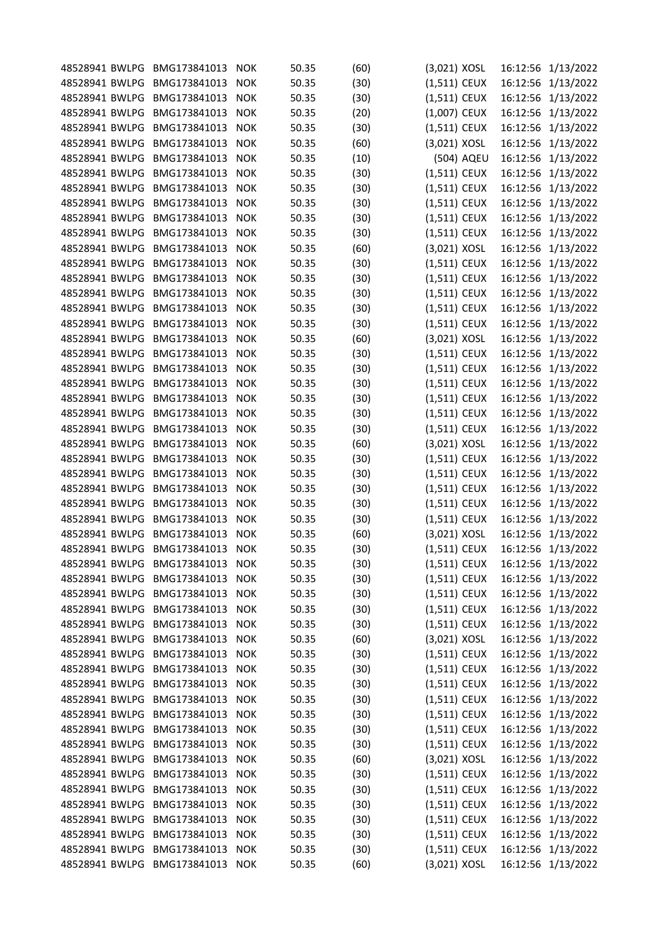| 48528941 BWLPG | BMG173841013     | <b>NOK</b> | 50.35 | (60) | (3,021) XOSL   | 16:12:56 | 1/13/2022          |
|----------------|------------------|------------|-------|------|----------------|----------|--------------------|
| 48528941 BWLPG | BMG173841013     | <b>NOK</b> | 50.35 | (30) | $(1,511)$ CEUX | 16:12:56 | 1/13/2022          |
| 48528941 BWLPG | BMG173841013     | <b>NOK</b> | 50.35 | (30) | $(1,511)$ CEUX | 16:12:56 | 1/13/2022          |
| 48528941 BWLPG | BMG173841013     | <b>NOK</b> | 50.35 | (20) | $(1,007)$ CEUX | 16:12:56 | 1/13/2022          |
| 48528941 BWLPG | BMG173841013     | <b>NOK</b> | 50.35 | (30) | (1,511) CEUX   | 16:12:56 | 1/13/2022          |
| 48528941 BWLPG | BMG173841013     | <b>NOK</b> | 50.35 | (60) | (3,021) XOSL   | 16:12:56 | 1/13/2022          |
| 48528941 BWLPG | BMG173841013     | <b>NOK</b> | 50.35 | (10) | (504) AQEU     | 16:12:56 | 1/13/2022          |
| 48528941 BWLPG | BMG173841013     | <b>NOK</b> | 50.35 | (30) | $(1,511)$ CEUX | 16:12:56 | 1/13/2022          |
| 48528941 BWLPG | BMG173841013     | <b>NOK</b> | 50.35 | (30) | (1,511) CEUX   | 16:12:56 | 1/13/2022          |
| 48528941 BWLPG | BMG173841013     | <b>NOK</b> | 50.35 | (30) | (1,511) CEUX   | 16:12:56 | 1/13/2022          |
| 48528941 BWLPG | BMG173841013     | <b>NOK</b> | 50.35 | (30) | $(1,511)$ CEUX | 16:12:56 | 1/13/2022          |
| 48528941 BWLPG | BMG173841013     | <b>NOK</b> | 50.35 | (30) | (1,511) CEUX   | 16:12:56 | 1/13/2022          |
| 48528941 BWLPG | BMG173841013     | <b>NOK</b> | 50.35 | (60) | (3,021) XOSL   | 16:12:56 | 1/13/2022          |
| 48528941 BWLPG | BMG173841013     | <b>NOK</b> | 50.35 | (30) | (1,511) CEUX   | 16:12:56 | 1/13/2022          |
| 48528941 BWLPG | BMG173841013     | <b>NOK</b> | 50.35 | (30) | $(1,511)$ CEUX | 16:12:56 | 1/13/2022          |
| 48528941 BWLPG | BMG173841013     | <b>NOK</b> | 50.35 | (30) | $(1,511)$ CEUX | 16:12:56 | 1/13/2022          |
| 48528941 BWLPG | BMG173841013     | <b>NOK</b> | 50.35 | (30) | (1,511) CEUX   | 16:12:56 | 1/13/2022          |
| 48528941 BWLPG | BMG173841013     | <b>NOK</b> | 50.35 | (30) | $(1,511)$ CEUX | 16:12:56 | 1/13/2022          |
| 48528941 BWLPG | BMG173841013     | <b>NOK</b> | 50.35 | (60) | (3,021) XOSL   | 16:12:56 | 1/13/2022          |
| 48528941 BWLPG | BMG173841013     | <b>NOK</b> | 50.35 | (30) | (1,511) CEUX   | 16:12:56 | 1/13/2022          |
| 48528941 BWLPG | BMG173841013     | <b>NOK</b> | 50.35 | (30) | (1,511) CEUX   | 16:12:56 | 1/13/2022          |
| 48528941 BWLPG | BMG173841013     | <b>NOK</b> | 50.35 | (30) | (1,511) CEUX   | 16:12:56 | 1/13/2022          |
| 48528941 BWLPG | BMG173841013     | <b>NOK</b> | 50.35 | (30) | $(1,511)$ CEUX | 16:12:56 | 1/13/2022          |
| 48528941 BWLPG | BMG173841013     | <b>NOK</b> | 50.35 | (30) | (1,511) CEUX   | 16:12:56 | 1/13/2022          |
| 48528941 BWLPG | BMG173841013     | <b>NOK</b> | 50.35 | (30) | (1,511) CEUX   | 16:12:56 | 1/13/2022          |
| 48528941 BWLPG | BMG173841013     | <b>NOK</b> | 50.35 | (60) | (3,021) XOSL   | 16:12:56 | 1/13/2022          |
| 48528941 BWLPG | BMG173841013     | <b>NOK</b> | 50.35 | (30) | (1,511) CEUX   | 16:12:56 | 1/13/2022          |
| 48528941 BWLPG | BMG173841013     | <b>NOK</b> | 50.35 | (30) | (1,511) CEUX   | 16:12:56 | 1/13/2022          |
| 48528941 BWLPG | BMG173841013     | <b>NOK</b> | 50.35 | (30) | (1,511) CEUX   | 16:12:56 | 1/13/2022          |
| 48528941 BWLPG | BMG173841013     | <b>NOK</b> | 50.35 | (30) | $(1,511)$ CEUX | 16:12:56 | 1/13/2022          |
| 48528941 BWLPG | BMG173841013     | <b>NOK</b> | 50.35 | (30) | $(1,511)$ CEUX |          | 16:12:56 1/13/2022 |
| 48528941 BWLPG | BMG173841013     | <b>NOK</b> | 50.35 | (60) | (3,021) XOSL   | 16:12:56 | 1/13/2022          |
| 48528941 BWLPG | BMG173841013     | <b>NOK</b> | 50.35 | (30) | (1,511) CEUX   |          | 16:12:56 1/13/2022 |
| 48528941 BWLPG | BMG173841013     | <b>NOK</b> | 50.35 | (30) | (1,511) CEUX   |          | 16:12:56 1/13/2022 |
| 48528941 BWLPG | BMG173841013     | <b>NOK</b> | 50.35 | (30) | $(1,511)$ CEUX |          | 16:12:56 1/13/2022 |
| 48528941 BWLPG | BMG173841013     | <b>NOK</b> | 50.35 | (30) | $(1,511)$ CEUX |          | 16:12:56 1/13/2022 |
| 48528941 BWLPG | BMG173841013     | <b>NOK</b> | 50.35 | (30) | $(1,511)$ CEUX |          | 16:12:56 1/13/2022 |
| 48528941 BWLPG | BMG173841013     | <b>NOK</b> | 50.35 | (30) | $(1,511)$ CEUX |          | 16:12:56 1/13/2022 |
| 48528941 BWLPG | BMG173841013     | <b>NOK</b> | 50.35 | (60) | (3,021) XOSL   |          | 16:12:56 1/13/2022 |
| 48528941 BWLPG | BMG173841013     | <b>NOK</b> | 50.35 | (30) | $(1,511)$ CEUX |          | 16:12:56 1/13/2022 |
| 48528941 BWLPG | BMG173841013     | <b>NOK</b> | 50.35 | (30) | $(1,511)$ CEUX |          | 16:12:56 1/13/2022 |
| 48528941 BWLPG | BMG173841013     | <b>NOK</b> | 50.35 | (30) | $(1,511)$ CEUX |          | 16:12:56 1/13/2022 |
| 48528941 BWLPG | BMG173841013     | <b>NOK</b> | 50.35 | (30) | $(1,511)$ CEUX |          | 16:12:56 1/13/2022 |
| 48528941 BWLPG | BMG173841013     | <b>NOK</b> | 50.35 | (30) | $(1,511)$ CEUX |          | 16:12:56 1/13/2022 |
| 48528941 BWLPG | BMG173841013     | <b>NOK</b> | 50.35 | (30) | $(1,511)$ CEUX |          | 16:12:56 1/13/2022 |
| 48528941 BWLPG | BMG173841013     | <b>NOK</b> | 50.35 | (30) | $(1,511)$ CEUX |          | 16:12:56 1/13/2022 |
| 48528941 BWLPG | BMG173841013     | <b>NOK</b> | 50.35 | (60) | $(3,021)$ XOSL |          | 16:12:56 1/13/2022 |
| 48528941 BWLPG | BMG173841013     | <b>NOK</b> | 50.35 | (30) | $(1,511)$ CEUX |          | 16:12:56 1/13/2022 |
| 48528941 BWLPG | BMG173841013     | <b>NOK</b> | 50.35 | (30) | $(1,511)$ CEUX |          | 16:12:56 1/13/2022 |
| 48528941 BWLPG | BMG173841013     | <b>NOK</b> | 50.35 | (30) | $(1,511)$ CEUX |          | 16:12:56 1/13/2022 |
| 48528941 BWLPG | BMG173841013     | <b>NOK</b> | 50.35 | (30) | $(1,511)$ CEUX |          | 16:12:56 1/13/2022 |
| 48528941 BWLPG | BMG173841013     | <b>NOK</b> | 50.35 | (30) | $(1,511)$ CEUX |          | 16:12:56 1/13/2022 |
| 48528941 BWLPG | BMG173841013     | <b>NOK</b> | 50.35 | (30) | $(1,511)$ CEUX |          | 16:12:56 1/13/2022 |
| 48528941 BWLPG | BMG173841013 NOK |            | 50.35 | (60) | (3,021) XOSL   |          | 16:12:56 1/13/2022 |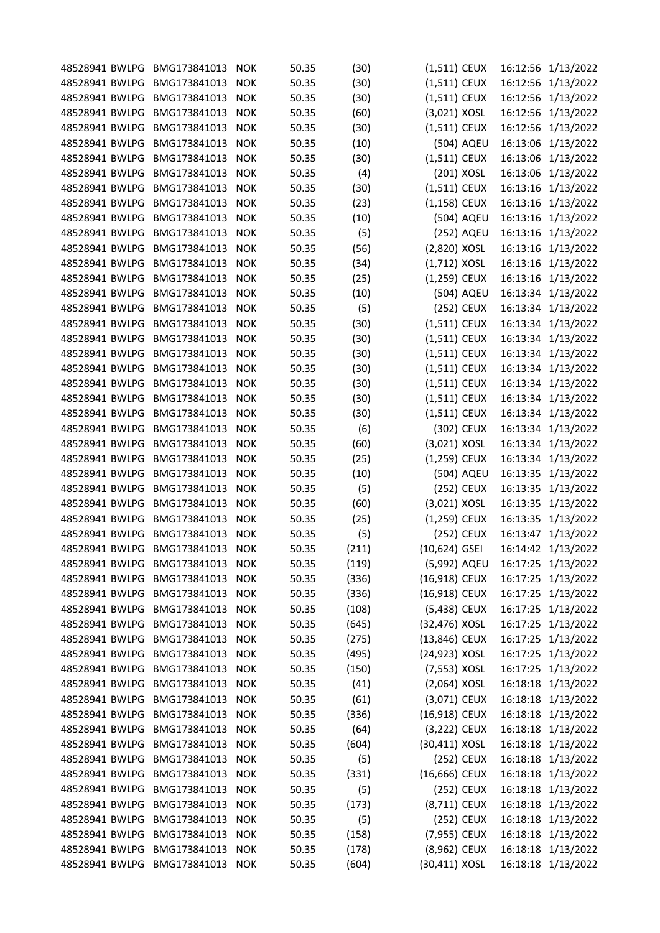| 48528941 BWLPG BMG173841013 |                  | <b>NOK</b> | 50.35 | (30)  | (1,511) CEUX   |            |          | 16:12:56 1/13/2022 |
|-----------------------------|------------------|------------|-------|-------|----------------|------------|----------|--------------------|
| 48528941 BWLPG              | BMG173841013     | <b>NOK</b> | 50.35 | (30)  | (1,511) CEUX   |            |          | 16:12:56 1/13/2022 |
| 48528941 BWLPG              | BMG173841013     | <b>NOK</b> | 50.35 | (30)  | (1,511) CEUX   |            | 16:12:56 | 1/13/2022          |
| 48528941 BWLPG              | BMG173841013     | <b>NOK</b> | 50.35 | (60)  | $(3,021)$ XOSL |            |          | 16:12:56 1/13/2022 |
| 48528941 BWLPG              | BMG173841013     | <b>NOK</b> | 50.35 | (30)  | (1,511) CEUX   |            | 16:12:56 | 1/13/2022          |
| 48528941 BWLPG              | BMG173841013     | <b>NOK</b> | 50.35 | (10)  |                | (504) AQEU | 16:13:06 | 1/13/2022          |
| 48528941 BWLPG              | BMG173841013     | <b>NOK</b> | 50.35 | (30)  | $(1,511)$ CEUX |            | 16:13:06 | 1/13/2022          |
| 48528941 BWLPG              | BMG173841013     | <b>NOK</b> | 50.35 | (4)   | (201) XOSL     |            |          | 16:13:06 1/13/2022 |
| 48528941 BWLPG              | BMG173841013     | <b>NOK</b> | 50.35 | (30)  | (1,511) CEUX   |            | 16:13:16 | 1/13/2022          |
| 48528941 BWLPG              | BMG173841013     | <b>NOK</b> | 50.35 | (23)  | (1,158) CEUX   |            | 16:13:16 | 1/13/2022          |
| 48528941 BWLPG              | BMG173841013     | <b>NOK</b> | 50.35 | (10)  |                | (504) AQEU | 16:13:16 | 1/13/2022          |
| 48528941 BWLPG              | BMG173841013     | <b>NOK</b> | 50.35 | (5)   |                | (252) AQEU |          | 16:13:16 1/13/2022 |
| 48528941 BWLPG              | BMG173841013     | <b>NOK</b> | 50.35 | (56)  | (2,820) XOSL   |            |          | 16:13:16 1/13/2022 |
| 48528941 BWLPG              | BMG173841013     | <b>NOK</b> | 50.35 | (34)  | (1,712) XOSL   |            | 16:13:16 | 1/13/2022          |
| 48528941 BWLPG              | BMG173841013     | <b>NOK</b> | 50.35 | (25)  | (1,259) CEUX   |            |          | 16:13:16 1/13/2022 |
| 48528941 BWLPG              | BMG173841013     | <b>NOK</b> | 50.35 | (10)  |                | (504) AQEU |          | 16:13:34 1/13/2022 |
| 48528941 BWLPG              | BMG173841013     | <b>NOK</b> | 50.35 | (5)   |                | (252) CEUX |          | 16:13:34 1/13/2022 |
| 48528941 BWLPG              | BMG173841013     | <b>NOK</b> | 50.35 | (30)  | (1,511) CEUX   |            |          | 16:13:34 1/13/2022 |
| 48528941 BWLPG              | BMG173841013     | <b>NOK</b> | 50.35 | (30)  | $(1,511)$ CEUX |            |          | 16:13:34 1/13/2022 |
| 48528941 BWLPG              | BMG173841013     | <b>NOK</b> | 50.35 | (30)  | $(1,511)$ CEUX |            |          | 16:13:34 1/13/2022 |
| 48528941 BWLPG              | BMG173841013     | <b>NOK</b> | 50.35 | (30)  | (1,511) CEUX   |            | 16:13:34 | 1/13/2022          |
| 48528941 BWLPG              | BMG173841013     | <b>NOK</b> | 50.35 | (30)  | (1,511) CEUX   |            | 16:13:34 | 1/13/2022          |
| 48528941 BWLPG              | BMG173841013     | <b>NOK</b> | 50.35 | (30)  | $(1,511)$ CEUX |            |          | 16:13:34 1/13/2022 |
| 48528941 BWLPG              | BMG173841013     | <b>NOK</b> | 50.35 | (30)  | $(1,511)$ CEUX |            |          | 16:13:34 1/13/2022 |
| 48528941 BWLPG              | BMG173841013     | <b>NOK</b> | 50.35 | (6)   | (302) CEUX     |            | 16:13:34 | 1/13/2022          |
| 48528941 BWLPG              | BMG173841013     |            | 50.35 |       |                |            |          | 16:13:34 1/13/2022 |
|                             |                  | <b>NOK</b> |       | (60)  | (3,021) XOSL   |            |          |                    |
| 48528941 BWLPG              | BMG173841013     | <b>NOK</b> | 50.35 | (25)  | (1,259) CEUX   |            |          | 16:13:34 1/13/2022 |
| 48528941 BWLPG              | BMG173841013     | <b>NOK</b> | 50.35 | (10)  |                | (504) AQEU | 16:13:35 | 1/13/2022          |
| 48528941 BWLPG              | BMG173841013     | <b>NOK</b> | 50.35 | (5)   |                | (252) CEUX | 16:13:35 | 1/13/2022          |
| 48528941 BWLPG              | BMG173841013     | <b>NOK</b> | 50.35 | (60)  | (3,021) XOSL   |            | 16:13:35 | 1/13/2022          |
| 48528941 BWLPG              | BMG173841013     | <b>NOK</b> | 50.35 | (25)  | (1,259) CEUX   |            |          | 16:13:35 1/13/2022 |
| 48528941 BWLPG              | BMG173841013     | <b>NOK</b> | 50.35 | (5)   |                | (252) CEUX | 16:13:47 | 1/13/2022          |
| 48528941 BWLPG              | BMG173841013     | <b>NOK</b> | 50.35 | (211) | (10,624) GSEI  |            |          | 16:14:42 1/13/2022 |
| 48528941 BWLPG              | BMG173841013     | <b>NOK</b> | 50.35 | (119) | (5,992) AQEU   |            |          | 16:17:25 1/13/2022 |
| 48528941 BWLPG              | BMG173841013     | <b>NOK</b> | 50.35 | (336) | (16,918) CEUX  |            |          | 16:17:25 1/13/2022 |
| 48528941 BWLPG              | BMG173841013     | <b>NOK</b> | 50.35 | (336) | (16,918) CEUX  |            |          | 16:17:25 1/13/2022 |
| 48528941 BWLPG              | BMG173841013     | <b>NOK</b> | 50.35 | (108) | (5,438) CEUX   |            |          | 16:17:25 1/13/2022 |
| 48528941 BWLPG              | BMG173841013     | <b>NOK</b> | 50.35 | (645) | (32,476) XOSL  |            |          | 16:17:25 1/13/2022 |
| 48528941 BWLPG              | BMG173841013     | <b>NOK</b> | 50.35 | (275) | (13,846) CEUX  |            |          | 16:17:25 1/13/2022 |
| 48528941 BWLPG              | BMG173841013     | <b>NOK</b> | 50.35 | (495) | (24,923) XOSL  |            |          | 16:17:25 1/13/2022 |
| 48528941 BWLPG              | BMG173841013     | <b>NOK</b> | 50.35 | (150) | (7,553) XOSL   |            |          | 16:17:25 1/13/2022 |
| 48528941 BWLPG              | BMG173841013     | <b>NOK</b> | 50.35 | (41)  | $(2,064)$ XOSL |            |          | 16:18:18 1/13/2022 |
| 48528941 BWLPG              | BMG173841013     | <b>NOK</b> | 50.35 | (61)  | (3,071) CEUX   |            |          | 16:18:18 1/13/2022 |
| 48528941 BWLPG              | BMG173841013     | <b>NOK</b> | 50.35 | (336) | (16,918) CEUX  |            |          | 16:18:18 1/13/2022 |
| 48528941 BWLPG              | BMG173841013     | <b>NOK</b> | 50.35 | (64)  | (3,222) CEUX   |            |          | 16:18:18 1/13/2022 |
| 48528941 BWLPG              | BMG173841013     | <b>NOK</b> | 50.35 | (604) | (30,411) XOSL  |            |          | 16:18:18 1/13/2022 |
| 48528941 BWLPG              | BMG173841013     | <b>NOK</b> | 50.35 | (5)   | (252) CEUX     |            |          | 16:18:18 1/13/2022 |
| 48528941 BWLPG              | BMG173841013     | <b>NOK</b> | 50.35 | (331) | (16,666) CEUX  |            |          | 16:18:18 1/13/2022 |
| 48528941 BWLPG              | BMG173841013     | <b>NOK</b> | 50.35 | (5)   | (252) CEUX     |            |          | 16:18:18 1/13/2022 |
| 48528941 BWLPG              | BMG173841013     | <b>NOK</b> | 50.35 | (173) | (8,711) CEUX   |            |          | 16:18:18 1/13/2022 |
| 48528941 BWLPG              | BMG173841013     | <b>NOK</b> | 50.35 | (5)   | (252) CEUX     |            |          | 16:18:18 1/13/2022 |
| 48528941 BWLPG              | BMG173841013     | <b>NOK</b> | 50.35 | (158) | (7,955) CEUX   |            |          | 16:18:18 1/13/2022 |
| 48528941 BWLPG              | BMG173841013     | <b>NOK</b> | 50.35 | (178) | (8,962) CEUX   |            |          | 16:18:18 1/13/2022 |
| 48528941 BWLPG              | BMG173841013 NOK |            | 50.35 | (604) | (30,411) XOSL  |            |          | 16:18:18 1/13/2022 |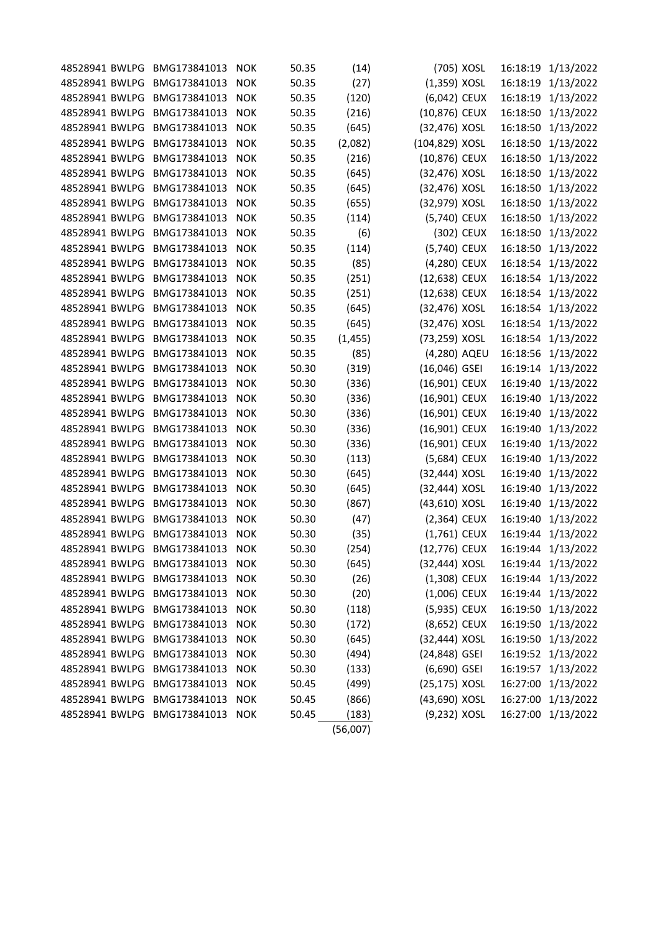| 48528941 BWLPG | BMG173841013 | <b>NOK</b> | 50.35 | (14)     |                 | (705) XOSL | 16:18:19 | 1/13/2022          |
|----------------|--------------|------------|-------|----------|-----------------|------------|----------|--------------------|
| 48528941 BWLPG | BMG173841013 | <b>NOK</b> | 50.35 | (27)     | $(1,359)$ XOSL  |            | 16:18:19 | 1/13/2022          |
| 48528941 BWLPG | BMG173841013 | <b>NOK</b> | 50.35 | (120)    | (6,042) CEUX    |            | 16:18:19 | 1/13/2022          |
| 48528941 BWLPG | BMG173841013 | <b>NOK</b> | 50.35 | (216)    | (10,876) CEUX   |            | 16:18:50 | 1/13/2022          |
| 48528941 BWLPG | BMG173841013 | <b>NOK</b> | 50.35 | (645)    | (32,476) XOSL   |            | 16:18:50 | 1/13/2022          |
| 48528941 BWLPG | BMG173841013 | <b>NOK</b> | 50.35 | (2,082)  | (104,829) XOSL  |            | 16:18:50 | 1/13/2022          |
| 48528941 BWLPG | BMG173841013 | <b>NOK</b> | 50.35 | (216)    | (10,876) CEUX   |            | 16:18:50 | 1/13/2022          |
| 48528941 BWLPG | BMG173841013 | <b>NOK</b> | 50.35 | (645)    | (32,476) XOSL   |            | 16:18:50 | 1/13/2022          |
| 48528941 BWLPG | BMG173841013 | <b>NOK</b> | 50.35 | (645)    | (32,476) XOSL   |            | 16:18:50 | 1/13/2022          |
| 48528941 BWLPG | BMG173841013 | <b>NOK</b> | 50.35 | (655)    | (32,979) XOSL   |            | 16:18:50 | 1/13/2022          |
| 48528941 BWLPG | BMG173841013 | <b>NOK</b> | 50.35 | (114)    | (5,740) CEUX    |            | 16:18:50 | 1/13/2022          |
| 48528941 BWLPG | BMG173841013 | <b>NOK</b> | 50.35 | (6)      |                 | (302) CEUX | 16:18:50 | 1/13/2022          |
| 48528941 BWLPG | BMG173841013 | <b>NOK</b> | 50.35 | (114)    | (5,740) CEUX    |            | 16:18:50 | 1/13/2022          |
| 48528941 BWLPG | BMG173841013 | <b>NOK</b> | 50.35 | (85)     | (4,280) CEUX    |            | 16:18:54 | 1/13/2022          |
| 48528941 BWLPG | BMG173841013 | <b>NOK</b> | 50.35 | (251)    | (12,638) CEUX   |            | 16:18:54 | 1/13/2022          |
| 48528941 BWLPG | BMG173841013 | <b>NOK</b> | 50.35 | (251)    | (12,638) CEUX   |            | 16:18:54 | 1/13/2022          |
| 48528941 BWLPG | BMG173841013 | <b>NOK</b> | 50.35 | (645)    | (32,476) XOSL   |            | 16:18:54 | 1/13/2022          |
| 48528941 BWLPG | BMG173841013 | <b>NOK</b> | 50.35 | (645)    | (32,476) XOSL   |            | 16:18:54 | 1/13/2022          |
| 48528941 BWLPG | BMG173841013 | <b>NOK</b> | 50.35 | (1, 455) | (73,259) XOSL   |            | 16:18:54 | 1/13/2022          |
| 48528941 BWLPG | BMG173841013 | <b>NOK</b> | 50.35 | (85)     | (4,280) AQEU    |            | 16:18:56 | 1/13/2022          |
| 48528941 BWLPG | BMG173841013 | <b>NOK</b> | 50.30 | (319)    | $(16,046)$ GSEI |            | 16:19:14 | 1/13/2022          |
| 48528941 BWLPG | BMG173841013 | <b>NOK</b> | 50.30 | (336)    | (16,901) CEUX   |            | 16:19:40 | 1/13/2022          |
| 48528941 BWLPG | BMG173841013 | <b>NOK</b> | 50.30 | (336)    | (16,901) CEUX   |            | 16:19:40 | 1/13/2022          |
| 48528941 BWLPG | BMG173841013 | <b>NOK</b> | 50.30 | (336)    | (16,901) CEUX   |            | 16:19:40 | 1/13/2022          |
| 48528941 BWLPG | BMG173841013 | <b>NOK</b> | 50.30 | (336)    | (16,901) CEUX   |            | 16:19:40 | 1/13/2022          |
| 48528941 BWLPG | BMG173841013 | <b>NOK</b> | 50.30 | (336)    | (16,901) CEUX   |            | 16:19:40 | 1/13/2022          |
| 48528941 BWLPG | BMG173841013 | <b>NOK</b> | 50.30 | (113)    | (5,684) CEUX    |            | 16:19:40 | 1/13/2022          |
| 48528941 BWLPG | BMG173841013 | <b>NOK</b> | 50.30 | (645)    | (32,444) XOSL   |            | 16:19:40 | 1/13/2022          |
| 48528941 BWLPG | BMG173841013 | <b>NOK</b> | 50.30 | (645)    | (32,444) XOSL   |            | 16:19:40 | 1/13/2022          |
| 48528941 BWLPG | BMG173841013 | <b>NOK</b> | 50.30 | (867)    | (43,610) XOSL   |            | 16:19:40 | 1/13/2022          |
| 48528941 BWLPG | BMG173841013 | <b>NOK</b> | 50.30 | (47)     | (2,364) CEUX    |            | 16:19:40 | 1/13/2022          |
| 48528941 BWLPG | BMG173841013 | <b>NOK</b> | 50.30 | (35)     | (1,761) CEUX    |            | 16:19:44 | 1/13/2022          |
| 48528941 BWLPG | BMG173841013 | <b>NOK</b> | 50.30 | (254)    | (12,776) CEUX   |            |          | 16:19:44 1/13/2022 |
| 48528941 BWLPG | BMG173841013 | <b>NOK</b> | 50.30 | (645)    | (32,444) XOSL   |            |          | 16:19:44 1/13/2022 |
| 48528941 BWLPG | BMG173841013 | <b>NOK</b> | 50.30 | (26)     | (1,308) CEUX    |            |          | 16:19:44 1/13/2022 |
| 48528941 BWLPG | BMG173841013 | <b>NOK</b> | 50.30 | (20)     | $(1,006)$ CEUX  |            |          | 16:19:44 1/13/2022 |
| 48528941 BWLPG | BMG173841013 | <b>NOK</b> | 50.30 | (118)    | (5,935) CEUX    |            | 16:19:50 | 1/13/2022          |
| 48528941 BWLPG | BMG173841013 | <b>NOK</b> | 50.30 | (172)    | (8,652) CEUX    |            | 16:19:50 | 1/13/2022          |
| 48528941 BWLPG | BMG173841013 | <b>NOK</b> | 50.30 | (645)    | (32,444) XOSL   |            | 16:19:50 | 1/13/2022          |
| 48528941 BWLPG | BMG173841013 | <b>NOK</b> | 50.30 | (494)    | (24,848) GSEI   |            | 16:19:52 | 1/13/2022          |
| 48528941 BWLPG | BMG173841013 | <b>NOK</b> | 50.30 | (133)    | (6,690) GSEI    |            | 16:19:57 | 1/13/2022          |
| 48528941 BWLPG | BMG173841013 | <b>NOK</b> | 50.45 | (499)    | (25,175) XOSL   |            |          | 16:27:00 1/13/2022 |
| 48528941 BWLPG | BMG173841013 | <b>NOK</b> | 50.45 | (866)    | (43,690) XOSL   |            |          | 16:27:00 1/13/2022 |
| 48528941 BWLPG | BMG173841013 | <b>NOK</b> | 50.45 | (183)    | (9,232) XOSL    |            |          | 16:27:00 1/13/2022 |
|                |              |            |       | (56,007) |                 |            |          |                    |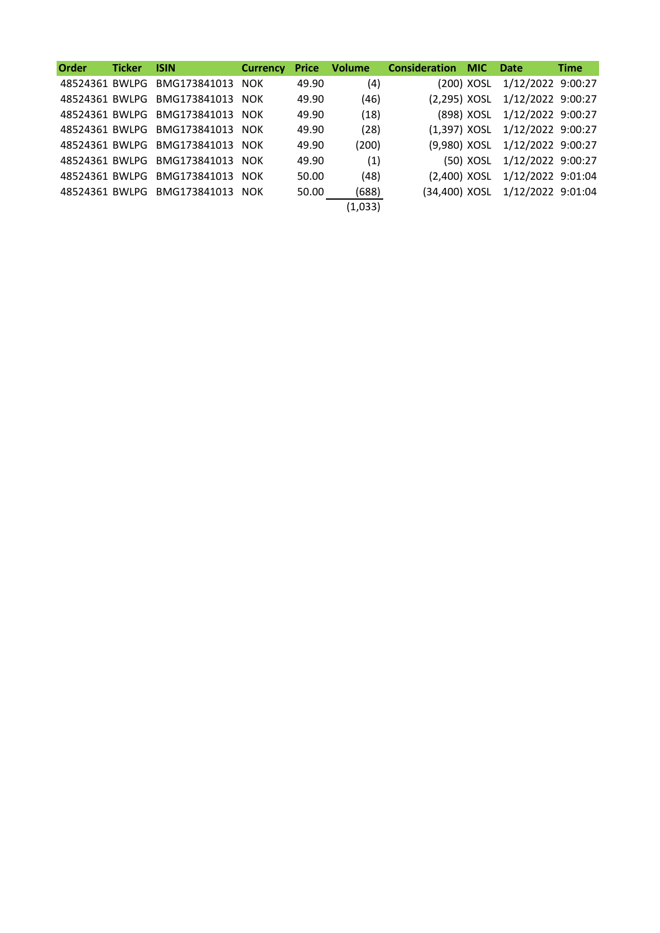| <b>Order</b> | <b>Ticker</b> | <b>ISIN</b>                     |       | <b>Currency Price Volume</b> | <b>Consideration MIC Date</b> |                                 | <b>Time</b> |
|--------------|---------------|---------------------------------|-------|------------------------------|-------------------------------|---------------------------------|-------------|
|              |               | 48524361 BWLPG BMG173841013 NOK | 49.90 | (4)                          |                               | (200) XOSL 1/12/2022 9:00:27    |             |
|              |               | 48524361 BWLPG BMG173841013 NOK | 49.90 | (46)                         |                               | (2,295) XOSL 1/12/2022 9:00:27  |             |
|              |               | 48524361 BWLPG BMG173841013 NOK | 49.90 | (18)                         |                               | (898) XOSL 1/12/2022 9:00:27    |             |
|              |               | 48524361 BWLPG BMG173841013 NOK | 49.90 | (28)                         |                               | (1,397) XOSL 1/12/2022 9:00:27  |             |
|              |               | 48524361 BWLPG BMG173841013 NOK | 49.90 | (200)                        |                               | (9,980) XOSL 1/12/2022 9:00:27  |             |
|              |               | 48524361 BWLPG BMG173841013 NOK | 49.90 | (1)                          |                               | (50) XOSL 1/12/2022 9:00:27     |             |
|              |               | 48524361 BWLPG BMG173841013 NOK | 50.00 | (48)                         |                               | (2,400) XOSL 1/12/2022 9:01:04  |             |
|              |               | 48524361 BWLPG BMG173841013 NOK | 50.00 | (688)                        |                               | (34,400) XOSL 1/12/2022 9:01:04 |             |
|              |               |                                 |       | (1,033)                      |                               |                                 |             |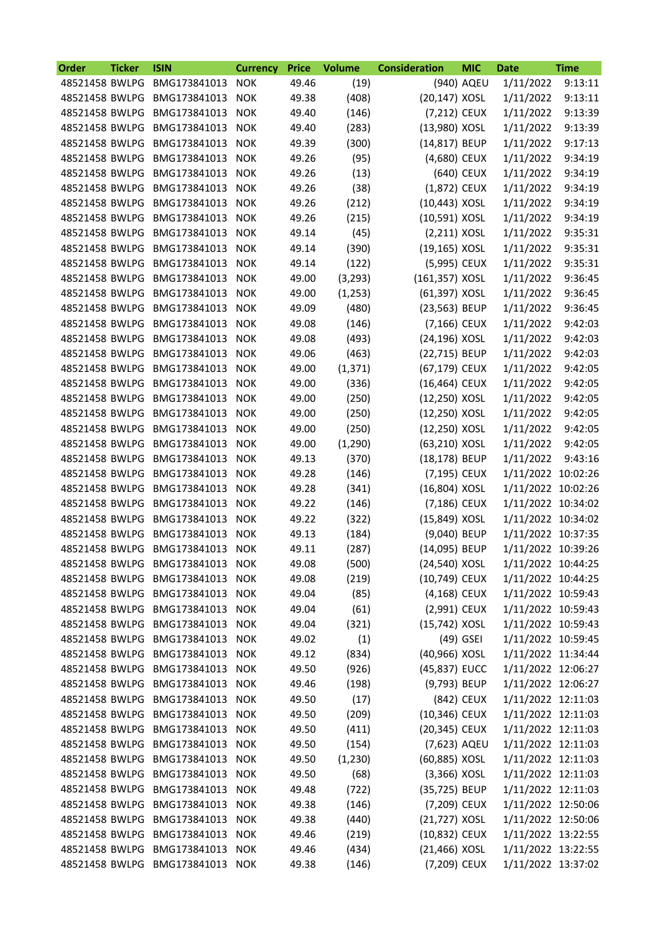| <b>Order</b>   | <b>Ticker</b> | <b>ISIN</b>      | <b>Currency</b> | <b>Price</b> | <b>Volume</b> | <b>Consideration</b> | <b>MIC</b>  | <b>Date</b>        | <b>Time</b> |
|----------------|---------------|------------------|-----------------|--------------|---------------|----------------------|-------------|--------------------|-------------|
| 48521458 BWLPG |               | BMG173841013     | <b>NOK</b>      | 49.46        | (19)          |                      | (940) AQEU  | 1/11/2022          | 9:13:11     |
| 48521458 BWLPG |               | BMG173841013     | <b>NOK</b>      | 49.38        | (408)         | (20,147) XOSL        |             | 1/11/2022          | 9:13:11     |
| 48521458 BWLPG |               | BMG173841013     | <b>NOK</b>      | 49.40        | (146)         | (7,212) CEUX         |             | 1/11/2022          | 9:13:39     |
| 48521458 BWLPG |               | BMG173841013     | <b>NOK</b>      | 49.40        | (283)         | (13,980) XOSL        |             | 1/11/2022          | 9:13:39     |
| 48521458 BWLPG |               | BMG173841013     | <b>NOK</b>      | 49.39        | (300)         | (14,817) BEUP        |             | 1/11/2022          | 9:17:13     |
| 48521458 BWLPG |               | BMG173841013     | <b>NOK</b>      | 49.26        | (95)          | (4,680) CEUX         |             | 1/11/2022          | 9:34:19     |
| 48521458 BWLPG |               | BMG173841013     | <b>NOK</b>      | 49.26        | (13)          |                      | (640) CEUX  | 1/11/2022          | 9:34:19     |
| 48521458 BWLPG |               | BMG173841013     | <b>NOK</b>      | 49.26        | (38)          | (1,872) CEUX         |             | 1/11/2022          | 9:34:19     |
| 48521458 BWLPG |               | BMG173841013     | <b>NOK</b>      | 49.26        | (212)         | (10,443) XOSL        |             | 1/11/2022          | 9:34:19     |
| 48521458 BWLPG |               | BMG173841013     | <b>NOK</b>      | 49.26        | (215)         | (10,591) XOSL        |             | 1/11/2022          | 9:34:19     |
| 48521458 BWLPG |               | BMG173841013     | <b>NOK</b>      | 49.14        | (45)          | $(2,211)$ XOSL       |             | 1/11/2022          | 9:35:31     |
| 48521458 BWLPG |               | BMG173841013     | <b>NOK</b>      | 49.14        | (390)         | (19,165) XOSL        |             | 1/11/2022          | 9:35:31     |
| 48521458 BWLPG |               | BMG173841013     | <b>NOK</b>      | 49.14        | (122)         | (5,995) CEUX         |             | 1/11/2022          | 9:35:31     |
| 48521458 BWLPG |               | BMG173841013     | <b>NOK</b>      | 49.00        | (3, 293)      | (161,357) XOSL       |             | 1/11/2022          | 9:36:45     |
| 48521458 BWLPG |               | BMG173841013     | <b>NOK</b>      | 49.00        | (1, 253)      | (61,397) XOSL        |             | 1/11/2022          | 9:36:45     |
| 48521458 BWLPG |               | BMG173841013     | <b>NOK</b>      | 49.09        | (480)         | (23,563) BEUP        |             | 1/11/2022          | 9:36:45     |
| 48521458 BWLPG |               | BMG173841013     | <b>NOK</b>      | 49.08        | (146)         | (7,166) CEUX         |             | 1/11/2022          | 9:42:03     |
| 48521458 BWLPG |               | BMG173841013     | <b>NOK</b>      | 49.08        | (493)         | (24,196) XOSL        |             | 1/11/2022          | 9:42:03     |
| 48521458 BWLPG |               | BMG173841013     | <b>NOK</b>      | 49.06        | (463)         | (22,715) BEUP        |             | 1/11/2022          | 9:42:03     |
| 48521458 BWLPG |               | BMG173841013     | <b>NOK</b>      | 49.00        | (1, 371)      | (67,179) CEUX        |             | 1/11/2022          | 9:42:05     |
| 48521458 BWLPG |               | BMG173841013     | <b>NOK</b>      | 49.00        | (336)         | (16,464) CEUX        |             | 1/11/2022          | 9:42:05     |
| 48521458 BWLPG |               | BMG173841013     | <b>NOK</b>      | 49.00        | (250)         | (12,250) XOSL        |             | 1/11/2022          | 9:42:05     |
| 48521458 BWLPG |               | BMG173841013     | <b>NOK</b>      | 49.00        | (250)         | (12,250) XOSL        |             | 1/11/2022          | 9:42:05     |
| 48521458 BWLPG |               | BMG173841013     | <b>NOK</b>      | 49.00        | (250)         | (12,250) XOSL        |             | 1/11/2022          | 9:42:05     |
| 48521458 BWLPG |               | BMG173841013     | <b>NOK</b>      | 49.00        | (1, 290)      | (63,210) XOSL        |             | 1/11/2022          | 9:42:05     |
| 48521458 BWLPG |               | BMG173841013     | <b>NOK</b>      | 49.13        | (370)         | (18,178) BEUP        |             | 1/11/2022          | 9:43:16     |
| 48521458 BWLPG |               | BMG173841013     | <b>NOK</b>      | 49.28        | (146)         | (7,195) CEUX         |             | 1/11/2022 10:02:26 |             |
| 48521458 BWLPG |               | BMG173841013     | <b>NOK</b>      | 49.28        | (341)         | (16,804) XOSL        |             | 1/11/2022 10:02:26 |             |
| 48521458 BWLPG |               | BMG173841013     | <b>NOK</b>      | 49.22        | (146)         | (7,186) CEUX         |             | 1/11/2022 10:34:02 |             |
| 48521458 BWLPG |               | BMG173841013     | <b>NOK</b>      | 49.22        | (322)         | (15,849) XOSL        |             | 1/11/2022 10:34:02 |             |
| 48521458 BWLPG |               | BMG173841013     | <b>NOK</b>      | 49.13        | (184)         | (9,040) BEUP         |             | 1/11/2022 10:37:35 |             |
| 48521458 BWLPG |               | BMG173841013     | <b>NOK</b>      | 49.11        | (287)         | (14,095) BEUP        |             | 1/11/2022 10:39:26 |             |
| 48521458 BWLPG |               | BMG173841013     | <b>NOK</b>      | 49.08        | (500)         | (24,540) XOSL        |             | 1/11/2022 10:44:25 |             |
| 48521458 BWLPG |               | BMG173841013     | <b>NOK</b>      | 49.08        | (219)         | (10,749) CEUX        |             | 1/11/2022 10:44:25 |             |
| 48521458 BWLPG |               | BMG173841013 NOK |                 | 49.04        | (85)          | (4,168) CEUX         |             | 1/11/2022 10:59:43 |             |
| 48521458 BWLPG |               | BMG173841013     | <b>NOK</b>      | 49.04        | (61)          | (2,991) CEUX         |             | 1/11/2022 10:59:43 |             |
| 48521458 BWLPG |               | BMG173841013     | <b>NOK</b>      | 49.04        | (321)         | (15,742) XOSL        |             | 1/11/2022 10:59:43 |             |
| 48521458 BWLPG |               | BMG173841013 NOK |                 | 49.02        | (1)           |                      | $(49)$ GSEI | 1/11/2022 10:59:45 |             |
| 48521458 BWLPG |               | BMG173841013     | <b>NOK</b>      | 49.12        | (834)         | (40,966) XOSL        |             | 1/11/2022 11:34:44 |             |
| 48521458 BWLPG |               | BMG173841013     | <b>NOK</b>      | 49.50        | (926)         | (45,837) EUCC        |             | 1/11/2022 12:06:27 |             |
| 48521458 BWLPG |               | BMG173841013     | <b>NOK</b>      | 49.46        | (198)         | (9,793) BEUP         |             | 1/11/2022 12:06:27 |             |
| 48521458 BWLPG |               | BMG173841013     | <b>NOK</b>      | 49.50        | (17)          |                      | (842) CEUX  | 1/11/2022 12:11:03 |             |
| 48521458 BWLPG |               | BMG173841013     | <b>NOK</b>      | 49.50        | (209)         | (10,346) CEUX        |             | 1/11/2022 12:11:03 |             |
| 48521458 BWLPG |               | BMG173841013     | <b>NOK</b>      | 49.50        | (411)         | (20,345) CEUX        |             | 1/11/2022 12:11:03 |             |
| 48521458 BWLPG |               | BMG173841013     | <b>NOK</b>      | 49.50        | (154)         | (7,623) AQEU         |             | 1/11/2022 12:11:03 |             |
| 48521458 BWLPG |               | BMG173841013     | <b>NOK</b>      | 49.50        | (1, 230)      | (60,885) XOSL        |             | 1/11/2022 12:11:03 |             |
| 48521458 BWLPG |               | BMG173841013     | <b>NOK</b>      | 49.50        | (68)          | $(3,366)$ XOSL       |             | 1/11/2022 12:11:03 |             |
| 48521458 BWLPG |               | BMG173841013     | <b>NOK</b>      | 49.48        | (722)         | (35,725) BEUP        |             | 1/11/2022 12:11:03 |             |
| 48521458 BWLPG |               | BMG173841013     | <b>NOK</b>      | 49.38        | (146)         | (7,209) CEUX         |             | 1/11/2022 12:50:06 |             |
| 48521458 BWLPG |               | BMG173841013     | <b>NOK</b>      | 49.38        | (440)         | (21,727) XOSL        |             | 1/11/2022 12:50:06 |             |
| 48521458 BWLPG |               | BMG173841013     | <b>NOK</b>      | 49.46        | (219)         | (10,832) CEUX        |             | 1/11/2022 13:22:55 |             |
| 48521458 BWLPG |               | BMG173841013     | <b>NOK</b>      | 49.46        | (434)         | (21,466) XOSL        |             | 1/11/2022 13:22:55 |             |
| 48521458 BWLPG |               | BMG173841013 NOK |                 | 49.38        | (146)         | (7,209) CEUX         |             | 1/11/2022 13:37:02 |             |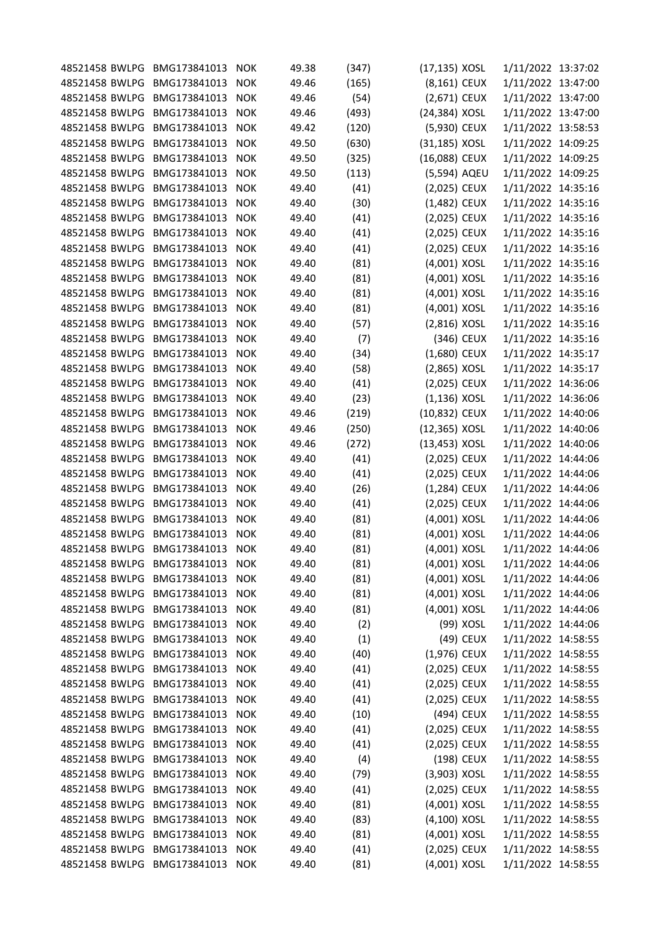| 48521458 BWLPG                   | BMG173841013                     | <b>NOK</b>               | 49.38          | (347) | (17,135) XOSL                |            | 1/11/2022 13:37:02                       |  |
|----------------------------------|----------------------------------|--------------------------|----------------|-------|------------------------------|------------|------------------------------------------|--|
| 48521458 BWLPG                   | BMG173841013                     | <b>NOK</b>               | 49.46          | (165) | (8,161) CEUX                 |            | 1/11/2022 13:47:00                       |  |
| 48521458 BWLPG                   | BMG173841013                     | <b>NOK</b>               | 49.46          | (54)  | (2,671) CEUX                 |            | 1/11/2022 13:47:00                       |  |
| 48521458 BWLPG                   | BMG173841013                     | <b>NOK</b>               | 49.46          | (493) | (24,384) XOSL                |            | 1/11/2022 13:47:00                       |  |
| 48521458 BWLPG                   | BMG173841013                     | <b>NOK</b>               | 49.42          | (120) | (5,930) CEUX                 |            | 1/11/2022 13:58:53                       |  |
| 48521458 BWLPG                   | BMG173841013                     | <b>NOK</b>               | 49.50          | (630) | (31,185) XOSL                |            | 1/11/2022 14:09:25                       |  |
| 48521458 BWLPG                   | BMG173841013                     | <b>NOK</b>               | 49.50          | (325) | (16,088) CEUX                |            | 1/11/2022 14:09:25                       |  |
| 48521458 BWLPG                   | BMG173841013                     | <b>NOK</b>               | 49.50          | (113) | (5,594) AQEU                 |            | 1/11/2022 14:09:25                       |  |
| 48521458 BWLPG                   | BMG173841013                     | <b>NOK</b>               | 49.40          | (41)  | (2,025) CEUX                 |            | 1/11/2022 14:35:16                       |  |
| 48521458 BWLPG                   | BMG173841013                     | <b>NOK</b>               | 49.40          | (30)  | (1,482) CEUX                 |            | 1/11/2022 14:35:16                       |  |
| 48521458 BWLPG                   | BMG173841013                     | <b>NOK</b>               | 49.40          | (41)  | (2,025) CEUX                 |            | 1/11/2022 14:35:16                       |  |
| 48521458 BWLPG                   | BMG173841013                     | <b>NOK</b>               | 49.40          | (41)  | (2,025) CEUX                 |            | 1/11/2022 14:35:16                       |  |
| 48521458 BWLPG                   | BMG173841013                     | <b>NOK</b>               | 49.40          | (41)  | (2,025) CEUX                 |            | 1/11/2022 14:35:16                       |  |
| 48521458 BWLPG                   | BMG173841013                     | <b>NOK</b>               | 49.40          | (81)  | (4,001) XOSL                 |            | 1/11/2022 14:35:16                       |  |
| 48521458 BWLPG                   | BMG173841013                     | <b>NOK</b>               | 49.40          | (81)  | (4,001) XOSL                 |            | 1/11/2022 14:35:16                       |  |
| 48521458 BWLPG                   | BMG173841013                     | <b>NOK</b>               | 49.40          | (81)  | (4,001) XOSL                 |            | 1/11/2022 14:35:16                       |  |
| 48521458 BWLPG                   | BMG173841013                     | <b>NOK</b>               | 49.40          | (81)  | (4,001) XOSL                 |            | 1/11/2022 14:35:16                       |  |
| 48521458 BWLPG                   | BMG173841013                     | <b>NOK</b>               | 49.40          | (57)  | (2,816) XOSL                 |            | 1/11/2022 14:35:16                       |  |
| 48521458 BWLPG                   | BMG173841013                     | <b>NOK</b>               | 49.40          | (7)   |                              | (346) CEUX | 1/11/2022 14:35:16                       |  |
| 48521458 BWLPG                   | BMG173841013                     | <b>NOK</b>               | 49.40          | (34)  | (1,680) CEUX                 |            | 1/11/2022 14:35:17                       |  |
| 48521458 BWLPG                   | BMG173841013                     | <b>NOK</b>               | 49.40          | (58)  | (2,865) XOSL                 |            | 1/11/2022 14:35:17                       |  |
| 48521458 BWLPG                   | BMG173841013                     | <b>NOK</b>               | 49.40          | (41)  | (2,025) CEUX                 |            | 1/11/2022 14:36:06                       |  |
| 48521458 BWLPG                   | BMG173841013                     | <b>NOK</b>               | 49.40          | (23)  | $(1, 136)$ XOSL              |            | 1/11/2022 14:36:06                       |  |
| 48521458 BWLPG                   | BMG173841013                     | <b>NOK</b>               | 49.46          | (219) | (10,832) CEUX                |            | 1/11/2022 14:40:06                       |  |
| 48521458 BWLPG                   | BMG173841013                     | <b>NOK</b>               | 49.46          | (250) | (12,365) XOSL                |            | 1/11/2022 14:40:06                       |  |
| 48521458 BWLPG                   | BMG173841013                     | <b>NOK</b>               | 49.46          | (272) | (13,453) XOSL                |            | 1/11/2022 14:40:06                       |  |
| 48521458 BWLPG                   | BMG173841013                     | <b>NOK</b>               | 49.40          | (41)  | (2,025) CEUX                 |            | 1/11/2022 14:44:06                       |  |
| 48521458 BWLPG                   | BMG173841013                     | <b>NOK</b>               | 49.40          | (41)  | (2,025) CEUX                 |            | 1/11/2022 14:44:06                       |  |
| 48521458 BWLPG                   | BMG173841013                     | <b>NOK</b>               | 49.40          |       | (1,284) CEUX                 |            | 1/11/2022 14:44:06                       |  |
| 48521458 BWLPG                   | BMG173841013                     | <b>NOK</b>               | 49.40          | (26)  |                              |            |                                          |  |
| 48521458 BWLPG                   | BMG173841013                     | <b>NOK</b>               | 49.40          | (41)  | (2,025) CEUX<br>(4,001) XOSL |            | 1/11/2022 14:44:06<br>1/11/2022 14:44:06 |  |
| 48521458 BWLPG                   | BMG173841013                     |                          | 49.40          | (81)  | (4,001) XOSL                 |            | 1/11/2022 14:44:06                       |  |
| 48521458 BWLPG                   | BMG173841013                     | <b>NOK</b>               |                | (81)  | (4,001) XOSL                 |            | 1/11/2022 14:44:06                       |  |
| 48521458 BWLPG                   | BMG173841013                     | <b>NOK</b><br><b>NOK</b> | 49.40<br>49.40 | (81)  | (4,001) XOSL                 |            |                                          |  |
|                                  |                                  |                          |                | (81)  |                              |            | 1/11/2022 14:44:06                       |  |
| 48521458 BWLPG                   | BMG173841013                     | <b>NOK</b>               | 49.40          | (81)  | (4,001) XOSL                 |            | 1/11/2022 14:44:06                       |  |
| 48521458 BWLPG<br>48521458 BWLPG | BMG173841013 NOK                 |                          | 49.40          | (81)  | (4,001) XOSL                 |            | 1/11/2022 14:44:06                       |  |
|                                  | BMG173841013                     | <b>NOK</b>               | 49.40          | (81)  | (4,001) XOSL                 |            | 1/11/2022 14:44:06                       |  |
| 48521458 BWLPG                   | BMG173841013 NOK                 |                          | 49.40          | (2)   |                              | (99) XOSL  | 1/11/2022 14:44:06                       |  |
| 48521458 BWLPG                   | BMG173841013 NOK                 |                          | 49.40          | (1)   |                              | (49) CEUX  | 1/11/2022 14:58:55                       |  |
| 48521458 BWLPG                   | BMG173841013 NOK<br>BMG173841013 |                          | 49.40          | (40)  | (1,976) CEUX                 |            | 1/11/2022 14:58:55                       |  |
| 48521458 BWLPG<br>48521458 BWLPG |                                  | <b>NOK</b>               | 49.40          | (41)  | (2,025) CEUX                 |            | 1/11/2022 14:58:55                       |  |
|                                  | BMG173841013<br>BMG173841013 NOK | <b>NOK</b>               | 49.40          | (41)  | (2,025) CEUX                 |            | 1/11/2022 14:58:55                       |  |
| 48521458 BWLPG                   |                                  |                          | 49.40          | (41)  | (2,025) CEUX                 |            | 1/11/2022 14:58:55                       |  |
| 48521458 BWLPG                   | BMG173841013 NOK                 |                          | 49.40          | (10)  |                              | (494) CEUX | 1/11/2022 14:58:55                       |  |
| 48521458 BWLPG                   | BMG173841013                     | <b>NOK</b>               | 49.40          | (41)  | (2,025) CEUX                 |            | 1/11/2022 14:58:55                       |  |
| 48521458 BWLPG                   | BMG173841013 NOK                 |                          | 49.40          | (41)  | (2,025) CEUX                 |            | 1/11/2022 14:58:55                       |  |
| 48521458 BWLPG                   | BMG173841013 NOK                 |                          | 49.40          | (4)   |                              | (198) CEUX | 1/11/2022 14:58:55                       |  |
| 48521458 BWLPG                   | BMG173841013                     | <b>NOK</b>               | 49.40          | (79)  | $(3,903)$ XOSL               |            | 1/11/2022 14:58:55                       |  |
| 48521458 BWLPG                   | BMG173841013                     | <b>NOK</b>               | 49.40          | (41)  | (2,025) CEUX                 |            | 1/11/2022 14:58:55                       |  |
| 48521458 BWLPG                   | BMG173841013                     | <b>NOK</b>               | 49.40          | (81)  | (4,001) XOSL                 |            | 1/11/2022 14:58:55                       |  |
| 48521458 BWLPG                   | BMG173841013                     | <b>NOK</b>               | 49.40          | (83)  | (4,100) XOSL                 |            | 1/11/2022 14:58:55                       |  |
| 48521458 BWLPG                   | BMG173841013                     | <b>NOK</b>               | 49.40          | (81)  | (4,001) XOSL                 |            | 1/11/2022 14:58:55                       |  |
| 48521458 BWLPG                   | BMG173841013                     | <b>NOK</b>               | 49.40          | (41)  | (2,025) CEUX                 |            | 1/11/2022 14:58:55                       |  |
| 48521458 BWLPG                   | BMG173841013 NOK                 |                          | 49.40          | (81)  | (4,001) XOSL                 |            | 1/11/2022 14:58:55                       |  |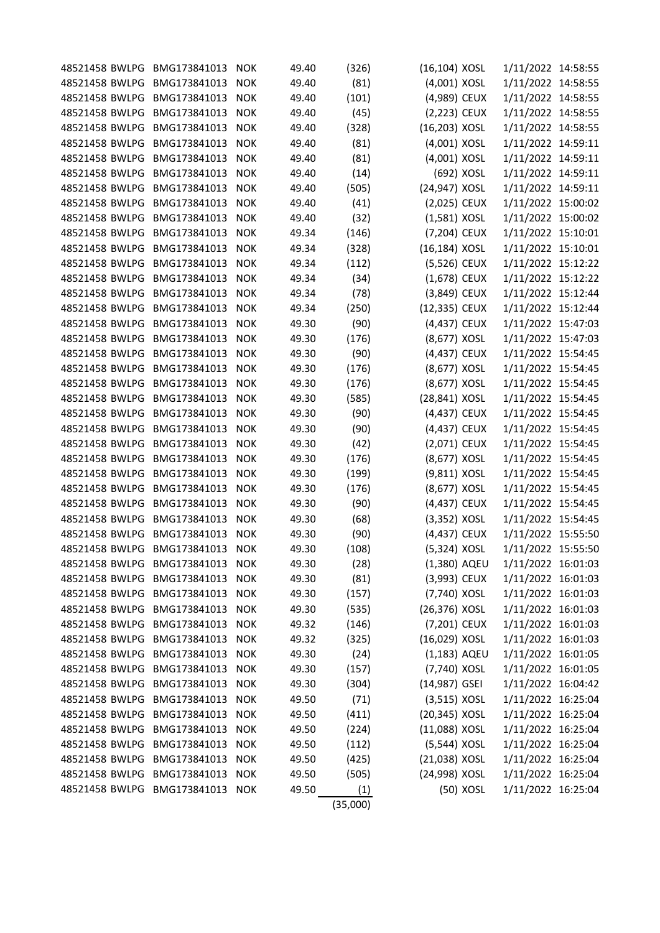| 48521458 BWLPG                   | BMG173841013                 | <b>NOK</b> | 49.40 | (326)    | (16,104) XOSL                 |            | 1/11/2022 14:58:55                       |  |
|----------------------------------|------------------------------|------------|-------|----------|-------------------------------|------------|------------------------------------------|--|
| 48521458 BWLPG                   | BMG173841013                 | <b>NOK</b> | 49.40 | (81)     | (4,001) XOSL                  |            | 1/11/2022 14:58:55                       |  |
| 48521458 BWLPG                   | BMG173841013                 | <b>NOK</b> | 49.40 | (101)    | (4,989) CEUX                  |            | 1/11/2022 14:58:55                       |  |
| 48521458 BWLPG                   | BMG173841013                 | <b>NOK</b> | 49.40 |          | (2,223) CEUX                  |            | 1/11/2022 14:58:55                       |  |
|                                  |                              | <b>NOK</b> |       | (45)     |                               |            |                                          |  |
| 48521458 BWLPG<br>48521458 BWLPG | BMG173841013<br>BMG173841013 |            | 49.40 | (328)    | (16,203) XOSL<br>(4,001) XOSL |            | 1/11/2022 14:58:55<br>1/11/2022 14:59:11 |  |
|                                  |                              | <b>NOK</b> | 49.40 | (81)     |                               |            |                                          |  |
| 48521458 BWLPG                   | BMG173841013                 | <b>NOK</b> | 49.40 | (81)     | (4,001) XOSL                  |            | 1/11/2022 14:59:11                       |  |
| 48521458 BWLPG                   | BMG173841013                 | <b>NOK</b> | 49.40 | (14)     |                               | (692) XOSL | 1/11/2022 14:59:11                       |  |
| 48521458 BWLPG                   | BMG173841013                 | <b>NOK</b> | 49.40 | (505)    | (24,947) XOSL                 |            | 1/11/2022 14:59:11                       |  |
| 48521458 BWLPG                   | BMG173841013                 | <b>NOK</b> | 49.40 | (41)     | (2,025) CEUX                  |            | 1/11/2022 15:00:02                       |  |
| 48521458 BWLPG                   | BMG173841013                 | <b>NOK</b> | 49.40 | (32)     | $(1,581)$ XOSL                |            | 1/11/2022 15:00:02                       |  |
| 48521458 BWLPG                   | BMG173841013                 | <b>NOK</b> | 49.34 | (146)    | (7,204) CEUX                  |            | 1/11/2022 15:10:01                       |  |
| 48521458 BWLPG                   | BMG173841013                 | <b>NOK</b> | 49.34 | (328)    | (16,184) XOSL                 |            | 1/11/2022 15:10:01                       |  |
| 48521458 BWLPG                   | BMG173841013                 | <b>NOK</b> | 49.34 | (112)    | (5,526) CEUX                  |            | 1/11/2022 15:12:22                       |  |
| 48521458 BWLPG                   | BMG173841013                 | <b>NOK</b> | 49.34 | (34)     | (1,678) CEUX                  |            | 1/11/2022 15:12:22                       |  |
| 48521458 BWLPG                   | BMG173841013                 | <b>NOK</b> | 49.34 | (78)     | (3,849) CEUX                  |            | 1/11/2022 15:12:44                       |  |
| 48521458 BWLPG                   | BMG173841013                 | <b>NOK</b> | 49.34 | (250)    | (12,335) CEUX                 |            | 1/11/2022 15:12:44                       |  |
| 48521458 BWLPG                   | BMG173841013                 | <b>NOK</b> | 49.30 | (90)     | (4,437) CEUX                  |            | 1/11/2022 15:47:03                       |  |
| 48521458 BWLPG                   | BMG173841013                 | <b>NOK</b> | 49.30 | (176)    | (8,677) XOSL                  |            | 1/11/2022 15:47:03                       |  |
| 48521458 BWLPG                   | BMG173841013                 | <b>NOK</b> | 49.30 | (90)     | (4,437) CEUX                  |            | 1/11/2022 15:54:45                       |  |
| 48521458 BWLPG                   | BMG173841013                 | <b>NOK</b> | 49.30 | (176)    | (8,677) XOSL                  |            | 1/11/2022 15:54:45                       |  |
| 48521458 BWLPG                   | BMG173841013                 | <b>NOK</b> | 49.30 | (176)    | (8,677) XOSL                  |            | 1/11/2022 15:54:45                       |  |
| 48521458 BWLPG                   | BMG173841013                 | <b>NOK</b> | 49.30 | (585)    | (28,841) XOSL                 |            | 1/11/2022 15:54:45                       |  |
| 48521458 BWLPG                   | BMG173841013                 | <b>NOK</b> | 49.30 | (90)     | (4,437) CEUX                  |            | 1/11/2022 15:54:45                       |  |
| 48521458 BWLPG                   | BMG173841013                 | <b>NOK</b> | 49.30 | (90)     | (4,437) CEUX                  |            | 1/11/2022 15:54:45                       |  |
| 48521458 BWLPG                   | BMG173841013                 | <b>NOK</b> | 49.30 | (42)     | (2,071) CEUX                  |            | 1/11/2022 15:54:45                       |  |
| 48521458 BWLPG                   | BMG173841013                 | <b>NOK</b> | 49.30 | (176)    | (8,677) XOSL                  |            | 1/11/2022 15:54:45                       |  |
| 48521458 BWLPG                   | BMG173841013                 | <b>NOK</b> | 49.30 | (199)    | (9,811) XOSL                  |            | 1/11/2022 15:54:45                       |  |
| 48521458 BWLPG                   | BMG173841013                 | <b>NOK</b> | 49.30 | (176)    | (8,677) XOSL                  |            | 1/11/2022 15:54:45                       |  |
| 48521458 BWLPG                   | BMG173841013                 | <b>NOK</b> | 49.30 | (90)     | (4,437) CEUX                  |            | 1/11/2022 15:54:45                       |  |
| 48521458 BWLPG                   | BMG173841013                 | <b>NOK</b> | 49.30 | (68)     | $(3,352)$ XOSL                |            | 1/11/2022 15:54:45                       |  |
| 48521458 BWLPG                   | BMG173841013                 | <b>NOK</b> | 49.30 | (90)     | (4,437) CEUX                  |            | 1/11/2022 15:55:50                       |  |
| 48521458 BWLPG                   | BMG173841013                 | <b>NOK</b> | 49.30 | (108)    | (5,324) XOSL                  |            | 1/11/2022 15:55:50                       |  |
| 48521458 BWLPG                   | BMG173841013                 | <b>NOK</b> | 49.30 | (28)     | (1,380) AQEU                  |            | 1/11/2022 16:01:03                       |  |
| 48521458 BWLPG                   | BMG173841013                 | <b>NOK</b> | 49.30 | (81)     | (3,993) CEUX                  |            | 1/11/2022 16:01:03                       |  |
| 48521458 BWLPG                   | BMG173841013 NOK             |            | 49.30 | (157)    | (7,740) XOSL                  |            | 1/11/2022 16:01:03                       |  |
| 48521458 BWLPG                   | BMG173841013                 | <b>NOK</b> | 49.30 | (535)    | (26,376) XOSL                 |            | 1/11/2022 16:01:03                       |  |
| 48521458 BWLPG                   | BMG173841013 NOK             |            | 49.32 | (146)    | (7,201) CEUX                  |            | 1/11/2022 16:01:03                       |  |
| 48521458 BWLPG                   | BMG173841013 NOK             |            | 49.32 | (325)    | (16,029) XOSL                 |            | 1/11/2022 16:01:03                       |  |
| 48521458 BWLPG                   | BMG173841013 NOK             |            | 49.30 | (24)     | (1,183) AQEU                  |            | 1/11/2022 16:01:05                       |  |
| 48521458 BWLPG                   | BMG173841013                 | <b>NOK</b> | 49.30 | (157)    | (7,740) XOSL                  |            | 1/11/2022 16:01:05                       |  |
| 48521458 BWLPG                   | BMG173841013                 | <b>NOK</b> | 49.30 | (304)    | (14,987) GSEI                 |            | 1/11/2022 16:04:42                       |  |
| 48521458 BWLPG                   | BMG173841013 NOK             |            | 49.50 | (71)     | $(3,515)$ XOSL                |            | 1/11/2022 16:25:04                       |  |
| 48521458 BWLPG                   | BMG173841013 NOK             |            | 49.50 | (411)    | (20,345) XOSL                 |            | 1/11/2022 16:25:04                       |  |
| 48521458 BWLPG                   | BMG173841013                 | <b>NOK</b> | 49.50 | (224)    | (11,088) XOSL                 |            | 1/11/2022 16:25:04                       |  |
| 48521458 BWLPG                   | BMG173841013 NOK             |            | 49.50 | (112)    | (5,544) XOSL                  |            | 1/11/2022 16:25:04                       |  |
| 48521458 BWLPG                   | BMG173841013                 | <b>NOK</b> | 49.50 | (425)    | (21,038) XOSL                 |            | 1/11/2022 16:25:04                       |  |
| 48521458 BWLPG                   | BMG173841013                 | <b>NOK</b> | 49.50 | (505)    | (24,998) XOSL                 |            | 1/11/2022 16:25:04                       |  |
| 48521458 BWLPG                   | BMG173841013                 | <b>NOK</b> | 49.50 |          |                               | (50) XOSL  | 1/11/2022 16:25:04                       |  |
|                                  |                              |            |       | (1)      |                               |            |                                          |  |
|                                  |                              |            |       | (35,000) |                               |            |                                          |  |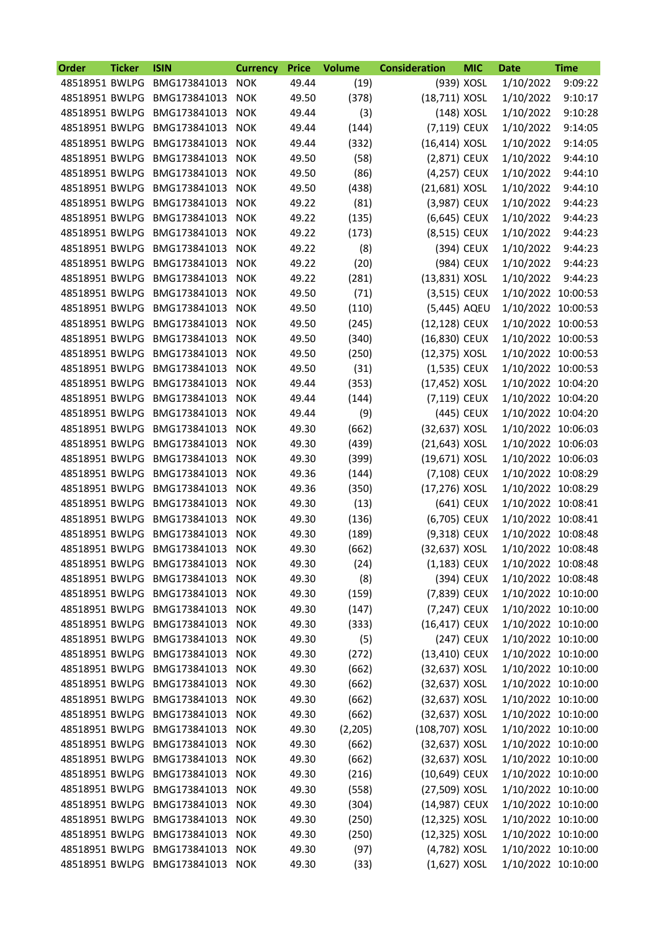| Order          | <b>Ticker</b> | <b>ISIN</b>                     | <b>Currency</b> | <b>Price</b> | <b>Volume</b> | <b>Consideration</b> | <b>MIC</b> | Date               | <b>Time</b> |
|----------------|---------------|---------------------------------|-----------------|--------------|---------------|----------------------|------------|--------------------|-------------|
| 48518951 BWLPG |               | BMG173841013                    | <b>NOK</b>      | 49.44        | (19)          |                      | (939) XOSL | 1/10/2022          | 9:09:22     |
| 48518951 BWLPG |               | BMG173841013                    | <b>NOK</b>      | 49.50        | (378)         | (18,711) XOSL        |            | 1/10/2022          | 9:10:17     |
| 48518951 BWLPG |               | BMG173841013                    | <b>NOK</b>      | 49.44        | (3)           |                      | (148) XOSL | 1/10/2022          | 9:10:28     |
| 48518951 BWLPG |               | BMG173841013                    | <b>NOK</b>      | 49.44        | (144)         | (7,119) CEUX         |            | 1/10/2022          | 9:14:05     |
| 48518951 BWLPG |               | BMG173841013                    | <b>NOK</b>      | 49.44        | (332)         | $(16, 414)$ XOSL     |            | 1/10/2022          | 9:14:05     |
| 48518951 BWLPG |               | BMG173841013                    | <b>NOK</b>      | 49.50        | (58)          | (2,871) CEUX         |            | 1/10/2022          | 9:44:10     |
| 48518951 BWLPG |               | BMG173841013                    | <b>NOK</b>      | 49.50        | (86)          | (4,257) CEUX         |            | 1/10/2022          | 9:44:10     |
| 48518951 BWLPG |               | BMG173841013                    | <b>NOK</b>      | 49.50        | (438)         | (21,681) XOSL        |            | 1/10/2022          | 9:44:10     |
| 48518951 BWLPG |               | BMG173841013                    | <b>NOK</b>      | 49.22        | (81)          | (3,987) CEUX         |            | 1/10/2022          | 9:44:23     |
| 48518951 BWLPG |               | BMG173841013                    | <b>NOK</b>      | 49.22        | (135)         | (6,645) CEUX         |            | 1/10/2022          | 9:44:23     |
| 48518951 BWLPG |               | BMG173841013                    | <b>NOK</b>      | 49.22        | (173)         | (8,515) CEUX         |            | 1/10/2022          | 9:44:23     |
| 48518951 BWLPG |               | BMG173841013                    | <b>NOK</b>      | 49.22        | (8)           |                      | (394) CEUX | 1/10/2022          | 9:44:23     |
| 48518951 BWLPG |               | BMG173841013                    | <b>NOK</b>      | 49.22        | (20)          |                      | (984) CEUX | 1/10/2022          | 9:44:23     |
| 48518951 BWLPG |               | BMG173841013                    | <b>NOK</b>      | 49.22        | (281)         | (13,831) XOSL        |            | 1/10/2022          | 9:44:23     |
| 48518951 BWLPG |               | BMG173841013                    | <b>NOK</b>      | 49.50        | (71)          | (3,515) CEUX         |            | 1/10/2022 10:00:53 |             |
| 48518951 BWLPG |               | BMG173841013                    | <b>NOK</b>      | 49.50        | (110)         | (5,445) AQEU         |            | 1/10/2022 10:00:53 |             |
| 48518951 BWLPG |               | BMG173841013                    | <b>NOK</b>      | 49.50        | (245)         | (12,128) CEUX        |            | 1/10/2022 10:00:53 |             |
| 48518951 BWLPG |               | BMG173841013                    | <b>NOK</b>      | 49.50        | (340)         | (16,830) CEUX        |            | 1/10/2022 10:00:53 |             |
| 48518951 BWLPG |               | BMG173841013                    | <b>NOK</b>      | 49.50        | (250)         | (12,375) XOSL        |            | 1/10/2022 10:00:53 |             |
| 48518951 BWLPG |               | BMG173841013                    | <b>NOK</b>      | 49.50        | (31)          | (1,535) CEUX         |            | 1/10/2022 10:00:53 |             |
| 48518951 BWLPG |               | BMG173841013                    | <b>NOK</b>      | 49.44        | (353)         | (17,452) XOSL        |            | 1/10/2022 10:04:20 |             |
| 48518951 BWLPG |               | BMG173841013                    | <b>NOK</b>      | 49.44        | (144)         | (7,119) CEUX         |            | 1/10/2022 10:04:20 |             |
| 48518951 BWLPG |               | BMG173841013                    | <b>NOK</b>      | 49.44        | (9)           |                      | (445) CEUX | 1/10/2022 10:04:20 |             |
| 48518951 BWLPG |               | BMG173841013                    | <b>NOK</b>      | 49.30        | (662)         | (32,637) XOSL        |            | 1/10/2022 10:06:03 |             |
| 48518951 BWLPG |               | BMG173841013                    | <b>NOK</b>      | 49.30        | (439)         | (21,643) XOSL        |            | 1/10/2022 10:06:03 |             |
| 48518951 BWLPG |               | BMG173841013                    | <b>NOK</b>      | 49.30        | (399)         | (19,671) XOSL        |            | 1/10/2022 10:06:03 |             |
| 48518951 BWLPG |               | BMG173841013                    | <b>NOK</b>      | 49.36        | (144)         | (7,108) CEUX         |            | 1/10/2022 10:08:29 |             |
| 48518951 BWLPG |               | BMG173841013                    | <b>NOK</b>      | 49.36        | (350)         | (17,276) XOSL        |            | 1/10/2022 10:08:29 |             |
| 48518951 BWLPG |               | BMG173841013                    | <b>NOK</b>      | 49.30        | (13)          |                      | (641) CEUX | 1/10/2022 10:08:41 |             |
| 48518951 BWLPG |               | BMG173841013                    | <b>NOK</b>      | 49.30        | (136)         | (6,705) CEUX         |            | 1/10/2022 10:08:41 |             |
| 48518951 BWLPG |               | BMG173841013                    | <b>NOK</b>      | 49.30        | (189)         | (9,318) CEUX         |            | 1/10/2022 10:08:48 |             |
| 48518951 BWLPG |               | BMG173841013                    | <b>NOK</b>      | 49.30        | (662)         | (32,637) XOSL        |            | 1/10/2022 10:08:48 |             |
| 48518951 BWLPG |               | BMG173841013                    | <b>NOK</b>      | 49.30        | (24)          | $(1,183)$ CEUX       |            | 1/10/2022 10:08:48 |             |
| 48518951 BWLPG |               | BMG173841013                    | <b>NOK</b>      | 49.30        | (8)           |                      | (394) CEUX | 1/10/2022 10:08:48 |             |
| 48518951 BWLPG |               | BMG173841013                    | <b>NOK</b>      | 49.30        | (159)         | (7,839) CEUX         |            | 1/10/2022 10:10:00 |             |
| 48518951 BWLPG |               | BMG173841013                    | <b>NOK</b>      | 49.30        | (147)         | (7,247) CEUX         |            | 1/10/2022 10:10:00 |             |
| 48518951 BWLPG |               | BMG173841013                    | <b>NOK</b>      | 49.30        | (333)         | (16,417) CEUX        |            | 1/10/2022 10:10:00 |             |
| 48518951 BWLPG |               | BMG173841013 NOK                |                 | 49.30        | (5)           |                      | (247) CEUX | 1/10/2022 10:10:00 |             |
| 48518951 BWLPG |               | BMG173841013                    | <b>NOK</b>      | 49.30        | (272)         | (13,410) CEUX        |            | 1/10/2022 10:10:00 |             |
| 48518951 BWLPG |               | BMG173841013                    | <b>NOK</b>      | 49.30        | (662)         | (32,637) XOSL        |            | 1/10/2022 10:10:00 |             |
| 48518951 BWLPG |               | BMG173841013                    | <b>NOK</b>      | 49.30        | (662)         | (32,637) XOSL        |            | 1/10/2022 10:10:00 |             |
|                |               | 48518951 BWLPG BMG173841013 NOK |                 | 49.30        | (662)         | (32,637) XOSL        |            | 1/10/2022 10:10:00 |             |
| 48518951 BWLPG |               | BMG173841013 NOK                |                 | 49.30        | (662)         | (32,637) XOSL        |            | 1/10/2022 10:10:00 |             |
| 48518951 BWLPG |               | BMG173841013                    | <b>NOK</b>      | 49.30        | (2, 205)      | (108,707) XOSL       |            | 1/10/2022 10:10:00 |             |
| 48518951 BWLPG |               | BMG173841013 NOK                |                 | 49.30        | (662)         | (32,637) XOSL        |            | 1/10/2022 10:10:00 |             |
| 48518951 BWLPG |               | BMG173841013 NOK                |                 | 49.30        | (662)         | (32,637) XOSL        |            | 1/10/2022 10:10:00 |             |
| 48518951 BWLPG |               | BMG173841013                    | <b>NOK</b>      | 49.30        | (216)         | (10,649) CEUX        |            | 1/10/2022 10:10:00 |             |
| 48518951 BWLPG |               | BMG173841013                    | <b>NOK</b>      | 49.30        | (558)         | (27,509) XOSL        |            | 1/10/2022 10:10:00 |             |
| 48518951 BWLPG |               | BMG173841013                    | <b>NOK</b>      | 49.30        | (304)         | (14,987) CEUX        |            | 1/10/2022 10:10:00 |             |
| 48518951 BWLPG |               | BMG173841013 NOK                |                 | 49.30        | (250)         | (12,325) XOSL        |            | 1/10/2022 10:10:00 |             |
| 48518951 BWLPG |               | BMG173841013                    | <b>NOK</b>      | 49.30        | (250)         | (12,325) XOSL        |            | 1/10/2022 10:10:00 |             |
| 48518951 BWLPG |               | BMG173841013                    | <b>NOK</b>      | 49.30        | (97)          | (4,782) XOSL         |            | 1/10/2022 10:10:00 |             |
|                |               | 48518951 BWLPG BMG173841013 NOK |                 | 49.30        | (33)          | $(1,627)$ XOSL       |            | 1/10/2022 10:10:00 |             |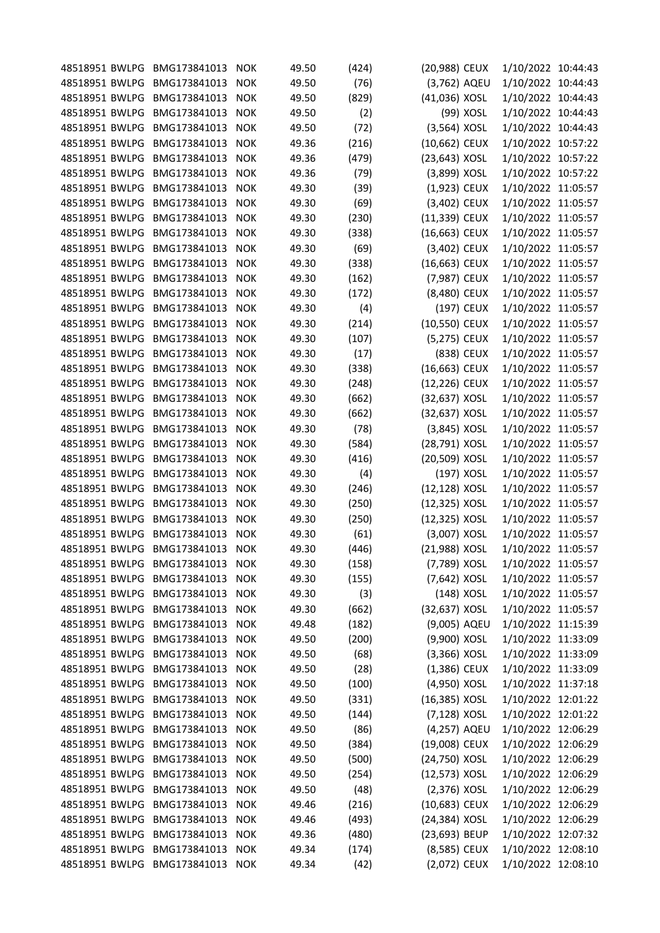| 48518951 BWLPG | BMG173841013     | <b>NOK</b> | 49.50 | (424) | (20,988) CEUX  | 1/10/2022 10:44:43 |  |
|----------------|------------------|------------|-------|-------|----------------|--------------------|--|
| 48518951 BWLPG | BMG173841013     | <b>NOK</b> | 49.50 | (76)  | (3,762) AQEU   | 1/10/2022 10:44:43 |  |
| 48518951 BWLPG | BMG173841013     | <b>NOK</b> | 49.50 | (829) | (41,036) XOSL  | 1/10/2022 10:44:43 |  |
| 48518951 BWLPG | BMG173841013     | <b>NOK</b> | 49.50 | (2)   | (99) XOSL      | 1/10/2022 10:44:43 |  |
| 48518951 BWLPG | BMG173841013     | <b>NOK</b> | 49.50 | (72)  | (3,564) XOSL   | 1/10/2022 10:44:43 |  |
| 48518951 BWLPG | BMG173841013     | <b>NOK</b> | 49.36 | (216) | (10,662) CEUX  | 1/10/2022 10:57:22 |  |
| 48518951 BWLPG | BMG173841013     | <b>NOK</b> | 49.36 | (479) | (23,643) XOSL  | 1/10/2022 10:57:22 |  |
| 48518951 BWLPG | BMG173841013     | <b>NOK</b> | 49.36 | (79)  | (3,899) XOSL   | 1/10/2022 10:57:22 |  |
| 48518951 BWLPG | BMG173841013     | <b>NOK</b> | 49.30 | (39)  | (1,923) CEUX   | 1/10/2022 11:05:57 |  |
| 48518951 BWLPG | BMG173841013     | <b>NOK</b> | 49.30 | (69)  | (3,402) CEUX   | 1/10/2022 11:05:57 |  |
| 48518951 BWLPG | BMG173841013     | <b>NOK</b> | 49.30 | (230) | (11,339) CEUX  | 1/10/2022 11:05:57 |  |
| 48518951 BWLPG | BMG173841013     | <b>NOK</b> | 49.30 | (338) | (16,663) CEUX  | 1/10/2022 11:05:57 |  |
| 48518951 BWLPG | BMG173841013     | <b>NOK</b> | 49.30 | (69)  | (3,402) CEUX   | 1/10/2022 11:05:57 |  |
| 48518951 BWLPG | BMG173841013     | <b>NOK</b> | 49.30 | (338) | (16,663) CEUX  | 1/10/2022 11:05:57 |  |
| 48518951 BWLPG | BMG173841013     | <b>NOK</b> | 49.30 | (162) | (7,987) CEUX   | 1/10/2022 11:05:57 |  |
| 48518951 BWLPG | BMG173841013     | <b>NOK</b> | 49.30 | (172) | (8,480) CEUX   | 1/10/2022 11:05:57 |  |
| 48518951 BWLPG | BMG173841013     | <b>NOK</b> | 49.30 | (4)   | (197) CEUX     | 1/10/2022 11:05:57 |  |
| 48518951 BWLPG | BMG173841013     | <b>NOK</b> | 49.30 | (214) | (10,550) CEUX  | 1/10/2022 11:05:57 |  |
| 48518951 BWLPG | BMG173841013     | <b>NOK</b> | 49.30 | (107) | (5,275) CEUX   | 1/10/2022 11:05:57 |  |
| 48518951 BWLPG | BMG173841013     |            | 49.30 |       | (838) CEUX     |                    |  |
|                | BMG173841013     | <b>NOK</b> |       | (17)  |                | 1/10/2022 11:05:57 |  |
| 48518951 BWLPG | BMG173841013     | <b>NOK</b> | 49.30 | (338) | (16,663) CEUX  | 1/10/2022 11:05:57 |  |
| 48518951 BWLPG |                  | <b>NOK</b> | 49.30 | (248) | (12,226) CEUX  | 1/10/2022 11:05:57 |  |
| 48518951 BWLPG | BMG173841013     | <b>NOK</b> | 49.30 | (662) | (32,637) XOSL  | 1/10/2022 11:05:57 |  |
| 48518951 BWLPG | BMG173841013     | <b>NOK</b> | 49.30 | (662) | (32,637) XOSL  | 1/10/2022 11:05:57 |  |
| 48518951 BWLPG | BMG173841013     | <b>NOK</b> | 49.30 | (78)  | (3,845) XOSL   | 1/10/2022 11:05:57 |  |
| 48518951 BWLPG | BMG173841013     | <b>NOK</b> | 49.30 | (584) | (28,791) XOSL  | 1/10/2022 11:05:57 |  |
| 48518951 BWLPG | BMG173841013     | <b>NOK</b> | 49.30 | (416) | (20,509) XOSL  | 1/10/2022 11:05:57 |  |
| 48518951 BWLPG | BMG173841013     | <b>NOK</b> | 49.30 | (4)   | (197) XOSL     | 1/10/2022 11:05:57 |  |
| 48518951 BWLPG | BMG173841013     | <b>NOK</b> | 49.30 | (246) | (12,128) XOSL  | 1/10/2022 11:05:57 |  |
| 48518951 BWLPG | BMG173841013     | <b>NOK</b> | 49.30 | (250) | (12,325) XOSL  | 1/10/2022 11:05:57 |  |
| 48518951 BWLPG | BMG173841013     | <b>NOK</b> | 49.30 | (250) | (12,325) XOSL  | 1/10/2022 11:05:57 |  |
| 48518951 BWLPG | BMG173841013     | <b>NOK</b> | 49.30 | (61)  | (3,007) XOSL   | 1/10/2022 11:05:57 |  |
| 48518951 BWLPG | BMG173841013     | <b>NOK</b> | 49.30 | (446) | (21,988) XOSL  | 1/10/2022 11:05:57 |  |
| 48518951 BWLPG | BMG173841013     | <b>NOK</b> | 49.30 | (158) | (7,789) XOSL   | 1/10/2022 11:05:57 |  |
| 48518951 BWLPG | BMG173841013     | <b>NOK</b> | 49.30 | (155) | (7,642) XOSL   | 1/10/2022 11:05:57 |  |
| 48518951 BWLPG | BMG173841013 NOK |            | 49.30 | (3)   | (148) XOSL     | 1/10/2022 11:05:57 |  |
| 48518951 BWLPG | BMG173841013     | <b>NOK</b> | 49.30 | (662) | (32,637) XOSL  | 1/10/2022 11:05:57 |  |
| 48518951 BWLPG | BMG173841013     | <b>NOK</b> | 49.48 | (182) | (9,005) AQEU   | 1/10/2022 11:15:39 |  |
| 48518951 BWLPG | BMG173841013 NOK |            | 49.50 | (200) | (9,900) XOSL   | 1/10/2022 11:33:09 |  |
| 48518951 BWLPG | BMG173841013     | <b>NOK</b> | 49.50 | (68)  | $(3,366)$ XOSL | 1/10/2022 11:33:09 |  |
| 48518951 BWLPG | BMG173841013     | <b>NOK</b> | 49.50 | (28)  | $(1,386)$ CEUX | 1/10/2022 11:33:09 |  |
| 48518951 BWLPG | BMG173841013     | <b>NOK</b> | 49.50 | (100) | (4,950) XOSL   | 1/10/2022 11:37:18 |  |
| 48518951 BWLPG | BMG173841013     | <b>NOK</b> | 49.50 | (331) | (16,385) XOSL  | 1/10/2022 12:01:22 |  |
| 48518951 BWLPG | BMG173841013     | <b>NOK</b> | 49.50 | (144) | (7,128) XOSL   | 1/10/2022 12:01:22 |  |
| 48518951 BWLPG | BMG173841013     | <b>NOK</b> | 49.50 | (86)  | (4,257) AQEU   | 1/10/2022 12:06:29 |  |
| 48518951 BWLPG | BMG173841013 NOK |            | 49.50 | (384) | (19,008) CEUX  | 1/10/2022 12:06:29 |  |
| 48518951 BWLPG | BMG173841013     | NOK        | 49.50 | (500) | (24,750) XOSL  | 1/10/2022 12:06:29 |  |
| 48518951 BWLPG | BMG173841013     | <b>NOK</b> | 49.50 | (254) | (12,573) XOSL  | 1/10/2022 12:06:29 |  |
| 48518951 BWLPG | BMG173841013     | <b>NOK</b> | 49.50 | (48)  | $(2,376)$ XOSL | 1/10/2022 12:06:29 |  |
| 48518951 BWLPG | BMG173841013     | <b>NOK</b> | 49.46 | (216) | (10,683) CEUX  | 1/10/2022 12:06:29 |  |
| 48518951 BWLPG | BMG173841013     | <b>NOK</b> | 49.46 | (493) | (24,384) XOSL  | 1/10/2022 12:06:29 |  |
| 48518951 BWLPG | BMG173841013     | <b>NOK</b> | 49.36 | (480) | (23,693) BEUP  | 1/10/2022 12:07:32 |  |
| 48518951 BWLPG | BMG173841013     | <b>NOK</b> | 49.34 | (174) | (8,585) CEUX   | 1/10/2022 12:08:10 |  |
| 48518951 BWLPG | BMG173841013 NOK |            | 49.34 | (42)  | (2,072) CEUX   | 1/10/2022 12:08:10 |  |
|                |                  |            |       |       |                |                    |  |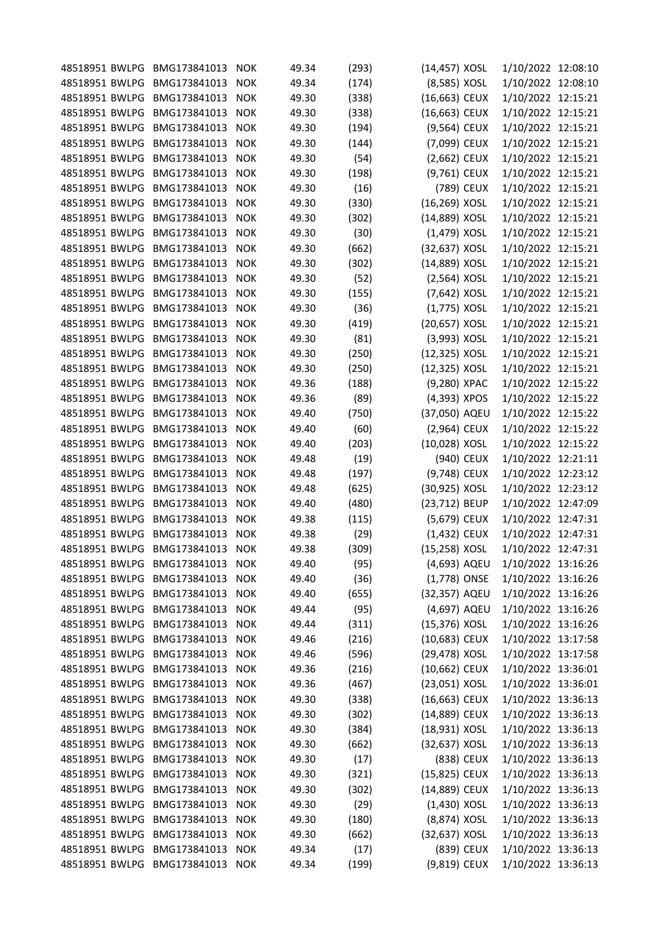| 48518951 BWLPG |                                                                                                                                                                                                                                                                                                                                                                                                                                                                                                                                                                                                                | <b>NOK</b>                                                                                                                                                                                                                                                                                                                                                                                                                                                                                                                                                                                                                                                                   |                                                                                                                                                                                                                                                                                                                                                                                                                                                                                                                                                                                                                                                                                                                                        |                                                                                                                                                                                                                                                                                                                                                    |                                                                                                                                                                                                                                                                                                                                       |                                                                                                                                                                                                                                                                                                                                                                                                                                                                                                                                                                                                                                                                                                                                                                                                                                                                                                                        |                                                                                                                                                                                                                                                                                                                                                                                                                                                                                                                                                                                                                                                                                                                                                                                                                                                                                                              |
|----------------|----------------------------------------------------------------------------------------------------------------------------------------------------------------------------------------------------------------------------------------------------------------------------------------------------------------------------------------------------------------------------------------------------------------------------------------------------------------------------------------------------------------------------------------------------------------------------------------------------------------|------------------------------------------------------------------------------------------------------------------------------------------------------------------------------------------------------------------------------------------------------------------------------------------------------------------------------------------------------------------------------------------------------------------------------------------------------------------------------------------------------------------------------------------------------------------------------------------------------------------------------------------------------------------------------|----------------------------------------------------------------------------------------------------------------------------------------------------------------------------------------------------------------------------------------------------------------------------------------------------------------------------------------------------------------------------------------------------------------------------------------------------------------------------------------------------------------------------------------------------------------------------------------------------------------------------------------------------------------------------------------------------------------------------------------|----------------------------------------------------------------------------------------------------------------------------------------------------------------------------------------------------------------------------------------------------------------------------------------------------------------------------------------------------|---------------------------------------------------------------------------------------------------------------------------------------------------------------------------------------------------------------------------------------------------------------------------------------------------------------------------------------|------------------------------------------------------------------------------------------------------------------------------------------------------------------------------------------------------------------------------------------------------------------------------------------------------------------------------------------------------------------------------------------------------------------------------------------------------------------------------------------------------------------------------------------------------------------------------------------------------------------------------------------------------------------------------------------------------------------------------------------------------------------------------------------------------------------------------------------------------------------------------------------------------------------------|--------------------------------------------------------------------------------------------------------------------------------------------------------------------------------------------------------------------------------------------------------------------------------------------------------------------------------------------------------------------------------------------------------------------------------------------------------------------------------------------------------------------------------------------------------------------------------------------------------------------------------------------------------------------------------------------------------------------------------------------------------------------------------------------------------------------------------------------------------------------------------------------------------------|
| 48518951 BWLPG |                                                                                                                                                                                                                                                                                                                                                                                                                                                                                                                                                                                                                | <b>NOK</b>                                                                                                                                                                                                                                                                                                                                                                                                                                                                                                                                                                                                                                                                   |                                                                                                                                                                                                                                                                                                                                                                                                                                                                                                                                                                                                                                                                                                                                        |                                                                                                                                                                                                                                                                                                                                                    |                                                                                                                                                                                                                                                                                                                                       |                                                                                                                                                                                                                                                                                                                                                                                                                                                                                                                                                                                                                                                                                                                                                                                                                                                                                                                        |                                                                                                                                                                                                                                                                                                                                                                                                                                                                                                                                                                                                                                                                                                                                                                                                                                                                                                              |
| 48518951 BWLPG |                                                                                                                                                                                                                                                                                                                                                                                                                                                                                                                                                                                                                |                                                                                                                                                                                                                                                                                                                                                                                                                                                                                                                                                                                                                                                                              |                                                                                                                                                                                                                                                                                                                                                                                                                                                                                                                                                                                                                                                                                                                                        |                                                                                                                                                                                                                                                                                                                                                    |                                                                                                                                                                                                                                                                                                                                       |                                                                                                                                                                                                                                                                                                                                                                                                                                                                                                                                                                                                                                                                                                                                                                                                                                                                                                                        |                                                                                                                                                                                                                                                                                                                                                                                                                                                                                                                                                                                                                                                                                                                                                                                                                                                                                                              |
|                |                                                                                                                                                                                                                                                                                                                                                                                                                                                                                                                                                                                                                |                                                                                                                                                                                                                                                                                                                                                                                                                                                                                                                                                                                                                                                                              |                                                                                                                                                                                                                                                                                                                                                                                                                                                                                                                                                                                                                                                                                                                                        |                                                                                                                                                                                                                                                                                                                                                    |                                                                                                                                                                                                                                                                                                                                       |                                                                                                                                                                                                                                                                                                                                                                                                                                                                                                                                                                                                                                                                                                                                                                                                                                                                                                                        |                                                                                                                                                                                                                                                                                                                                                                                                                                                                                                                                                                                                                                                                                                                                                                                                                                                                                                              |
|                |                                                                                                                                                                                                                                                                                                                                                                                                                                                                                                                                                                                                                |                                                                                                                                                                                                                                                                                                                                                                                                                                                                                                                                                                                                                                                                              |                                                                                                                                                                                                                                                                                                                                                                                                                                                                                                                                                                                                                                                                                                                                        |                                                                                                                                                                                                                                                                                                                                                    |                                                                                                                                                                                                                                                                                                                                       |                                                                                                                                                                                                                                                                                                                                                                                                                                                                                                                                                                                                                                                                                                                                                                                                                                                                                                                        |                                                                                                                                                                                                                                                                                                                                                                                                                                                                                                                                                                                                                                                                                                                                                                                                                                                                                                              |
|                |                                                                                                                                                                                                                                                                                                                                                                                                                                                                                                                                                                                                                |                                                                                                                                                                                                                                                                                                                                                                                                                                                                                                                                                                                                                                                                              |                                                                                                                                                                                                                                                                                                                                                                                                                                                                                                                                                                                                                                                                                                                                        |                                                                                                                                                                                                                                                                                                                                                    |                                                                                                                                                                                                                                                                                                                                       |                                                                                                                                                                                                                                                                                                                                                                                                                                                                                                                                                                                                                                                                                                                                                                                                                                                                                                                        |                                                                                                                                                                                                                                                                                                                                                                                                                                                                                                                                                                                                                                                                                                                                                                                                                                                                                                              |
|                |                                                                                                                                                                                                                                                                                                                                                                                                                                                                                                                                                                                                                |                                                                                                                                                                                                                                                                                                                                                                                                                                                                                                                                                                                                                                                                              |                                                                                                                                                                                                                                                                                                                                                                                                                                                                                                                                                                                                                                                                                                                                        |                                                                                                                                                                                                                                                                                                                                                    |                                                                                                                                                                                                                                                                                                                                       |                                                                                                                                                                                                                                                                                                                                                                                                                                                                                                                                                                                                                                                                                                                                                                                                                                                                                                                        |                                                                                                                                                                                                                                                                                                                                                                                                                                                                                                                                                                                                                                                                                                                                                                                                                                                                                                              |
|                |                                                                                                                                                                                                                                                                                                                                                                                                                                                                                                                                                                                                                |                                                                                                                                                                                                                                                                                                                                                                                                                                                                                                                                                                                                                                                                              |                                                                                                                                                                                                                                                                                                                                                                                                                                                                                                                                                                                                                                                                                                                                        |                                                                                                                                                                                                                                                                                                                                                    |                                                                                                                                                                                                                                                                                                                                       |                                                                                                                                                                                                                                                                                                                                                                                                                                                                                                                                                                                                                                                                                                                                                                                                                                                                                                                        |                                                                                                                                                                                                                                                                                                                                                                                                                                                                                                                                                                                                                                                                                                                                                                                                                                                                                                              |
|                |                                                                                                                                                                                                                                                                                                                                                                                                                                                                                                                                                                                                                |                                                                                                                                                                                                                                                                                                                                                                                                                                                                                                                                                                                                                                                                              |                                                                                                                                                                                                                                                                                                                                                                                                                                                                                                                                                                                                                                                                                                                                        |                                                                                                                                                                                                                                                                                                                                                    |                                                                                                                                                                                                                                                                                                                                       |                                                                                                                                                                                                                                                                                                                                                                                                                                                                                                                                                                                                                                                                                                                                                                                                                                                                                                                        |                                                                                                                                                                                                                                                                                                                                                                                                                                                                                                                                                                                                                                                                                                                                                                                                                                                                                                              |
|                |                                                                                                                                                                                                                                                                                                                                                                                                                                                                                                                                                                                                                |                                                                                                                                                                                                                                                                                                                                                                                                                                                                                                                                                                                                                                                                              |                                                                                                                                                                                                                                                                                                                                                                                                                                                                                                                                                                                                                                                                                                                                        |                                                                                                                                                                                                                                                                                                                                                    |                                                                                                                                                                                                                                                                                                                                       |                                                                                                                                                                                                                                                                                                                                                                                                                                                                                                                                                                                                                                                                                                                                                                                                                                                                                                                        |                                                                                                                                                                                                                                                                                                                                                                                                                                                                                                                                                                                                                                                                                                                                                                                                                                                                                                              |
|                |                                                                                                                                                                                                                                                                                                                                                                                                                                                                                                                                                                                                                |                                                                                                                                                                                                                                                                                                                                                                                                                                                                                                                                                                                                                                                                              |                                                                                                                                                                                                                                                                                                                                                                                                                                                                                                                                                                                                                                                                                                                                        |                                                                                                                                                                                                                                                                                                                                                    |                                                                                                                                                                                                                                                                                                                                       |                                                                                                                                                                                                                                                                                                                                                                                                                                                                                                                                                                                                                                                                                                                                                                                                                                                                                                                        |                                                                                                                                                                                                                                                                                                                                                                                                                                                                                                                                                                                                                                                                                                                                                                                                                                                                                                              |
|                |                                                                                                                                                                                                                                                                                                                                                                                                                                                                                                                                                                                                                |                                                                                                                                                                                                                                                                                                                                                                                                                                                                                                                                                                                                                                                                              |                                                                                                                                                                                                                                                                                                                                                                                                                                                                                                                                                                                                                                                                                                                                        |                                                                                                                                                                                                                                                                                                                                                    |                                                                                                                                                                                                                                                                                                                                       |                                                                                                                                                                                                                                                                                                                                                                                                                                                                                                                                                                                                                                                                                                                                                                                                                                                                                                                        |                                                                                                                                                                                                                                                                                                                                                                                                                                                                                                                                                                                                                                                                                                                                                                                                                                                                                                              |
|                |                                                                                                                                                                                                                                                                                                                                                                                                                                                                                                                                                                                                                |                                                                                                                                                                                                                                                                                                                                                                                                                                                                                                                                                                                                                                                                              |                                                                                                                                                                                                                                                                                                                                                                                                                                                                                                                                                                                                                                                                                                                                        |                                                                                                                                                                                                                                                                                                                                                    |                                                                                                                                                                                                                                                                                                                                       |                                                                                                                                                                                                                                                                                                                                                                                                                                                                                                                                                                                                                                                                                                                                                                                                                                                                                                                        |                                                                                                                                                                                                                                                                                                                                                                                                                                                                                                                                                                                                                                                                                                                                                                                                                                                                                                              |
|                |                                                                                                                                                                                                                                                                                                                                                                                                                                                                                                                                                                                                                |                                                                                                                                                                                                                                                                                                                                                                                                                                                                                                                                                                                                                                                                              |                                                                                                                                                                                                                                                                                                                                                                                                                                                                                                                                                                                                                                                                                                                                        |                                                                                                                                                                                                                                                                                                                                                    |                                                                                                                                                                                                                                                                                                                                       |                                                                                                                                                                                                                                                                                                                                                                                                                                                                                                                                                                                                                                                                                                                                                                                                                                                                                                                        |                                                                                                                                                                                                                                                                                                                                                                                                                                                                                                                                                                                                                                                                                                                                                                                                                                                                                                              |
|                |                                                                                                                                                                                                                                                                                                                                                                                                                                                                                                                                                                                                                |                                                                                                                                                                                                                                                                                                                                                                                                                                                                                                                                                                                                                                                                              |                                                                                                                                                                                                                                                                                                                                                                                                                                                                                                                                                                                                                                                                                                                                        |                                                                                                                                                                                                                                                                                                                                                    |                                                                                                                                                                                                                                                                                                                                       |                                                                                                                                                                                                                                                                                                                                                                                                                                                                                                                                                                                                                                                                                                                                                                                                                                                                                                                        |                                                                                                                                                                                                                                                                                                                                                                                                                                                                                                                                                                                                                                                                                                                                                                                                                                                                                                              |
|                |                                                                                                                                                                                                                                                                                                                                                                                                                                                                                                                                                                                                                |                                                                                                                                                                                                                                                                                                                                                                                                                                                                                                                                                                                                                                                                              |                                                                                                                                                                                                                                                                                                                                                                                                                                                                                                                                                                                                                                                                                                                                        |                                                                                                                                                                                                                                                                                                                                                    |                                                                                                                                                                                                                                                                                                                                       |                                                                                                                                                                                                                                                                                                                                                                                                                                                                                                                                                                                                                                                                                                                                                                                                                                                                                                                        |                                                                                                                                                                                                                                                                                                                                                                                                                                                                                                                                                                                                                                                                                                                                                                                                                                                                                                              |
|                |                                                                                                                                                                                                                                                                                                                                                                                                                                                                                                                                                                                                                |                                                                                                                                                                                                                                                                                                                                                                                                                                                                                                                                                                                                                                                                              |                                                                                                                                                                                                                                                                                                                                                                                                                                                                                                                                                                                                                                                                                                                                        |                                                                                                                                                                                                                                                                                                                                                    |                                                                                                                                                                                                                                                                                                                                       |                                                                                                                                                                                                                                                                                                                                                                                                                                                                                                                                                                                                                                                                                                                                                                                                                                                                                                                        |                                                                                                                                                                                                                                                                                                                                                                                                                                                                                                                                                                                                                                                                                                                                                                                                                                                                                                              |
|                |                                                                                                                                                                                                                                                                                                                                                                                                                                                                                                                                                                                                                |                                                                                                                                                                                                                                                                                                                                                                                                                                                                                                                                                                                                                                                                              |                                                                                                                                                                                                                                                                                                                                                                                                                                                                                                                                                                                                                                                                                                                                        |                                                                                                                                                                                                                                                                                                                                                    |                                                                                                                                                                                                                                                                                                                                       |                                                                                                                                                                                                                                                                                                                                                                                                                                                                                                                                                                                                                                                                                                                                                                                                                                                                                                                        |                                                                                                                                                                                                                                                                                                                                                                                                                                                                                                                                                                                                                                                                                                                                                                                                                                                                                                              |
|                |                                                                                                                                                                                                                                                                                                                                                                                                                                                                                                                                                                                                                |                                                                                                                                                                                                                                                                                                                                                                                                                                                                                                                                                                                                                                                                              |                                                                                                                                                                                                                                                                                                                                                                                                                                                                                                                                                                                                                                                                                                                                        |                                                                                                                                                                                                                                                                                                                                                    |                                                                                                                                                                                                                                                                                                                                       |                                                                                                                                                                                                                                                                                                                                                                                                                                                                                                                                                                                                                                                                                                                                                                                                                                                                                                                        |                                                                                                                                                                                                                                                                                                                                                                                                                                                                                                                                                                                                                                                                                                                                                                                                                                                                                                              |
|                |                                                                                                                                                                                                                                                                                                                                                                                                                                                                                                                                                                                                                |                                                                                                                                                                                                                                                                                                                                                                                                                                                                                                                                                                                                                                                                              |                                                                                                                                                                                                                                                                                                                                                                                                                                                                                                                                                                                                                                                                                                                                        |                                                                                                                                                                                                                                                                                                                                                    |                                                                                                                                                                                                                                                                                                                                       |                                                                                                                                                                                                                                                                                                                                                                                                                                                                                                                                                                                                                                                                                                                                                                                                                                                                                                                        |                                                                                                                                                                                                                                                                                                                                                                                                                                                                                                                                                                                                                                                                                                                                                                                                                                                                                                              |
|                |                                                                                                                                                                                                                                                                                                                                                                                                                                                                                                                                                                                                                |                                                                                                                                                                                                                                                                                                                                                                                                                                                                                                                                                                                                                                                                              |                                                                                                                                                                                                                                                                                                                                                                                                                                                                                                                                                                                                                                                                                                                                        |                                                                                                                                                                                                                                                                                                                                                    |                                                                                                                                                                                                                                                                                                                                       |                                                                                                                                                                                                                                                                                                                                                                                                                                                                                                                                                                                                                                                                                                                                                                                                                                                                                                                        |                                                                                                                                                                                                                                                                                                                                                                                                                                                                                                                                                                                                                                                                                                                                                                                                                                                                                                              |
|                |                                                                                                                                                                                                                                                                                                                                                                                                                                                                                                                                                                                                                |                                                                                                                                                                                                                                                                                                                                                                                                                                                                                                                                                                                                                                                                              |                                                                                                                                                                                                                                                                                                                                                                                                                                                                                                                                                                                                                                                                                                                                        |                                                                                                                                                                                                                                                                                                                                                    |                                                                                                                                                                                                                                                                                                                                       |                                                                                                                                                                                                                                                                                                                                                                                                                                                                                                                                                                                                                                                                                                                                                                                                                                                                                                                        |                                                                                                                                                                                                                                                                                                                                                                                                                                                                                                                                                                                                                                                                                                                                                                                                                                                                                                              |
|                |                                                                                                                                                                                                                                                                                                                                                                                                                                                                                                                                                                                                                |                                                                                                                                                                                                                                                                                                                                                                                                                                                                                                                                                                                                                                                                              |                                                                                                                                                                                                                                                                                                                                                                                                                                                                                                                                                                                                                                                                                                                                        |                                                                                                                                                                                                                                                                                                                                                    |                                                                                                                                                                                                                                                                                                                                       |                                                                                                                                                                                                                                                                                                                                                                                                                                                                                                                                                                                                                                                                                                                                                                                                                                                                                                                        |                                                                                                                                                                                                                                                                                                                                                                                                                                                                                                                                                                                                                                                                                                                                                                                                                                                                                                              |
|                |                                                                                                                                                                                                                                                                                                                                                                                                                                                                                                                                                                                                                |                                                                                                                                                                                                                                                                                                                                                                                                                                                                                                                                                                                                                                                                              |                                                                                                                                                                                                                                                                                                                                                                                                                                                                                                                                                                                                                                                                                                                                        |                                                                                                                                                                                                                                                                                                                                                    |                                                                                                                                                                                                                                                                                                                                       |                                                                                                                                                                                                                                                                                                                                                                                                                                                                                                                                                                                                                                                                                                                                                                                                                                                                                                                        |                                                                                                                                                                                                                                                                                                                                                                                                                                                                                                                                                                                                                                                                                                                                                                                                                                                                                                              |
|                |                                                                                                                                                                                                                                                                                                                                                                                                                                                                                                                                                                                                                |                                                                                                                                                                                                                                                                                                                                                                                                                                                                                                                                                                                                                                                                              |                                                                                                                                                                                                                                                                                                                                                                                                                                                                                                                                                                                                                                                                                                                                        |                                                                                                                                                                                                                                                                                                                                                    |                                                                                                                                                                                                                                                                                                                                       |                                                                                                                                                                                                                                                                                                                                                                                                                                                                                                                                                                                                                                                                                                                                                                                                                                                                                                                        |                                                                                                                                                                                                                                                                                                                                                                                                                                                                                                                                                                                                                                                                                                                                                                                                                                                                                                              |
|                |                                                                                                                                                                                                                                                                                                                                                                                                                                                                                                                                                                                                                |                                                                                                                                                                                                                                                                                                                                                                                                                                                                                                                                                                                                                                                                              |                                                                                                                                                                                                                                                                                                                                                                                                                                                                                                                                                                                                                                                                                                                                        |                                                                                                                                                                                                                                                                                                                                                    |                                                                                                                                                                                                                                                                                                                                       |                                                                                                                                                                                                                                                                                                                                                                                                                                                                                                                                                                                                                                                                                                                                                                                                                                                                                                                        |                                                                                                                                                                                                                                                                                                                                                                                                                                                                                                                                                                                                                                                                                                                                                                                                                                                                                                              |
|                |                                                                                                                                                                                                                                                                                                                                                                                                                                                                                                                                                                                                                |                                                                                                                                                                                                                                                                                                                                                                                                                                                                                                                                                                                                                                                                              |                                                                                                                                                                                                                                                                                                                                                                                                                                                                                                                                                                                                                                                                                                                                        |                                                                                                                                                                                                                                                                                                                                                    |                                                                                                                                                                                                                                                                                                                                       |                                                                                                                                                                                                                                                                                                                                                                                                                                                                                                                                                                                                                                                                                                                                                                                                                                                                                                                        |                                                                                                                                                                                                                                                                                                                                                                                                                                                                                                                                                                                                                                                                                                                                                                                                                                                                                                              |
|                |                                                                                                                                                                                                                                                                                                                                                                                                                                                                                                                                                                                                                |                                                                                                                                                                                                                                                                                                                                                                                                                                                                                                                                                                                                                                                                              |                                                                                                                                                                                                                                                                                                                                                                                                                                                                                                                                                                                                                                                                                                                                        |                                                                                                                                                                                                                                                                                                                                                    |                                                                                                                                                                                                                                                                                                                                       |                                                                                                                                                                                                                                                                                                                                                                                                                                                                                                                                                                                                                                                                                                                                                                                                                                                                                                                        |                                                                                                                                                                                                                                                                                                                                                                                                                                                                                                                                                                                                                                                                                                                                                                                                                                                                                                              |
|                |                                                                                                                                                                                                                                                                                                                                                                                                                                                                                                                                                                                                                |                                                                                                                                                                                                                                                                                                                                                                                                                                                                                                                                                                                                                                                                              |                                                                                                                                                                                                                                                                                                                                                                                                                                                                                                                                                                                                                                                                                                                                        |                                                                                                                                                                                                                                                                                                                                                    |                                                                                                                                                                                                                                                                                                                                       |                                                                                                                                                                                                                                                                                                                                                                                                                                                                                                                                                                                                                                                                                                                                                                                                                                                                                                                        |                                                                                                                                                                                                                                                                                                                                                                                                                                                                                                                                                                                                                                                                                                                                                                                                                                                                                                              |
|                |                                                                                                                                                                                                                                                                                                                                                                                                                                                                                                                                                                                                                |                                                                                                                                                                                                                                                                                                                                                                                                                                                                                                                                                                                                                                                                              |                                                                                                                                                                                                                                                                                                                                                                                                                                                                                                                                                                                                                                                                                                                                        |                                                                                                                                                                                                                                                                                                                                                    |                                                                                                                                                                                                                                                                                                                                       |                                                                                                                                                                                                                                                                                                                                                                                                                                                                                                                                                                                                                                                                                                                                                                                                                                                                                                                        |                                                                                                                                                                                                                                                                                                                                                                                                                                                                                                                                                                                                                                                                                                                                                                                                                                                                                                              |
|                |                                                                                                                                                                                                                                                                                                                                                                                                                                                                                                                                                                                                                |                                                                                                                                                                                                                                                                                                                                                                                                                                                                                                                                                                                                                                                                              |                                                                                                                                                                                                                                                                                                                                                                                                                                                                                                                                                                                                                                                                                                                                        |                                                                                                                                                                                                                                                                                                                                                    |                                                                                                                                                                                                                                                                                                                                       |                                                                                                                                                                                                                                                                                                                                                                                                                                                                                                                                                                                                                                                                                                                                                                                                                                                                                                                        |                                                                                                                                                                                                                                                                                                                                                                                                                                                                                                                                                                                                                                                                                                                                                                                                                                                                                                              |
|                |                                                                                                                                                                                                                                                                                                                                                                                                                                                                                                                                                                                                                |                                                                                                                                                                                                                                                                                                                                                                                                                                                                                                                                                                                                                                                                              |                                                                                                                                                                                                                                                                                                                                                                                                                                                                                                                                                                                                                                                                                                                                        |                                                                                                                                                                                                                                                                                                                                                    |                                                                                                                                                                                                                                                                                                                                       |                                                                                                                                                                                                                                                                                                                                                                                                                                                                                                                                                                                                                                                                                                                                                                                                                                                                                                                        |                                                                                                                                                                                                                                                                                                                                                                                                                                                                                                                                                                                                                                                                                                                                                                                                                                                                                                              |
|                |                                                                                                                                                                                                                                                                                                                                                                                                                                                                                                                                                                                                                |                                                                                                                                                                                                                                                                                                                                                                                                                                                                                                                                                                                                                                                                              |                                                                                                                                                                                                                                                                                                                                                                                                                                                                                                                                                                                                                                                                                                                                        |                                                                                                                                                                                                                                                                                                                                                    |                                                                                                                                                                                                                                                                                                                                       |                                                                                                                                                                                                                                                                                                                                                                                                                                                                                                                                                                                                                                                                                                                                                                                                                                                                                                                        |                                                                                                                                                                                                                                                                                                                                                                                                                                                                                                                                                                                                                                                                                                                                                                                                                                                                                                              |
|                |                                                                                                                                                                                                                                                                                                                                                                                                                                                                                                                                                                                                                |                                                                                                                                                                                                                                                                                                                                                                                                                                                                                                                                                                                                                                                                              |                                                                                                                                                                                                                                                                                                                                                                                                                                                                                                                                                                                                                                                                                                                                        |                                                                                                                                                                                                                                                                                                                                                    |                                                                                                                                                                                                                                                                                                                                       |                                                                                                                                                                                                                                                                                                                                                                                                                                                                                                                                                                                                                                                                                                                                                                                                                                                                                                                        |                                                                                                                                                                                                                                                                                                                                                                                                                                                                                                                                                                                                                                                                                                                                                                                                                                                                                                              |
|                |                                                                                                                                                                                                                                                                                                                                                                                                                                                                                                                                                                                                                |                                                                                                                                                                                                                                                                                                                                                                                                                                                                                                                                                                                                                                                                              |                                                                                                                                                                                                                                                                                                                                                                                                                                                                                                                                                                                                                                                                                                                                        |                                                                                                                                                                                                                                                                                                                                                    |                                                                                                                                                                                                                                                                                                                                       |                                                                                                                                                                                                                                                                                                                                                                                                                                                                                                                                                                                                                                                                                                                                                                                                                                                                                                                        |                                                                                                                                                                                                                                                                                                                                                                                                                                                                                                                                                                                                                                                                                                                                                                                                                                                                                                              |
|                |                                                                                                                                                                                                                                                                                                                                                                                                                                                                                                                                                                                                                |                                                                                                                                                                                                                                                                                                                                                                                                                                                                                                                                                                                                                                                                              |                                                                                                                                                                                                                                                                                                                                                                                                                                                                                                                                                                                                                                                                                                                                        |                                                                                                                                                                                                                                                                                                                                                    |                                                                                                                                                                                                                                                                                                                                       |                                                                                                                                                                                                                                                                                                                                                                                                                                                                                                                                                                                                                                                                                                                                                                                                                                                                                                                        |                                                                                                                                                                                                                                                                                                                                                                                                                                                                                                                                                                                                                                                                                                                                                                                                                                                                                                              |
|                |                                                                                                                                                                                                                                                                                                                                                                                                                                                                                                                                                                                                                |                                                                                                                                                                                                                                                                                                                                                                                                                                                                                                                                                                                                                                                                              |                                                                                                                                                                                                                                                                                                                                                                                                                                                                                                                                                                                                                                                                                                                                        |                                                                                                                                                                                                                                                                                                                                                    |                                                                                                                                                                                                                                                                                                                                       |                                                                                                                                                                                                                                                                                                                                                                                                                                                                                                                                                                                                                                                                                                                                                                                                                                                                                                                        |                                                                                                                                                                                                                                                                                                                                                                                                                                                                                                                                                                                                                                                                                                                                                                                                                                                                                                              |
| 48518951 BWLPG |                                                                                                                                                                                                                                                                                                                                                                                                                                                                                                                                                                                                                |                                                                                                                                                                                                                                                                                                                                                                                                                                                                                                                                                                                                                                                                              |                                                                                                                                                                                                                                                                                                                                                                                                                                                                                                                                                                                                                                                                                                                                        |                                                                                                                                                                                                                                                                                                                                                    |                                                                                                                                                                                                                                                                                                                                       |                                                                                                                                                                                                                                                                                                                                                                                                                                                                                                                                                                                                                                                                                                                                                                                                                                                                                                                        |                                                                                                                                                                                                                                                                                                                                                                                                                                                                                                                                                                                                                                                                                                                                                                                                                                                                                                              |
| 48518951 BWLPG |                                                                                                                                                                                                                                                                                                                                                                                                                                                                                                                                                                                                                | <b>NOK</b>                                                                                                                                                                                                                                                                                                                                                                                                                                                                                                                                                                                                                                                                   |                                                                                                                                                                                                                                                                                                                                                                                                                                                                                                                                                                                                                                                                                                                                        |                                                                                                                                                                                                                                                                                                                                                    |                                                                                                                                                                                                                                                                                                                                       |                                                                                                                                                                                                                                                                                                                                                                                                                                                                                                                                                                                                                                                                                                                                                                                                                                                                                                                        |                                                                                                                                                                                                                                                                                                                                                                                                                                                                                                                                                                                                                                                                                                                                                                                                                                                                                                              |
| 48518951 BWLPG |                                                                                                                                                                                                                                                                                                                                                                                                                                                                                                                                                                                                                |                                                                                                                                                                                                                                                                                                                                                                                                                                                                                                                                                                                                                                                                              | 49.46                                                                                                                                                                                                                                                                                                                                                                                                                                                                                                                                                                                                                                                                                                                                  | (216)                                                                                                                                                                                                                                                                                                                                              |                                                                                                                                                                                                                                                                                                                                       |                                                                                                                                                                                                                                                                                                                                                                                                                                                                                                                                                                                                                                                                                                                                                                                                                                                                                                                        |                                                                                                                                                                                                                                                                                                                                                                                                                                                                                                                                                                                                                                                                                                                                                                                                                                                                                                              |
| 48518951 BWLPG |                                                                                                                                                                                                                                                                                                                                                                                                                                                                                                                                                                                                                | <b>NOK</b>                                                                                                                                                                                                                                                                                                                                                                                                                                                                                                                                                                                                                                                                   | 49.46                                                                                                                                                                                                                                                                                                                                                                                                                                                                                                                                                                                                                                                                                                                                  | (596)                                                                                                                                                                                                                                                                                                                                              |                                                                                                                                                                                                                                                                                                                                       | 1/10/2022 13:17:58                                                                                                                                                                                                                                                                                                                                                                                                                                                                                                                                                                                                                                                                                                                                                                                                                                                                                                     |                                                                                                                                                                                                                                                                                                                                                                                                                                                                                                                                                                                                                                                                                                                                                                                                                                                                                                              |
| 48518951 BWLPG |                                                                                                                                                                                                                                                                                                                                                                                                                                                                                                                                                                                                                | <b>NOK</b>                                                                                                                                                                                                                                                                                                                                                                                                                                                                                                                                                                                                                                                                   | 49.36                                                                                                                                                                                                                                                                                                                                                                                                                                                                                                                                                                                                                                                                                                                                  | (216)                                                                                                                                                                                                                                                                                                                                              |                                                                                                                                                                                                                                                                                                                                       |                                                                                                                                                                                                                                                                                                                                                                                                                                                                                                                                                                                                                                                                                                                                                                                                                                                                                                                        |                                                                                                                                                                                                                                                                                                                                                                                                                                                                                                                                                                                                                                                                                                                                                                                                                                                                                                              |
| 48518951 BWLPG |                                                                                                                                                                                                                                                                                                                                                                                                                                                                                                                                                                                                                | <b>NOK</b>                                                                                                                                                                                                                                                                                                                                                                                                                                                                                                                                                                                                                                                                   | 49.36                                                                                                                                                                                                                                                                                                                                                                                                                                                                                                                                                                                                                                                                                                                                  | (467)                                                                                                                                                                                                                                                                                                                                              |                                                                                                                                                                                                                                                                                                                                       | 1/10/2022 13:36:01                                                                                                                                                                                                                                                                                                                                                                                                                                                                                                                                                                                                                                                                                                                                                                                                                                                                                                     |                                                                                                                                                                                                                                                                                                                                                                                                                                                                                                                                                                                                                                                                                                                                                                                                                                                                                                              |
| 48518951 BWLPG |                                                                                                                                                                                                                                                                                                                                                                                                                                                                                                                                                                                                                |                                                                                                                                                                                                                                                                                                                                                                                                                                                                                                                                                                                                                                                                              | 49.30                                                                                                                                                                                                                                                                                                                                                                                                                                                                                                                                                                                                                                                                                                                                  | (338)                                                                                                                                                                                                                                                                                                                                              |                                                                                                                                                                                                                                                                                                                                       | 1/10/2022 13:36:13                                                                                                                                                                                                                                                                                                                                                                                                                                                                                                                                                                                                                                                                                                                                                                                                                                                                                                     |                                                                                                                                                                                                                                                                                                                                                                                                                                                                                                                                                                                                                                                                                                                                                                                                                                                                                                              |
| 48518951 BWLPG |                                                                                                                                                                                                                                                                                                                                                                                                                                                                                                                                                                                                                |                                                                                                                                                                                                                                                                                                                                                                                                                                                                                                                                                                                                                                                                              | 49.30                                                                                                                                                                                                                                                                                                                                                                                                                                                                                                                                                                                                                                                                                                                                  | (302)                                                                                                                                                                                                                                                                                                                                              |                                                                                                                                                                                                                                                                                                                                       | 1/10/2022 13:36:13                                                                                                                                                                                                                                                                                                                                                                                                                                                                                                                                                                                                                                                                                                                                                                                                                                                                                                     |                                                                                                                                                                                                                                                                                                                                                                                                                                                                                                                                                                                                                                                                                                                                                                                                                                                                                                              |
| 48518951 BWLPG |                                                                                                                                                                                                                                                                                                                                                                                                                                                                                                                                                                                                                | <b>NOK</b>                                                                                                                                                                                                                                                                                                                                                                                                                                                                                                                                                                                                                                                                   | 49.30                                                                                                                                                                                                                                                                                                                                                                                                                                                                                                                                                                                                                                                                                                                                  | (384)                                                                                                                                                                                                                                                                                                                                              |                                                                                                                                                                                                                                                                                                                                       | 1/10/2022 13:36:13                                                                                                                                                                                                                                                                                                                                                                                                                                                                                                                                                                                                                                                                                                                                                                                                                                                                                                     |                                                                                                                                                                                                                                                                                                                                                                                                                                                                                                                                                                                                                                                                                                                                                                                                                                                                                                              |
| 48518951 BWLPG |                                                                                                                                                                                                                                                                                                                                                                                                                                                                                                                                                                                                                | <b>NOK</b>                                                                                                                                                                                                                                                                                                                                                                                                                                                                                                                                                                                                                                                                   | 49.30                                                                                                                                                                                                                                                                                                                                                                                                                                                                                                                                                                                                                                                                                                                                  | (662)                                                                                                                                                                                                                                                                                                                                              |                                                                                                                                                                                                                                                                                                                                       | 1/10/2022 13:36:13                                                                                                                                                                                                                                                                                                                                                                                                                                                                                                                                                                                                                                                                                                                                                                                                                                                                                                     |                                                                                                                                                                                                                                                                                                                                                                                                                                                                                                                                                                                                                                                                                                                                                                                                                                                                                                              |
| 48518951 BWLPG |                                                                                                                                                                                                                                                                                                                                                                                                                                                                                                                                                                                                                | <b>NOK</b>                                                                                                                                                                                                                                                                                                                                                                                                                                                                                                                                                                                                                                                                   | 49.30                                                                                                                                                                                                                                                                                                                                                                                                                                                                                                                                                                                                                                                                                                                                  | (17)                                                                                                                                                                                                                                                                                                                                               |                                                                                                                                                                                                                                                                                                                                       | 1/10/2022 13:36:13                                                                                                                                                                                                                                                                                                                                                                                                                                                                                                                                                                                                                                                                                                                                                                                                                                                                                                     |                                                                                                                                                                                                                                                                                                                                                                                                                                                                                                                                                                                                                                                                                                                                                                                                                                                                                                              |
| 48518951 BWLPG |                                                                                                                                                                                                                                                                                                                                                                                                                                                                                                                                                                                                                | <b>NOK</b>                                                                                                                                                                                                                                                                                                                                                                                                                                                                                                                                                                                                                                                                   | 49.30                                                                                                                                                                                                                                                                                                                                                                                                                                                                                                                                                                                                                                                                                                                                  | (321)                                                                                                                                                                                                                                                                                                                                              |                                                                                                                                                                                                                                                                                                                                       | 1/10/2022 13:36:13                                                                                                                                                                                                                                                                                                                                                                                                                                                                                                                                                                                                                                                                                                                                                                                                                                                                                                     |                                                                                                                                                                                                                                                                                                                                                                                                                                                                                                                                                                                                                                                                                                                                                                                                                                                                                                              |
| 48518951 BWLPG |                                                                                                                                                                                                                                                                                                                                                                                                                                                                                                                                                                                                                | <b>NOK</b>                                                                                                                                                                                                                                                                                                                                                                                                                                                                                                                                                                                                                                                                   | 49.30                                                                                                                                                                                                                                                                                                                                                                                                                                                                                                                                                                                                                                                                                                                                  | (302)                                                                                                                                                                                                                                                                                                                                              |                                                                                                                                                                                                                                                                                                                                       | 1/10/2022 13:36:13                                                                                                                                                                                                                                                                                                                                                                                                                                                                                                                                                                                                                                                                                                                                                                                                                                                                                                     |                                                                                                                                                                                                                                                                                                                                                                                                                                                                                                                                                                                                                                                                                                                                                                                                                                                                                                              |
| 48518951 BWLPG |                                                                                                                                                                                                                                                                                                                                                                                                                                                                                                                                                                                                                | <b>NOK</b>                                                                                                                                                                                                                                                                                                                                                                                                                                                                                                                                                                                                                                                                   | 49.30                                                                                                                                                                                                                                                                                                                                                                                                                                                                                                                                                                                                                                                                                                                                  | (29)                                                                                                                                                                                                                                                                                                                                               |                                                                                                                                                                                                                                                                                                                                       | 1/10/2022 13:36:13                                                                                                                                                                                                                                                                                                                                                                                                                                                                                                                                                                                                                                                                                                                                                                                                                                                                                                     |                                                                                                                                                                                                                                                                                                                                                                                                                                                                                                                                                                                                                                                                                                                                                                                                                                                                                                              |
| 48518951 BWLPG |                                                                                                                                                                                                                                                                                                                                                                                                                                                                                                                                                                                                                | <b>NOK</b>                                                                                                                                                                                                                                                                                                                                                                                                                                                                                                                                                                                                                                                                   | 49.30                                                                                                                                                                                                                                                                                                                                                                                                                                                                                                                                                                                                                                                                                                                                  | (180)                                                                                                                                                                                                                                                                                                                                              |                                                                                                                                                                                                                                                                                                                                       | 1/10/2022 13:36:13                                                                                                                                                                                                                                                                                                                                                                                                                                                                                                                                                                                                                                                                                                                                                                                                                                                                                                     |                                                                                                                                                                                                                                                                                                                                                                                                                                                                                                                                                                                                                                                                                                                                                                                                                                                                                                              |
| 48518951 BWLPG |                                                                                                                                                                                                                                                                                                                                                                                                                                                                                                                                                                                                                | <b>NOK</b>                                                                                                                                                                                                                                                                                                                                                                                                                                                                                                                                                                                                                                                                   | 49.30                                                                                                                                                                                                                                                                                                                                                                                                                                                                                                                                                                                                                                                                                                                                  | (662)                                                                                                                                                                                                                                                                                                                                              |                                                                                                                                                                                                                                                                                                                                       | 1/10/2022 13:36:13                                                                                                                                                                                                                                                                                                                                                                                                                                                                                                                                                                                                                                                                                                                                                                                                                                                                                                     |                                                                                                                                                                                                                                                                                                                                                                                                                                                                                                                                                                                                                                                                                                                                                                                                                                                                                                              |
| 48518951 BWLPG |                                                                                                                                                                                                                                                                                                                                                                                                                                                                                                                                                                                                                | <b>NOK</b>                                                                                                                                                                                                                                                                                                                                                                                                                                                                                                                                                                                                                                                                   | 49.34                                                                                                                                                                                                                                                                                                                                                                                                                                                                                                                                                                                                                                                                                                                                  | (17)                                                                                                                                                                                                                                                                                                                                               |                                                                                                                                                                                                                                                                                                                                       | 1/10/2022 13:36:13                                                                                                                                                                                                                                                                                                                                                                                                                                                                                                                                                                                                                                                                                                                                                                                                                                                                                                     |                                                                                                                                                                                                                                                                                                                                                                                                                                                                                                                                                                                                                                                                                                                                                                                                                                                                                                              |
| 48518951 BWLPG |                                                                                                                                                                                                                                                                                                                                                                                                                                                                                                                                                                                                                |                                                                                                                                                                                                                                                                                                                                                                                                                                                                                                                                                                                                                                                                              | 49.34                                                                                                                                                                                                                                                                                                                                                                                                                                                                                                                                                                                                                                                                                                                                  | (199)                                                                                                                                                                                                                                                                                                                                              |                                                                                                                                                                                                                                                                                                                                       | 1/10/2022 13:36:13                                                                                                                                                                                                                                                                                                                                                                                                                                                                                                                                                                                                                                                                                                                                                                                                                                                                                                     |                                                                                                                                                                                                                                                                                                                                                                                                                                                                                                                                                                                                                                                                                                                                                                                                                                                                                                              |
|                | 48518951 BWLPG<br>48518951 BWLPG<br>48518951 BWLPG<br>48518951 BWLPG<br>48518951 BWLPG<br>48518951 BWLPG<br>48518951 BWLPG<br>48518951 BWLPG<br>48518951 BWLPG<br>48518951 BWLPG<br>48518951 BWLPG<br>48518951 BWLPG<br>48518951 BWLPG<br>48518951 BWLPG<br>48518951 BWLPG<br>48518951 BWLPG<br>48518951 BWLPG<br>48518951 BWLPG<br>48518951 BWLPG<br>48518951 BWLPG<br>48518951 BWLPG<br>48518951 BWLPG<br>48518951 BWLPG<br>48518951 BWLPG<br>48518951 BWLPG<br>48518951 BWLPG<br>48518951 BWLPG<br>48518951 BWLPG<br>48518951 BWLPG<br>48518951 BWLPG<br>48518951 BWLPG<br>48518951 BWLPG<br>48518951 BWLPG | BMG173841013<br>BMG173841013<br>BMG173841013<br>BMG173841013<br>BMG173841013<br>BMG173841013<br>BMG173841013<br>BMG173841013<br>BMG173841013<br>BMG173841013<br>BMG173841013<br>BMG173841013<br>BMG173841013<br>BMG173841013<br>BMG173841013<br>BMG173841013<br>BMG173841013<br>BMG173841013<br>BMG173841013<br>BMG173841013<br>BMG173841013<br>BMG173841013<br>BMG173841013<br>BMG173841013<br>BMG173841013<br>BMG173841013<br>BMG173841013<br>BMG173841013<br>BMG173841013<br>BMG173841013<br>BMG173841013<br>BMG173841013<br>BMG173841013<br>BMG173841013<br>BMG173841013<br>BMG173841013<br>BMG173841013<br>BMG173841013<br>BMG173841013<br>BMG173841013<br>BMG173841013 | <b>NOK</b><br><b>NOK</b><br><b>NOK</b><br><b>NOK</b><br><b>NOK</b><br><b>NOK</b><br><b>NOK</b><br><b>NOK</b><br><b>NOK</b><br><b>NOK</b><br><b>NOK</b><br><b>NOK</b><br><b>NOK</b><br><b>NOK</b><br><b>NOK</b><br><b>NOK</b><br><b>NOK</b><br><b>NOK</b><br><b>NOK</b><br><b>NOK</b><br><b>NOK</b><br><b>NOK</b><br><b>NOK</b><br><b>NOK</b><br><b>NOK</b><br><b>NOK</b><br><b>NOK</b><br><b>NOK</b><br><b>NOK</b><br><b>NOK</b><br><b>NOK</b><br><b>NOK</b><br><b>NOK</b><br>BMG173841013<br><b>NOK</b><br>BMG173841013<br><b>NOK</b><br>BMG173841013<br>BMG173841013 NOK<br>BMG173841013<br>BMG173841013 NOK<br>BMG173841013 NOK<br>BMG173841013<br>BMG173841013<br>BMG173841013<br>BMG173841013<br>BMG173841013<br>BMG173841013 NOK | 49.34<br>49.34<br>49.30<br>49.30<br>49.30<br>49.30<br>49.30<br>49.30<br>49.30<br>49.30<br>49.30<br>49.30<br>49.30<br>49.30<br>49.30<br>49.30<br>49.30<br>49.30<br>49.30<br>49.30<br>49.30<br>49.36<br>49.36<br>49.40<br>49.40<br>49.40<br>49.48<br>49.48<br>49.48<br>49.40<br>49.38<br>49.38<br>49.38<br>49.40<br>49.40<br>49.40<br>49.44<br>49.44 | (293)<br>(174)<br>(338)<br>(338)<br>(194)<br>(144)<br>(54)<br>(198)<br>(16)<br>(330)<br>(302)<br>(30)<br>(662)<br>(302)<br>(52)<br>(155)<br>(36)<br>(419)<br>(81)<br>(250)<br>(250)<br>(188)<br>(89)<br>(750)<br>(60)<br>(203)<br>(19)<br>(197)<br>(625)<br>(480)<br>(115)<br>(29)<br>(309)<br>(95)<br>(36)<br>(655)<br>(95)<br>(311) | (14,457) XOSL<br>(8,585) XOSL<br>(16,663) CEUX<br>(16,663) CEUX<br>(9,564) CEUX<br>(7,099) CEUX<br>(2,662) CEUX<br>(9,761) CEUX<br>(789) CEUX<br>(16,269) XOSL<br>(14,889) XOSL<br>$(1,479)$ XOSL<br>(32,637) XOSL<br>(14,889) XOSL<br>$(2,564)$ XOSL<br>(7,642) XOSL<br>(1,775) XOSL<br>(20,657) XOSL<br>(3,993) XOSL<br>(12,325) XOSL<br>(12,325) XOSL<br>(9,280) XPAC<br>(4,393) XPOS<br>(37,050) AQEU<br>(2,964) CEUX<br>(10,028) XOSL<br>(940) CEUX<br>(9,748) CEUX<br>(30,925) XOSL<br>(23,712) BEUP<br>(5,679) CEUX<br>(1,432) CEUX<br>(15,258) XOSL<br>(4,693) AQEU<br>(1,778) ONSE<br>(32,357) AQEU<br>(4,697) AQEU<br>(15,376) XOSL<br>(10,683) CEUX<br>(29,478) XOSL<br>(10,662) CEUX<br>(23,051) XOSL<br>(16,663) CEUX<br>(14,889) CEUX<br>(18,931) XOSL<br>(32,637) XOSL<br>(838) CEUX<br>(15,825) CEUX<br>(14,889) CEUX<br>$(1,430)$ XOSL<br>(8,874) XOSL<br>(32,637) XOSL<br>(839) CEUX<br>(9,819) CEUX | 1/10/2022 12:08:10<br>1/10/2022 12:08:10<br>1/10/2022 12:15:21<br>1/10/2022 12:15:21<br>1/10/2022 12:15:21<br>1/10/2022 12:15:21<br>1/10/2022 12:15:21<br>1/10/2022 12:15:21<br>1/10/2022 12:15:21<br>1/10/2022 12:15:21<br>1/10/2022 12:15:21<br>1/10/2022 12:15:21<br>1/10/2022 12:15:21<br>1/10/2022 12:15:21<br>1/10/2022 12:15:21<br>1/10/2022 12:15:21<br>1/10/2022 12:15:21<br>1/10/2022 12:15:21<br>1/10/2022 12:15:21<br>1/10/2022 12:15:21<br>1/10/2022 12:15:21<br>1/10/2022 12:15:22<br>1/10/2022 12:15:22<br>1/10/2022 12:15:22<br>1/10/2022 12:15:22<br>1/10/2022 12:15:22<br>1/10/2022 12:21:11<br>1/10/2022 12:23:12<br>1/10/2022 12:23:12<br>1/10/2022 12:47:09<br>1/10/2022 12:47:31<br>1/10/2022 12:47:31<br>1/10/2022 12:47:31<br>1/10/2022 13:16:26<br>1/10/2022 13:16:26<br>1/10/2022 13:16:26<br>1/10/2022 13:16:26<br>1/10/2022 13:16:26<br>1/10/2022 13:17:58<br>1/10/2022 13:36:01 |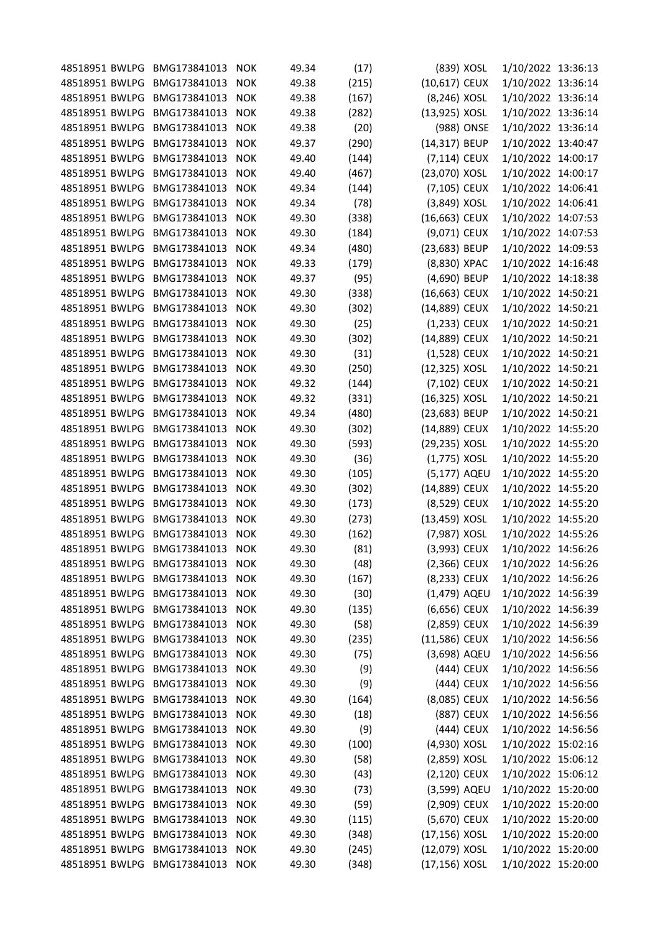| 48518951 BWLPG BMG173841013 |                  | <b>NOK</b> | 49.34 | (17)  | (839) XOSL     | 1/10/2022 13:36:13 |  |
|-----------------------------|------------------|------------|-------|-------|----------------|--------------------|--|
| 48518951 BWLPG              | BMG173841013     | <b>NOK</b> | 49.38 | (215) | (10,617) CEUX  | 1/10/2022 13:36:14 |  |
| 48518951 BWLPG              | BMG173841013     | <b>NOK</b> | 49.38 | (167) | (8,246) XOSL   | 1/10/2022 13:36:14 |  |
| 48518951 BWLPG              | BMG173841013     | <b>NOK</b> | 49.38 | (282) | (13,925) XOSL  | 1/10/2022 13:36:14 |  |
| 48518951 BWLPG              | BMG173841013     | <b>NOK</b> | 49.38 | (20)  | (988) ONSE     | 1/10/2022 13:36:14 |  |
| 48518951 BWLPG              | BMG173841013     | <b>NOK</b> | 49.37 | (290) | (14,317) BEUP  | 1/10/2022 13:40:47 |  |
| 48518951 BWLPG              | BMG173841013     | <b>NOK</b> | 49.40 | (144) | (7,114) CEUX   | 1/10/2022 14:00:17 |  |
| 48518951 BWLPG              | BMG173841013     | <b>NOK</b> | 49.40 | (467) | (23,070) XOSL  | 1/10/2022 14:00:17 |  |
| 48518951 BWLPG              | BMG173841013     | <b>NOK</b> | 49.34 | (144) | (7,105) CEUX   | 1/10/2022 14:06:41 |  |
| 48518951 BWLPG              | BMG173841013     | <b>NOK</b> | 49.34 | (78)  | (3,849) XOSL   | 1/10/2022 14:06:41 |  |
| 48518951 BWLPG              | BMG173841013     | <b>NOK</b> | 49.30 | (338) | (16,663) CEUX  | 1/10/2022 14:07:53 |  |
| 48518951 BWLPG              | BMG173841013     | <b>NOK</b> | 49.30 | (184) | (9,071) CEUX   | 1/10/2022 14:07:53 |  |
| 48518951 BWLPG              | BMG173841013     | <b>NOK</b> | 49.34 | (480) | (23,683) BEUP  | 1/10/2022 14:09:53 |  |
| 48518951 BWLPG              | BMG173841013     | <b>NOK</b> | 49.33 | (179) | (8,830) XPAC   | 1/10/2022 14:16:48 |  |
| 48518951 BWLPG              | BMG173841013     | <b>NOK</b> | 49.37 | (95)  | (4,690) BEUP   | 1/10/2022 14:18:38 |  |
| 48518951 BWLPG              | BMG173841013     | <b>NOK</b> | 49.30 | (338) | (16,663) CEUX  | 1/10/2022 14:50:21 |  |
| 48518951 BWLPG              | BMG173841013     | <b>NOK</b> | 49.30 | (302) | (14,889) CEUX  | 1/10/2022 14:50:21 |  |
| 48518951 BWLPG              | BMG173841013     | <b>NOK</b> | 49.30 | (25)  | (1,233) CEUX   | 1/10/2022 14:50:21 |  |
| 48518951 BWLPG              | BMG173841013     | <b>NOK</b> | 49.30 | (302) | (14,889) CEUX  | 1/10/2022 14:50:21 |  |
| 48518951 BWLPG              | BMG173841013     | <b>NOK</b> | 49.30 | (31)  | (1,528) CEUX   | 1/10/2022 14:50:21 |  |
| 48518951 BWLPG              | BMG173841013     | <b>NOK</b> | 49.30 | (250) | (12,325) XOSL  | 1/10/2022 14:50:21 |  |
| 48518951 BWLPG              | BMG173841013     | <b>NOK</b> | 49.32 | (144) | (7,102) CEUX   | 1/10/2022 14:50:21 |  |
| 48518951 BWLPG              | BMG173841013     | <b>NOK</b> | 49.32 | (331) | (16,325) XOSL  | 1/10/2022 14:50:21 |  |
| 48518951 BWLPG              | BMG173841013     | <b>NOK</b> | 49.34 | (480) | (23,683) BEUP  | 1/10/2022 14:50:21 |  |
| 48518951 BWLPG              | BMG173841013     | <b>NOK</b> | 49.30 | (302) | (14,889) CEUX  | 1/10/2022 14:55:20 |  |
| 48518951 BWLPG              | BMG173841013     | <b>NOK</b> | 49.30 | (593) | (29,235) XOSL  | 1/10/2022 14:55:20 |  |
| 48518951 BWLPG              | BMG173841013     | <b>NOK</b> | 49.30 | (36)  | $(1,775)$ XOSL | 1/10/2022 14:55:20 |  |
| 48518951 BWLPG              | BMG173841013     | <b>NOK</b> | 49.30 | (105) | (5,177) AQEU   | 1/10/2022 14:55:20 |  |
| 48518951 BWLPG              | BMG173841013     | <b>NOK</b> | 49.30 | (302) | (14,889) CEUX  | 1/10/2022 14:55:20 |  |
| 48518951 BWLPG              | BMG173841013     | <b>NOK</b> | 49.30 | (173) | (8,529) CEUX   | 1/10/2022 14:55:20 |  |
| 48518951 BWLPG              | BMG173841013     | <b>NOK</b> | 49.30 | (273) | (13,459) XOSL  | 1/10/2022 14:55:20 |  |
| 48518951 BWLPG              | BMG173841013     | <b>NOK</b> | 49.30 | (162) | (7,987) XOSL   | 1/10/2022 14:55:26 |  |
| 48518951 BWLPG              | BMG173841013     | <b>NOK</b> | 49.30 | (81)  | (3,993) CEUX   | 1/10/2022 14:56:26 |  |
| 48518951 BWLPG              | BMG173841013     | <b>NOK</b> | 49.30 | (48)  | (2,366) CEUX   | 1/10/2022 14:56:26 |  |
| 48518951 BWLPG              | BMG173841013     | <b>NOK</b> | 49.30 | (167) | (8,233) CEUX   | 1/10/2022 14:56:26 |  |
| 48518951 BWLPG              | BMG173841013     | <b>NOK</b> | 49.30 | (30)  | (1,479) AQEU   | 1/10/2022 14:56:39 |  |
| 48518951 BWLPG              | BMG173841013     | <b>NOK</b> | 49.30 | (135) | (6,656) CEUX   | 1/10/2022 14:56:39 |  |
| 48518951 BWLPG              | BMG173841013     | <b>NOK</b> | 49.30 | (58)  | $(2,859)$ CEUX | 1/10/2022 14:56:39 |  |
| 48518951 BWLPG              | BMG173841013     | <b>NOK</b> | 49.30 | (235) | (11,586) CEUX  | 1/10/2022 14:56:56 |  |
| 48518951 BWLPG              | BMG173841013     | <b>NOK</b> | 49.30 | (75)  | (3,698) AQEU   | 1/10/2022 14:56:56 |  |
| 48518951 BWLPG              | BMG173841013     | <b>NOK</b> | 49.30 | (9)   | (444) CEUX     | 1/10/2022 14:56:56 |  |
| 48518951 BWLPG              | BMG173841013     | <b>NOK</b> | 49.30 | (9)   | (444) CEUX     | 1/10/2022 14:56:56 |  |
| 48518951 BWLPG              | BMG173841013     | <b>NOK</b> | 49.30 | (164) | (8,085) CEUX   | 1/10/2022 14:56:56 |  |
| 48518951 BWLPG              | BMG173841013     | <b>NOK</b> | 49.30 | (18)  | (887) CEUX     | 1/10/2022 14:56:56 |  |
| 48518951 BWLPG              | BMG173841013     | <b>NOK</b> | 49.30 | (9)   | (444) CEUX     | 1/10/2022 14:56:56 |  |
| 48518951 BWLPG              | BMG173841013     | <b>NOK</b> | 49.30 | (100) | (4,930) XOSL   | 1/10/2022 15:02:16 |  |
| 48518951 BWLPG              | BMG173841013 NOK |            | 49.30 | (58)  | $(2,859)$ XOSL | 1/10/2022 15:06:12 |  |
| 48518951 BWLPG              | BMG173841013     | <b>NOK</b> | 49.30 | (43)  | (2,120) CEUX   | 1/10/2022 15:06:12 |  |
| 48518951 BWLPG              | BMG173841013     | <b>NOK</b> | 49.30 | (73)  | (3,599) AQEU   | 1/10/2022 15:20:00 |  |
| 48518951 BWLPG              | BMG173841013     | <b>NOK</b> | 49.30 | (59)  | (2,909) CEUX   | 1/10/2022 15:20:00 |  |
| 48518951 BWLPG              | BMG173841013     | <b>NOK</b> | 49.30 | (115) | (5,670) CEUX   | 1/10/2022 15:20:00 |  |
| 48518951 BWLPG              | BMG173841013     | <b>NOK</b> | 49.30 | (348) | (17,156) XOSL  | 1/10/2022 15:20:00 |  |
| 48518951 BWLPG              | BMG173841013     | <b>NOK</b> | 49.30 | (245) | (12,079) XOSL  | 1/10/2022 15:20:00 |  |
| 48518951 BWLPG              | BMG173841013 NOK |            | 49.30 | (348) | (17,156) XOSL  | 1/10/2022 15:20:00 |  |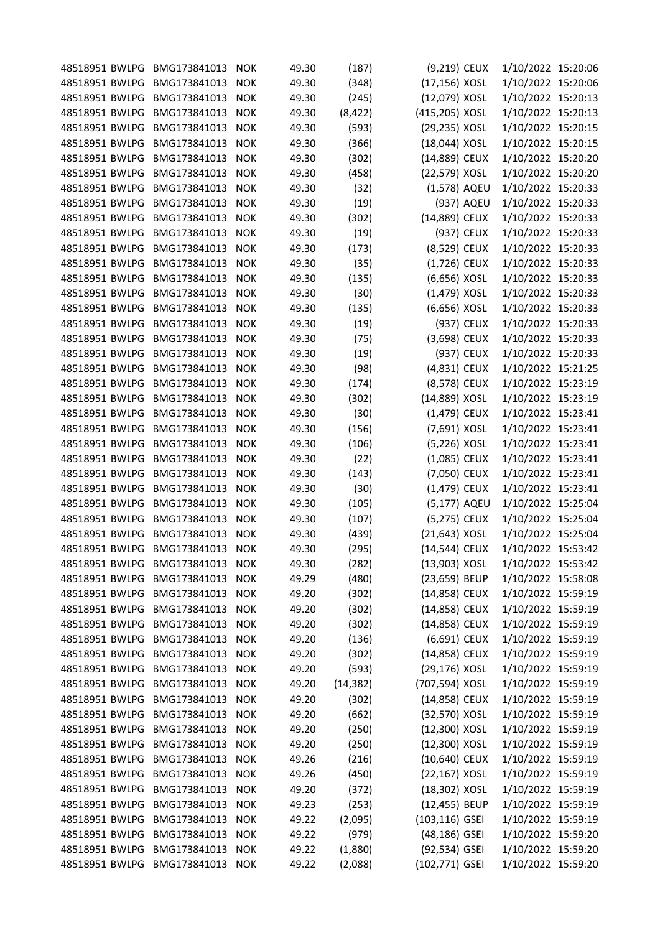| 48518951 BWLPG BMG173841013 |                  | <b>NOK</b> | 49.30 | (187)     | (9,219) CEUX   |            | 1/10/2022 15:20:06 |  |
|-----------------------------|------------------|------------|-------|-----------|----------------|------------|--------------------|--|
| 48518951 BWLPG              | BMG173841013     | <b>NOK</b> | 49.30 | (348)     | (17,156) XOSL  |            | 1/10/2022 15:20:06 |  |
| 48518951 BWLPG              | BMG173841013     | <b>NOK</b> | 49.30 | (245)     | (12,079) XOSL  |            | 1/10/2022 15:20:13 |  |
| 48518951 BWLPG              | BMG173841013     | <b>NOK</b> | 49.30 | (8, 422)  | (415,205) XOSL |            | 1/10/2022 15:20:13 |  |
| 48518951 BWLPG              | BMG173841013     | <b>NOK</b> | 49.30 | (593)     | (29,235) XOSL  |            | 1/10/2022 15:20:15 |  |
| 48518951 BWLPG              | BMG173841013     | <b>NOK</b> | 49.30 | (366)     | (18,044) XOSL  |            | 1/10/2022 15:20:15 |  |
| 48518951 BWLPG              | BMG173841013     | <b>NOK</b> | 49.30 | (302)     | (14,889) CEUX  |            | 1/10/2022 15:20:20 |  |
| 48518951 BWLPG              | BMG173841013     | <b>NOK</b> | 49.30 | (458)     | (22,579) XOSL  |            | 1/10/2022 15:20:20 |  |
| 48518951 BWLPG              | BMG173841013     | <b>NOK</b> | 49.30 | (32)      | (1,578) AQEU   |            | 1/10/2022 15:20:33 |  |
| 48518951 BWLPG              | BMG173841013     | <b>NOK</b> | 49.30 | (19)      |                | (937) AQEU | 1/10/2022 15:20:33 |  |
| 48518951 BWLPG              | BMG173841013     | <b>NOK</b> | 49.30 | (302)     | (14,889) CEUX  |            | 1/10/2022 15:20:33 |  |
| 48518951 BWLPG              | BMG173841013     | <b>NOK</b> | 49.30 | (19)      | (937) CEUX     |            | 1/10/2022 15:20:33 |  |
| 48518951 BWLPG              | BMG173841013     | <b>NOK</b> | 49.30 | (173)     | (8,529) CEUX   |            | 1/10/2022 15:20:33 |  |
| 48518951 BWLPG              | BMG173841013     | <b>NOK</b> | 49.30 | (35)      | (1,726) CEUX   |            | 1/10/2022 15:20:33 |  |
| 48518951 BWLPG              | BMG173841013     | <b>NOK</b> | 49.30 | (135)     | (6,656) XOSL   |            | 1/10/2022 15:20:33 |  |
| 48518951 BWLPG              | BMG173841013     | <b>NOK</b> | 49.30 | (30)      | $(1,479)$ XOSL |            | 1/10/2022 15:20:33 |  |
| 48518951 BWLPG              | BMG173841013     | <b>NOK</b> | 49.30 | (135)     | (6,656) XOSL   |            | 1/10/2022 15:20:33 |  |
| 48518951 BWLPG              | BMG173841013     | <b>NOK</b> | 49.30 | (19)      | (937) CEUX     |            | 1/10/2022 15:20:33 |  |
| 48518951 BWLPG              | BMG173841013     | <b>NOK</b> | 49.30 | (75)      | (3,698) CEUX   |            | 1/10/2022 15:20:33 |  |
| 48518951 BWLPG              | BMG173841013     | <b>NOK</b> | 49.30 | (19)      | (937) CEUX     |            | 1/10/2022 15:20:33 |  |
| 48518951 BWLPG              | BMG173841013     | <b>NOK</b> | 49.30 | (98)      | (4,831) CEUX   |            | 1/10/2022 15:21:25 |  |
| 48518951 BWLPG              | BMG173841013     | <b>NOK</b> | 49.30 | (174)     | (8,578) CEUX   |            | 1/10/2022 15:23:19 |  |
| 48518951 BWLPG              | BMG173841013     | <b>NOK</b> | 49.30 | (302)     | (14,889) XOSL  |            | 1/10/2022 15:23:19 |  |
| 48518951 BWLPG              | BMG173841013     | <b>NOK</b> | 49.30 | (30)      | (1,479) CEUX   |            | 1/10/2022 15:23:41 |  |
| 48518951 BWLPG              | BMG173841013     | <b>NOK</b> | 49.30 | (156)     | (7,691) XOSL   |            | 1/10/2022 15:23:41 |  |
| 48518951 BWLPG              | BMG173841013     | <b>NOK</b> | 49.30 | (106)     | (5,226) XOSL   |            | 1/10/2022 15:23:41 |  |
| 48518951 BWLPG              | BMG173841013     | <b>NOK</b> | 49.30 |           | (1,085) CEUX   |            | 1/10/2022 15:23:41 |  |
| 48518951 BWLPG              | BMG173841013     |            |       | (22)      | (7,050) CEUX   |            | 1/10/2022 15:23:41 |  |
|                             |                  | <b>NOK</b> | 49.30 | (143)     |                |            |                    |  |
| 48518951 BWLPG              | BMG173841013     | <b>NOK</b> | 49.30 | (30)      | (1,479) CEUX   |            | 1/10/2022 15:23:41 |  |
| 48518951 BWLPG              | BMG173841013     | <b>NOK</b> | 49.30 | (105)     | (5,177) AQEU   |            | 1/10/2022 15:25:04 |  |
| 48518951 BWLPG              | BMG173841013     | <b>NOK</b> | 49.30 | (107)     | (5,275) CEUX   |            | 1/10/2022 15:25:04 |  |
| 48518951 BWLPG              | BMG173841013     | <b>NOK</b> | 49.30 | (439)     | (21,643) XOSL  |            | 1/10/2022 15:25:04 |  |
| 48518951 BWLPG              | BMG173841013     | <b>NOK</b> | 49.30 | (295)     | (14,544) CEUX  |            | 1/10/2022 15:53:42 |  |
| 48518951 BWLPG              | BMG173841013     | <b>NOK</b> | 49.30 | (282)     | (13,903) XOSL  |            | 1/10/2022 15:53:42 |  |
| 48518951 BWLPG              | BMG173841013     | <b>NOK</b> | 49.29 | (480)     | (23,659) BEUP  |            | 1/10/2022 15:58:08 |  |
| 48518951 BWLPG              | BMG173841013 NOK |            | 49.20 | (302)     | (14,858) CEUX  |            | 1/10/2022 15:59:19 |  |
| 48518951 BWLPG              | BMG173841013     | <b>NOK</b> | 49.20 | (302)     | (14,858) CEUX  |            | 1/10/2022 15:59:19 |  |
| 48518951 BWLPG              | BMG173841013     | <b>NOK</b> | 49.20 | (302)     | (14,858) CEUX  |            | 1/10/2022 15:59:19 |  |
| 48518951 BWLPG              | BMG173841013     | <b>NOK</b> | 49.20 | (136)     | (6,691) CEUX   |            | 1/10/2022 15:59:19 |  |
| 48518951 BWLPG              | BMG173841013     | <b>NOK</b> | 49.20 | (302)     | (14,858) CEUX  |            | 1/10/2022 15:59:19 |  |
| 48518951 BWLPG              | BMG173841013     | <b>NOK</b> | 49.20 | (593)     | (29,176) XOSL  |            | 1/10/2022 15:59:19 |  |
| 48518951 BWLPG              | BMG173841013     | <b>NOK</b> | 49.20 | (14, 382) | (707,594) XOSL |            | 1/10/2022 15:59:19 |  |
| 48518951 BWLPG              | BMG173841013 NOK |            | 49.20 | (302)     | (14,858) CEUX  |            | 1/10/2022 15:59:19 |  |
| 48518951 BWLPG              | BMG173841013 NOK |            | 49.20 | (662)     | (32,570) XOSL  |            | 1/10/2022 15:59:19 |  |
| 48518951 BWLPG              | BMG173841013     | <b>NOK</b> | 49.20 | (250)     | (12,300) XOSL  |            | 1/10/2022 15:59:19 |  |
| 48518951 BWLPG              | BMG173841013 NOK |            | 49.20 | (250)     | (12,300) XOSL  |            | 1/10/2022 15:59:19 |  |
| 48518951 BWLPG              | BMG173841013 NOK |            | 49.26 | (216)     | (10,640) CEUX  |            | 1/10/2022 15:59:19 |  |
| 48518951 BWLPG              | BMG173841013     | <b>NOK</b> | 49.26 | (450)     | (22,167) XOSL  |            | 1/10/2022 15:59:19 |  |
| 48518951 BWLPG              | BMG173841013     | <b>NOK</b> | 49.20 | (372)     | (18,302) XOSL  |            | 1/10/2022 15:59:19 |  |
| 48518951 BWLPG              | BMG173841013     | <b>NOK</b> | 49.23 | (253)     | (12,455) BEUP  |            | 1/10/2022 15:59:19 |  |
| 48518951 BWLPG              | BMG173841013 NOK |            | 49.22 | (2,095)   | (103,116) GSEI |            | 1/10/2022 15:59:19 |  |
| 48518951 BWLPG              | BMG173841013     | <b>NOK</b> | 49.22 | (979)     | (48,186) GSEI  |            | 1/10/2022 15:59:20 |  |
| 48518951 BWLPG              | BMG173841013     | <b>NOK</b> | 49.22 | (1,880)   | (92,534) GSEI  |            | 1/10/2022 15:59:20 |  |
| 48518951 BWLPG              | BMG173841013 NOK |            | 49.22 | (2,088)   | (102,771) GSEI |            | 1/10/2022 15:59:20 |  |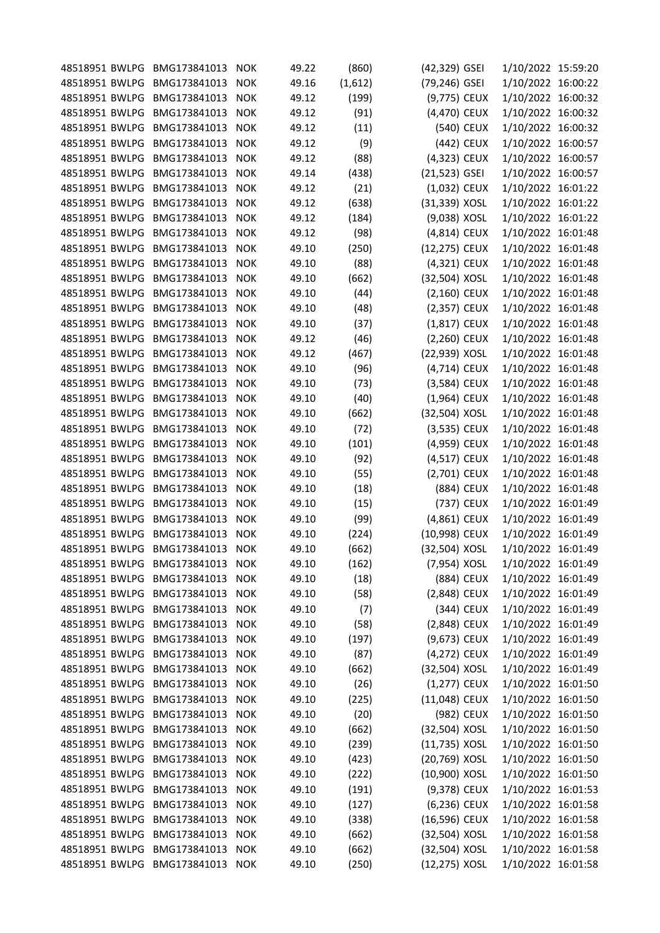| 48518951 BWLPG BMG173841013 |                  | <b>NOK</b> | 49.22 | (860)   | (42,329) GSEI  |            | 1/10/2022 15:59:20 |  |
|-----------------------------|------------------|------------|-------|---------|----------------|------------|--------------------|--|
| 48518951 BWLPG              | BMG173841013     | <b>NOK</b> | 49.16 | (1,612) | (79,246) GSEI  |            | 1/10/2022 16:00:22 |  |
| 48518951 BWLPG              | BMG173841013     | <b>NOK</b> | 49.12 | (199)   | (9,775) CEUX   |            | 1/10/2022 16:00:32 |  |
| 48518951 BWLPG              | BMG173841013     | <b>NOK</b> | 49.12 | (91)    | (4,470) CEUX   |            | 1/10/2022 16:00:32 |  |
| 48518951 BWLPG              | BMG173841013     | <b>NOK</b> | 49.12 | (11)    |                | (540) CEUX | 1/10/2022 16:00:32 |  |
| 48518951 BWLPG              | BMG173841013     | <b>NOK</b> | 49.12 | (9)     |                | (442) CEUX | 1/10/2022 16:00:57 |  |
| 48518951 BWLPG              | BMG173841013     | <b>NOK</b> | 49.12 | (88)    | (4,323) CEUX   |            | 1/10/2022 16:00:57 |  |
| 48518951 BWLPG              | BMG173841013     | <b>NOK</b> | 49.14 | (438)   | (21,523) GSEI  |            | 1/10/2022 16:00:57 |  |
| 48518951 BWLPG              | BMG173841013     | <b>NOK</b> | 49.12 | (21)    | (1,032) CEUX   |            | 1/10/2022 16:01:22 |  |
| 48518951 BWLPG              | BMG173841013     | <b>NOK</b> | 49.12 | (638)   | (31,339) XOSL  |            | 1/10/2022 16:01:22 |  |
| 48518951 BWLPG              | BMG173841013     | <b>NOK</b> | 49.12 | (184)   | (9,038) XOSL   |            | 1/10/2022 16:01:22 |  |
| 48518951 BWLPG              | BMG173841013     | <b>NOK</b> | 49.12 | (98)    | (4,814) CEUX   |            | 1/10/2022 16:01:48 |  |
| 48518951 BWLPG              | BMG173841013     | <b>NOK</b> | 49.10 | (250)   | (12,275) CEUX  |            | 1/10/2022 16:01:48 |  |
| 48518951 BWLPG              | BMG173841013     | <b>NOK</b> | 49.10 | (88)    | (4,321) CEUX   |            | 1/10/2022 16:01:48 |  |
| 48518951 BWLPG              | BMG173841013     | <b>NOK</b> | 49.10 | (662)   | (32,504) XOSL  |            | 1/10/2022 16:01:48 |  |
| 48518951 BWLPG              | BMG173841013     | <b>NOK</b> | 49.10 | (44)    | (2,160) CEUX   |            | 1/10/2022 16:01:48 |  |
| 48518951 BWLPG              | BMG173841013     | <b>NOK</b> | 49.10 | (48)    | (2,357) CEUX   |            | 1/10/2022 16:01:48 |  |
| 48518951 BWLPG              | BMG173841013     | <b>NOK</b> | 49.10 | (37)    | $(1,817)$ CEUX |            | 1/10/2022 16:01:48 |  |
| 48518951 BWLPG              | BMG173841013     | <b>NOK</b> | 49.12 | (46)    | $(2,260)$ CEUX |            | 1/10/2022 16:01:48 |  |
| 48518951 BWLPG              | BMG173841013     | <b>NOK</b> | 49.12 | (467)   | (22,939) XOSL  |            | 1/10/2022 16:01:48 |  |
| 48518951 BWLPG              | BMG173841013     | <b>NOK</b> | 49.10 | (96)    | (4,714) CEUX   |            | 1/10/2022 16:01:48 |  |
| 48518951 BWLPG              | BMG173841013     | <b>NOK</b> | 49.10 | (73)    | (3,584) CEUX   |            | 1/10/2022 16:01:48 |  |
| 48518951 BWLPG              | BMG173841013     | <b>NOK</b> | 49.10 | (40)    | $(1,964)$ CEUX |            | 1/10/2022 16:01:48 |  |
| 48518951 BWLPG              | BMG173841013     | <b>NOK</b> | 49.10 | (662)   | (32,504) XOSL  |            | 1/10/2022 16:01:48 |  |
| 48518951 BWLPG              | BMG173841013     | <b>NOK</b> | 49.10 | (72)    | (3,535) CEUX   |            | 1/10/2022 16:01:48 |  |
| 48518951 BWLPG              | BMG173841013     | <b>NOK</b> | 49.10 | (101)   | (4,959) CEUX   |            | 1/10/2022 16:01:48 |  |
| 48518951 BWLPG              | BMG173841013     | <b>NOK</b> | 49.10 | (92)    | (4,517) CEUX   |            | 1/10/2022 16:01:48 |  |
| 48518951 BWLPG              | BMG173841013     | <b>NOK</b> | 49.10 | (55)    | (2,701) CEUX   |            | 1/10/2022 16:01:48 |  |
| 48518951 BWLPG              | BMG173841013     | <b>NOK</b> | 49.10 | (18)    |                | (884) CEUX | 1/10/2022 16:01:48 |  |
| 48518951 BWLPG              | BMG173841013     | <b>NOK</b> | 49.10 | (15)    |                | (737) CEUX | 1/10/2022 16:01:49 |  |
| 48518951 BWLPG              | BMG173841013     | <b>NOK</b> | 49.10 | (99)    | (4,861) CEUX   |            | 1/10/2022 16:01:49 |  |
| 48518951 BWLPG              | BMG173841013     | <b>NOK</b> | 49.10 | (224)   | (10,998) CEUX  |            | 1/10/2022 16:01:49 |  |
| 48518951 BWLPG              | BMG173841013     | <b>NOK</b> | 49.10 | (662)   | (32,504) XOSL  |            | 1/10/2022 16:01:49 |  |
| 48518951 BWLPG              | BMG173841013     | <b>NOK</b> | 49.10 | (162)   | (7,954) XOSL   |            | 1/10/2022 16:01:49 |  |
| 48518951 BWLPG              | BMG173841013     | <b>NOK</b> | 49.10 | (18)    | (884) CEUX     |            | 1/10/2022 16:01:49 |  |
| 48518951 BWLPG              | BMG173841013 NOK |            | 49.10 | (58)    | (2,848) CEUX   |            | 1/10/2022 16:01:49 |  |
| 48518951 BWLPG              | BMG173841013     | <b>NOK</b> | 49.10 | (7)     |                | (344) CEUX | 1/10/2022 16:01:49 |  |
| 48518951 BWLPG              | BMG173841013     | <b>NOK</b> | 49.10 | (58)    | (2,848) CEUX   |            | 1/10/2022 16:01:49 |  |
| 48518951 BWLPG              | BMG173841013     | <b>NOK</b> | 49.10 | (197)   | (9,673) CEUX   |            | 1/10/2022 16:01:49 |  |
| 48518951 BWLPG              | BMG173841013     | <b>NOK</b> | 49.10 | (87)    | (4,272) CEUX   |            | 1/10/2022 16:01:49 |  |
| 48518951 BWLPG              | BMG173841013     | <b>NOK</b> | 49.10 | (662)   | (32,504) XOSL  |            | 1/10/2022 16:01:49 |  |
| 48518951 BWLPG              | BMG173841013     | <b>NOK</b> | 49.10 | (26)    | (1,277) CEUX   |            | 1/10/2022 16:01:50 |  |
| 48518951 BWLPG              | BMG173841013     | <b>NOK</b> | 49.10 | (225)   | (11,048) CEUX  |            | 1/10/2022 16:01:50 |  |
| 48518951 BWLPG              | BMG173841013     | <b>NOK</b> | 49.10 | (20)    | (982) CEUX     |            | 1/10/2022 16:01:50 |  |
| 48518951 BWLPG              | BMG173841013     | <b>NOK</b> | 49.10 | (662)   | (32,504) XOSL  |            | 1/10/2022 16:01:50 |  |
| 48518951 BWLPG              | BMG173841013 NOK |            | 49.10 | (239)   | (11,735) XOSL  |            | 1/10/2022 16:01:50 |  |
| 48518951 BWLPG              | BMG173841013 NOK |            | 49.10 | (423)   | (20,769) XOSL  |            | 1/10/2022 16:01:50 |  |
| 48518951 BWLPG              | BMG173841013     | <b>NOK</b> | 49.10 | (222)   | (10,900) XOSL  |            | 1/10/2022 16:01:50 |  |
| 48518951 BWLPG              | BMG173841013     | <b>NOK</b> | 49.10 | (191)   | (9,378) CEUX   |            | 1/10/2022 16:01:53 |  |
| 48518951 BWLPG              | BMG173841013     | <b>NOK</b> | 49.10 | (127)   | (6,236) CEUX   |            | 1/10/2022 16:01:58 |  |
| 48518951 BWLPG              | BMG173841013 NOK |            | 49.10 | (338)   | (16,596) CEUX  |            | 1/10/2022 16:01:58 |  |
| 48518951 BWLPG              | BMG173841013     | <b>NOK</b> | 49.10 | (662)   | (32,504) XOSL  |            | 1/10/2022 16:01:58 |  |
| 48518951 BWLPG              | BMG173841013     | <b>NOK</b> | 49.10 | (662)   | (32,504) XOSL  |            | 1/10/2022 16:01:58 |  |
| 48518951 BWLPG              | BMG173841013 NOK |            | 49.10 | (250)   | (12,275) XOSL  |            | 1/10/2022 16:01:58 |  |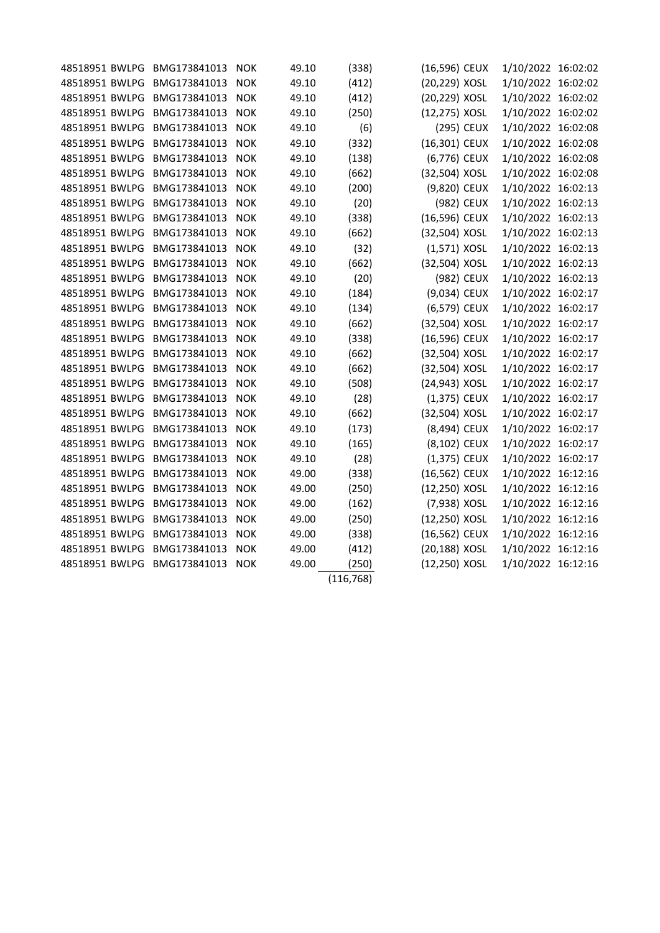| 48518951 BWLPG | BMG173841013 | <b>NOK</b> | 49.10 | (338)      | (16,596) CEUX  |            | 1/10/2022 16:02:02 |  |
|----------------|--------------|------------|-------|------------|----------------|------------|--------------------|--|
| 48518951 BWLPG | BMG173841013 | <b>NOK</b> | 49.10 | (412)      | (20,229) XOSL  |            | 1/10/2022 16:02:02 |  |
| 48518951 BWLPG | BMG173841013 | <b>NOK</b> | 49.10 | (412)      | (20,229) XOSL  |            | 1/10/2022 16:02:02 |  |
| 48518951 BWLPG | BMG173841013 | <b>NOK</b> | 49.10 | (250)      | (12,275) XOSL  |            | 1/10/2022 16:02:02 |  |
| 48518951 BWLPG | BMG173841013 | <b>NOK</b> | 49.10 | (6)        | (295) CEUX     |            | 1/10/2022 16:02:08 |  |
| 48518951 BWLPG | BMG173841013 | <b>NOK</b> | 49.10 | (332)      | (16,301) CEUX  |            | 1/10/2022 16:02:08 |  |
| 48518951 BWLPG | BMG173841013 | <b>NOK</b> | 49.10 | (138)      | (6,776) CEUX   |            | 1/10/2022 16:02:08 |  |
| 48518951 BWLPG | BMG173841013 | <b>NOK</b> | 49.10 | (662)      | (32,504) XOSL  |            | 1/10/2022 16:02:08 |  |
| 48518951 BWLPG | BMG173841013 | <b>NOK</b> | 49.10 | (200)      | (9,820) CEUX   |            | 1/10/2022 16:02:13 |  |
| 48518951 BWLPG | BMG173841013 | <b>NOK</b> | 49.10 | (20)       | (982) CEUX     |            | 1/10/2022 16:02:13 |  |
| 48518951 BWLPG | BMG173841013 |            | 49.10 |            |                |            | 1/10/2022 16:02:13 |  |
|                |              | <b>NOK</b> |       | (338)      | (16,596) CEUX  |            |                    |  |
| 48518951 BWLPG | BMG173841013 | <b>NOK</b> | 49.10 | (662)      | (32,504) XOSL  |            | 1/10/2022 16:02:13 |  |
| 48518951 BWLPG | BMG173841013 | <b>NOK</b> | 49.10 | (32)       | $(1,571)$ XOSL |            | 1/10/2022 16:02:13 |  |
| 48518951 BWLPG | BMG173841013 | <b>NOK</b> | 49.10 | (662)      | (32,504) XOSL  |            | 1/10/2022 16:02:13 |  |
| 48518951 BWLPG | BMG173841013 | <b>NOK</b> | 49.10 | (20)       |                | (982) CEUX | 1/10/2022 16:02:13 |  |
| 48518951 BWLPG | BMG173841013 | <b>NOK</b> | 49.10 | (184)      | (9,034) CEUX   |            | 1/10/2022 16:02:17 |  |
| 48518951 BWLPG | BMG173841013 | <b>NOK</b> | 49.10 | (134)      | (6,579) CEUX   |            | 1/10/2022 16:02:17 |  |
| 48518951 BWLPG | BMG173841013 | <b>NOK</b> | 49.10 | (662)      | (32,504) XOSL  |            | 1/10/2022 16:02:17 |  |
| 48518951 BWLPG | BMG173841013 | <b>NOK</b> | 49.10 | (338)      | (16,596) CEUX  |            | 1/10/2022 16:02:17 |  |
| 48518951 BWLPG | BMG173841013 | <b>NOK</b> | 49.10 | (662)      | (32,504) XOSL  |            | 1/10/2022 16:02:17 |  |
| 48518951 BWLPG | BMG173841013 | <b>NOK</b> | 49.10 | (662)      | (32,504) XOSL  |            | 1/10/2022 16:02:17 |  |
| 48518951 BWLPG | BMG173841013 | <b>NOK</b> | 49.10 | (508)      | (24,943) XOSL  |            | 1/10/2022 16:02:17 |  |
| 48518951 BWLPG | BMG173841013 | <b>NOK</b> | 49.10 | (28)       | (1,375) CEUX   |            | 1/10/2022 16:02:17 |  |
| 48518951 BWLPG | BMG173841013 | <b>NOK</b> | 49.10 | (662)      | (32,504) XOSL  |            | 1/10/2022 16:02:17 |  |
| 48518951 BWLPG | BMG173841013 | <b>NOK</b> | 49.10 | (173)      | (8,494) CEUX   |            | 1/10/2022 16:02:17 |  |
| 48518951 BWLPG | BMG173841013 | <b>NOK</b> | 49.10 | (165)      | (8,102) CEUX   |            | 1/10/2022 16:02:17 |  |
| 48518951 BWLPG | BMG173841013 | <b>NOK</b> | 49.10 | (28)       | (1,375) CEUX   |            | 1/10/2022 16:02:17 |  |
| 48518951 BWLPG | BMG173841013 | <b>NOK</b> | 49.00 | (338)      | (16,562) CEUX  |            | 1/10/2022 16:12:16 |  |
| 48518951 BWLPG | BMG173841013 | <b>NOK</b> | 49.00 | (250)      | (12,250) XOSL  |            | 1/10/2022 16:12:16 |  |
| 48518951 BWLPG | BMG173841013 | <b>NOK</b> | 49.00 | (162)      | (7,938) XOSL   |            | 1/10/2022 16:12:16 |  |
| 48518951 BWLPG | BMG173841013 | <b>NOK</b> | 49.00 | (250)      | (12,250) XOSL  |            | 1/10/2022 16:12:16 |  |
| 48518951 BWLPG | BMG173841013 | <b>NOK</b> | 49.00 | (338)      | (16,562) CEUX  |            | 1/10/2022 16:12:16 |  |
| 48518951 BWLPG | BMG173841013 | <b>NOK</b> | 49.00 | (412)      | (20,188) XOSL  |            | 1/10/2022 16:12:16 |  |
| 48518951 BWLPG | BMG173841013 | <b>NOK</b> | 49.00 | (250)      | (12,250) XOSL  |            | 1/10/2022 16:12:16 |  |
|                |              |            |       | (116, 768) |                |            |                    |  |
|                |              |            |       |            |                |            |                    |  |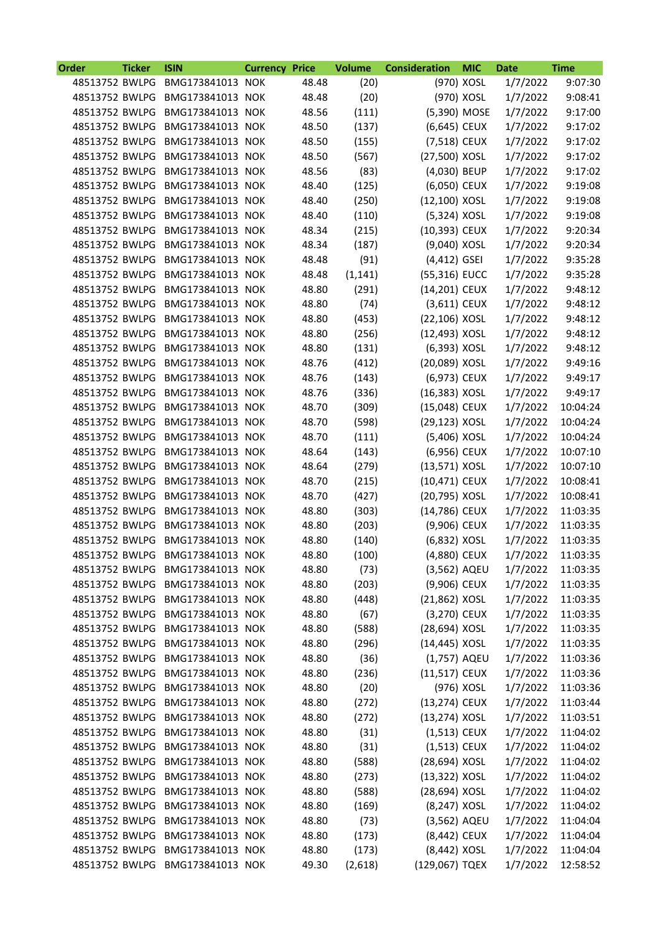| <b>Order</b>   | <b>Ticker</b> | <b>ISIN</b>                     | <b>Currency Price</b> |       | <b>Volume</b> | <b>Consideration</b> | <b>MIC</b> | <b>Date</b> | <b>Time</b> |
|----------------|---------------|---------------------------------|-----------------------|-------|---------------|----------------------|------------|-------------|-------------|
| 48513752 BWLPG |               | BMG173841013 NOK                |                       | 48.48 | (20)          |                      | (970) XOSL | 1/7/2022    | 9:07:30     |
| 48513752 BWLPG |               | BMG173841013 NOK                |                       | 48.48 | (20)          |                      | (970) XOSL | 1/7/2022    | 9:08:41     |
| 48513752 BWLPG |               | BMG173841013 NOK                |                       | 48.56 | (111)         | (5,390) MOSE         |            | 1/7/2022    | 9:17:00     |
| 48513752 BWLPG |               | BMG173841013 NOK                |                       | 48.50 | (137)         | (6,645) CEUX         |            | 1/7/2022    | 9:17:02     |
| 48513752 BWLPG |               | BMG173841013 NOK                |                       | 48.50 | (155)         | (7,518) CEUX         |            | 1/7/2022    | 9:17:02     |
| 48513752 BWLPG |               | BMG173841013 NOK                |                       | 48.50 | (567)         | (27,500) XOSL        |            | 1/7/2022    | 9:17:02     |
| 48513752 BWLPG |               | BMG173841013 NOK                |                       | 48.56 | (83)          | (4,030) BEUP         |            | 1/7/2022    | 9:17:02     |
| 48513752 BWLPG |               | BMG173841013 NOK                |                       | 48.40 | (125)         | (6,050) CEUX         |            | 1/7/2022    | 9:19:08     |
|                |               | 48513752 BWLPG BMG173841013 NOK |                       | 48.40 | (250)         | $(12,100)$ XOSL      |            | 1/7/2022    | 9:19:08     |
| 48513752 BWLPG |               | BMG173841013 NOK                |                       | 48.40 | (110)         | (5,324) XOSL         |            | 1/7/2022    | 9:19:08     |
| 48513752 BWLPG |               | BMG173841013 NOK                |                       | 48.34 | (215)         | (10,393) CEUX        |            | 1/7/2022    | 9:20:34     |
| 48513752 BWLPG |               | BMG173841013 NOK                |                       | 48.34 | (187)         | (9,040) XOSL         |            | 1/7/2022    | 9:20:34     |
|                |               | 48513752 BWLPG BMG173841013 NOK |                       | 48.48 | (91)          | $(4,412)$ GSEI       |            | 1/7/2022    | 9:35:28     |
| 48513752 BWLPG |               | BMG173841013 NOK                |                       | 48.48 | (1, 141)      | (55,316) EUCC        |            | 1/7/2022    | 9:35:28     |
| 48513752 BWLPG |               | BMG173841013 NOK                |                       | 48.80 | (291)         | (14,201) CEUX        |            | 1/7/2022    | 9:48:12     |
| 48513752 BWLPG |               | BMG173841013 NOK                |                       | 48.80 | (74)          | $(3,611)$ CEUX       |            | 1/7/2022    | 9:48:12     |
| 48513752 BWLPG |               | BMG173841013 NOK                |                       | 48.80 | (453)         | (22,106) XOSL        |            | 1/7/2022    | 9:48:12     |
|                |               | 48513752 BWLPG BMG173841013 NOK |                       | 48.80 | (256)         | (12,493) XOSL        |            | 1/7/2022    | 9:48:12     |
| 48513752 BWLPG |               | BMG173841013 NOK                |                       | 48.80 | (131)         | (6,393) XOSL         |            | 1/7/2022    | 9:48:12     |
| 48513752 BWLPG |               | BMG173841013 NOK                |                       | 48.76 | (412)         | (20,089) XOSL        |            | 1/7/2022    | 9:49:16     |
| 48513752 BWLPG |               | BMG173841013 NOK                |                       | 48.76 | (143)         | (6,973) CEUX         |            | 1/7/2022    | 9:49:17     |
| 48513752 BWLPG |               | BMG173841013 NOK                |                       | 48.76 |               | (16,383) XOSL        |            | 1/7/2022    | 9:49:17     |
|                |               |                                 |                       |       | (336)         |                      |            |             |             |
|                |               | 48513752 BWLPG BMG173841013 NOK |                       | 48.70 | (309)         | (15,048) CEUX        |            | 1/7/2022    | 10:04:24    |
| 48513752 BWLPG |               | BMG173841013 NOK                |                       | 48.70 | (598)         | (29,123) XOSL        |            | 1/7/2022    | 10:04:24    |
| 48513752 BWLPG |               | BMG173841013 NOK                |                       | 48.70 | (111)         | (5,406) XOSL         |            | 1/7/2022    | 10:04:24    |
| 48513752 BWLPG |               | BMG173841013 NOK                |                       | 48.64 | (143)         | (6,956) CEUX         |            | 1/7/2022    | 10:07:10    |
|                |               | 48513752 BWLPG BMG173841013 NOK |                       | 48.64 | (279)         | $(13,571)$ XOSL      |            | 1/7/2022    | 10:07:10    |
| 48513752 BWLPG |               | BMG173841013 NOK                |                       | 48.70 | (215)         | (10,471) CEUX        |            | 1/7/2022    | 10:08:41    |
| 48513752 BWLPG |               | BMG173841013 NOK                |                       | 48.70 | (427)         | (20,795) XOSL        |            | 1/7/2022    | 10:08:41    |
| 48513752 BWLPG |               | BMG173841013 NOK                |                       | 48.80 | (303)         | (14,786) CEUX        |            | 1/7/2022    | 11:03:35    |
| 48513752 BWLPG |               | BMG173841013 NOK                |                       | 48.80 | (203)         | (9,906) CEUX         |            | 1/7/2022    | 11:03:35    |
|                |               | 48513752 BWLPG BMG173841013 NOK |                       | 48.80 | (140)         | (6,832) XOSL         |            | 1/7/2022    | 11:03:35    |
|                |               | 48513752 BWLPG BMG173841013 NOK |                       | 48.80 | (100)         | (4,880) CEUX         |            | 1/7/2022    | 11:03:35    |
|                |               | 48513752 BWLPG BMG173841013 NOK |                       | 48.80 | (73)          | (3,562) AQEU         |            | 1/7/2022    | 11:03:35    |
|                |               | 48513752 BWLPG BMG173841013 NOK |                       | 48.80 | (203)         | (9,906) CEUX         |            | 1/7/2022    | 11:03:35    |
|                |               | 48513752 BWLPG BMG173841013 NOK |                       | 48.80 | (448)         | (21,862) XOSL        |            | 1/7/2022    | 11:03:35    |
|                |               | 48513752 BWLPG BMG173841013 NOK |                       | 48.80 | (67)          | (3,270) CEUX         |            | 1/7/2022    | 11:03:35    |
| 48513752 BWLPG |               | BMG173841013 NOK                |                       | 48.80 | (588)         | (28,694) XOSL        |            | 1/7/2022    | 11:03:35    |
| 48513752 BWLPG |               | BMG173841013 NOK                |                       | 48.80 | (296)         | (14,445) XOSL        |            | 1/7/2022    | 11:03:35    |
|                |               | 48513752 BWLPG BMG173841013 NOK |                       | 48.80 | (36)          | (1,757) AQEU         |            | 1/7/2022    | 11:03:36    |
|                |               | 48513752 BWLPG BMG173841013 NOK |                       | 48.80 | (236)         | $(11,517)$ CEUX      |            | 1/7/2022    | 11:03:36    |
|                |               | 48513752 BWLPG BMG173841013 NOK |                       | 48.80 | (20)          |                      | (976) XOSL | 1/7/2022    | 11:03:36    |
| 48513752 BWLPG |               | BMG173841013 NOK                |                       | 48.80 | (272)         | (13,274) CEUX        |            | 1/7/2022    | 11:03:44    |
|                |               | 48513752 BWLPG BMG173841013 NOK |                       | 48.80 | (272)         | (13,274) XOSL        |            | 1/7/2022    | 11:03:51    |
|                |               | 48513752 BWLPG BMG173841013 NOK |                       | 48.80 | (31)          | (1,513) CEUX         |            | 1/7/2022    | 11:04:02    |
|                |               | 48513752 BWLPG BMG173841013 NOK |                       | 48.80 | (31)          | (1,513) CEUX         |            | 1/7/2022    | 11:04:02    |
|                |               | 48513752 BWLPG BMG173841013 NOK |                       | 48.80 | (588)         | (28,694) XOSL        |            | 1/7/2022    | 11:04:02    |
| 48513752 BWLPG |               | BMG173841013 NOK                |                       | 48.80 | (273)         | (13,322) XOSL        |            | 1/7/2022    | 11:04:02    |
|                |               | 48513752 BWLPG BMG173841013 NOK |                       | 48.80 | (588)         | (28,694) XOSL        |            | 1/7/2022    | 11:04:02    |
|                |               | 48513752 BWLPG BMG173841013 NOK |                       | 48.80 | (169)         | (8,247) XOSL         |            | 1/7/2022    | 11:04:02    |
|                |               | 48513752 BWLPG BMG173841013 NOK |                       | 48.80 | (73)          | (3,562) AQEU         |            | 1/7/2022    | 11:04:04    |
|                |               | 48513752 BWLPG BMG173841013 NOK |                       | 48.80 | (173)         | (8,442) CEUX         |            | 1/7/2022    | 11:04:04    |
|                |               | 48513752 BWLPG BMG173841013 NOK |                       | 48.80 | (173)         | (8,442) XOSL         |            | 1/7/2022    | 11:04:04    |
|                |               | 48513752 BWLPG BMG173841013 NOK |                       | 49.30 | (2,618)       | (129,067) TQEX       |            | 1/7/2022    | 12:58:52    |
|                |               |                                 |                       |       |               |                      |            |             |             |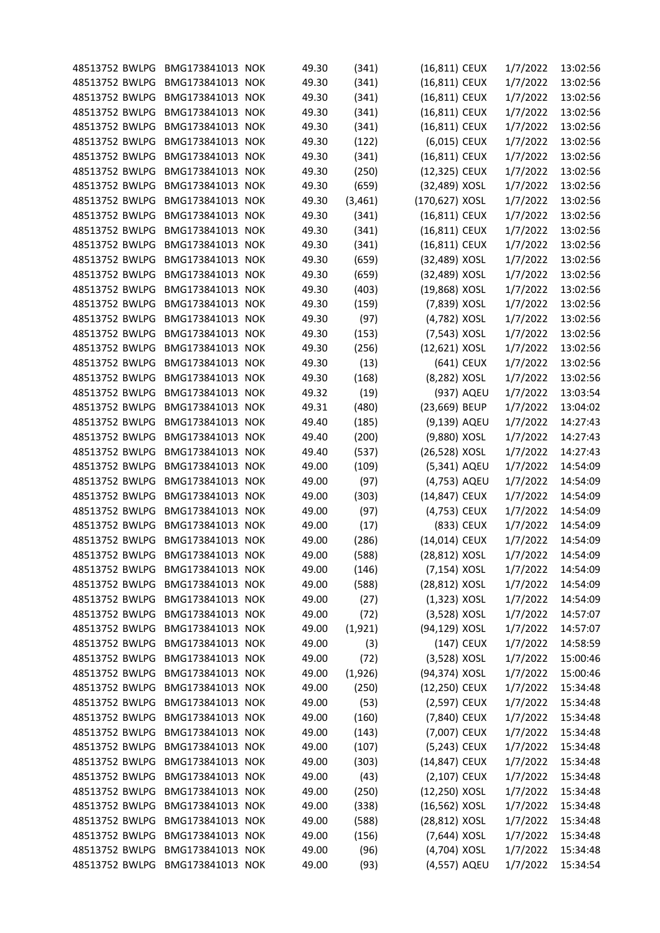| 48513752 BWLPG BMG173841013 NOK                   |                  | 49.30          | (341)          | (16,811) CEUX                 |            | 1/7/2022 | 13:02:56 |
|---------------------------------------------------|------------------|----------------|----------------|-------------------------------|------------|----------|----------|
| 48513752 BWLPG                                    | BMG173841013 NOK | 49.30          | (341)          | $(16, 811)$ CEUX              |            | 1/7/2022 | 13:02:56 |
| 48513752 BWLPG                                    | BMG173841013 NOK | 49.30          | (341)          | $(16, 811)$ CEUX              |            | 1/7/2022 | 13:02:56 |
| 48513752 BWLPG                                    | BMG173841013 NOK | 49.30          | (341)          | (16,811) CEUX                 |            | 1/7/2022 | 13:02:56 |
| 48513752 BWLPG                                    | BMG173841013 NOK | 49.30          | (341)          | (16,811) CEUX                 |            | 1/7/2022 | 13:02:56 |
| 48513752 BWLPG                                    | BMG173841013 NOK | 49.30          | (122)          | (6,015) CEUX                  |            | 1/7/2022 | 13:02:56 |
| 48513752 BWLPG                                    | BMG173841013 NOK | 49.30          | (341)          | (16,811) CEUX                 |            | 1/7/2022 | 13:02:56 |
| 48513752 BWLPG                                    | BMG173841013 NOK | 49.30          | (250)          | (12,325) CEUX                 |            | 1/7/2022 | 13:02:56 |
| 48513752 BWLPG                                    | BMG173841013 NOK | 49.30          | (659)          | (32,489) XOSL                 |            | 1/7/2022 | 13:02:56 |
| 48513752 BWLPG                                    | BMG173841013 NOK | 49.30          | (3,461)        | (170,627) XOSL                |            | 1/7/2022 | 13:02:56 |
| 48513752 BWLPG                                    | BMG173841013 NOK | 49.30          | (341)          | (16,811) CEUX                 |            | 1/7/2022 | 13:02:56 |
| 48513752 BWLPG                                    | BMG173841013 NOK | 49.30          | (341)          | (16,811) CEUX                 |            | 1/7/2022 | 13:02:56 |
| 48513752 BWLPG                                    | BMG173841013 NOK | 49.30          | (341)          | (16,811) CEUX                 |            | 1/7/2022 | 13:02:56 |
| 48513752 BWLPG                                    | BMG173841013 NOK | 49.30          | (659)          | (32,489) XOSL                 |            | 1/7/2022 | 13:02:56 |
| 48513752 BWLPG                                    | BMG173841013 NOK | 49.30          | (659)          | (32,489) XOSL                 |            | 1/7/2022 | 13:02:56 |
| 48513752 BWLPG                                    | BMG173841013 NOK | 49.30          | (403)          | (19,868) XOSL                 |            | 1/7/2022 | 13:02:56 |
| 48513752 BWLPG                                    | BMG173841013 NOK | 49.30          | (159)          | (7,839) XOSL                  |            | 1/7/2022 | 13:02:56 |
| 48513752 BWLPG                                    | BMG173841013 NOK | 49.30          | (97)           | (4,782) XOSL                  |            | 1/7/2022 | 13:02:56 |
| 48513752 BWLPG                                    | BMG173841013 NOK | 49.30          | (153)          | (7,543) XOSL                  |            | 1/7/2022 | 13:02:56 |
| 48513752 BWLPG                                    | BMG173841013 NOK | 49.30          | (256)          | (12,621) XOSL                 |            | 1/7/2022 | 13:02:56 |
| 48513752 BWLPG                                    | BMG173841013 NOK | 49.30          | (13)           |                               | (641) CEUX | 1/7/2022 | 13:02:56 |
| 48513752 BWLPG                                    | BMG173841013 NOK | 49.30          | (168)          | (8,282) XOSL                  |            | 1/7/2022 | 13:02:56 |
| 48513752 BWLPG                                    | BMG173841013 NOK | 49.32          | (19)           |                               | (937) AQEU | 1/7/2022 | 13:03:54 |
| 48513752 BWLPG                                    | BMG173841013 NOK | 49.31          | (480)          | (23,669) BEUP                 |            | 1/7/2022 | 13:04:02 |
| 48513752 BWLPG                                    | BMG173841013 NOK | 49.40          | (185)          | (9,139) AQEU                  |            | 1/7/2022 | 14:27:43 |
| 48513752 BWLPG                                    | BMG173841013 NOK | 49.40          | (200)          | (9,880) XOSL                  |            | 1/7/2022 | 14:27:43 |
| 48513752 BWLPG                                    | BMG173841013 NOK | 49.40          | (537)          | (26,528) XOSL                 |            | 1/7/2022 | 14:27:43 |
| 48513752 BWLPG                                    | BMG173841013 NOK | 49.00          | (109)          | (5,341) AQEU                  |            | 1/7/2022 | 14:54:09 |
| 48513752 BWLPG                                    | BMG173841013 NOK | 49.00          | (97)           | (4,753) AQEU                  |            | 1/7/2022 | 14:54:09 |
| 48513752 BWLPG                                    | BMG173841013 NOK | 49.00          | (303)          | (14,847) CEUX                 |            | 1/7/2022 | 14:54:09 |
| 48513752 BWLPG                                    | BMG173841013 NOK | 49.00          | (97)           | (4,753) CEUX                  |            | 1/7/2022 | 14:54:09 |
| 48513752 BWLPG                                    | BMG173841013 NOK | 49.00          | (17)           |                               | (833) CEUX | 1/7/2022 | 14:54:09 |
| 48513752 BWLPG BMG173841013 NOK                   |                  | 49.00          | (286)          | (14,014) CEUX                 |            | 1/7/2022 | 14:54:09 |
| 48513752 BWLPG BMG173841013 NOK                   |                  | 49.00          | (588)          | (28,812) XOSL                 |            | 1/7/2022 | 14:54:09 |
|                                                   |                  |                |                |                               |            |          |          |
| 48513752 BWLPG BMG173841013 NOK<br>48513752 BWLPG | BMG173841013 NOK | 49.00<br>49.00 | (146)<br>(588) | (7,154) XOSL<br>(28,812) XOSL |            | 1/7/2022 | 14:54:09 |
|                                                   |                  |                |                |                               |            | 1/7/2022 | 14:54:09 |
| 48513752 BWLPG                                    | BMG173841013 NOK | 49.00          | (27)           | $(1,323)$ XOSL                |            | 1/7/2022 | 14:54:09 |
| 48513752 BWLPG                                    | BMG173841013 NOK | 49.00          | (72)           | (3,528) XOSL                  |            | 1/7/2022 | 14:57:07 |
| 48513752 BWLPG                                    | BMG173841013 NOK | 49.00          | (1,921)        | (94,129) XOSL                 |            | 1/7/2022 | 14:57:07 |
| 48513752 BWLPG                                    | BMG173841013 NOK | 49.00          | (3)            |                               | (147) CEUX | 1/7/2022 | 14:58:59 |
| 48513752 BWLPG                                    | BMG173841013 NOK | 49.00          | (72)           | (3,528) XOSL                  |            | 1/7/2022 | 15:00:46 |
| 48513752 BWLPG                                    | BMG173841013 NOK | 49.00          | (1,926)        | (94,374) XOSL                 |            | 1/7/2022 | 15:00:46 |
| 48513752 BWLPG                                    | BMG173841013 NOK | 49.00          | (250)          | (12,250) CEUX                 |            | 1/7/2022 | 15:34:48 |
| 48513752 BWLPG                                    | BMG173841013 NOK | 49.00          | (53)           | (2,597) CEUX                  |            | 1/7/2022 | 15:34:48 |
| 48513752 BWLPG                                    | BMG173841013 NOK | 49.00          | (160)          | (7,840) CEUX                  |            | 1/7/2022 | 15:34:48 |
| 48513752 BWLPG                                    | BMG173841013 NOK | 49.00          | (143)          | (7,007) CEUX                  |            | 1/7/2022 | 15:34:48 |
| 48513752 BWLPG                                    | BMG173841013 NOK | 49.00          | (107)          | (5,243) CEUX                  |            | 1/7/2022 | 15:34:48 |
| 48513752 BWLPG                                    | BMG173841013 NOK | 49.00          | (303)          | (14,847) CEUX                 |            | 1/7/2022 | 15:34:48 |
| 48513752 BWLPG                                    | BMG173841013 NOK | 49.00          | (43)           | $(2,107)$ CEUX                |            | 1/7/2022 | 15:34:48 |
| 48513752 BWLPG                                    | BMG173841013 NOK | 49.00          | (250)          | (12,250) XOSL                 |            | 1/7/2022 | 15:34:48 |
| 48513752 BWLPG                                    | BMG173841013 NOK | 49.00          | (338)          | (16,562) XOSL                 |            | 1/7/2022 | 15:34:48 |
| 48513752 BWLPG                                    | BMG173841013 NOK | 49.00          | (588)          | (28,812) XOSL                 |            | 1/7/2022 | 15:34:48 |
| 48513752 BWLPG                                    | BMG173841013 NOK | 49.00          | (156)          | (7,644) XOSL                  |            | 1/7/2022 | 15:34:48 |
| 48513752 BWLPG                                    | BMG173841013 NOK | 49.00          | (96)           | (4,704) XOSL                  |            | 1/7/2022 | 15:34:48 |
| 48513752 BWLPG BMG173841013 NOK                   |                  | 49.00          | (93)           | (4,557) AQEU                  |            | 1/7/2022 | 15:34:54 |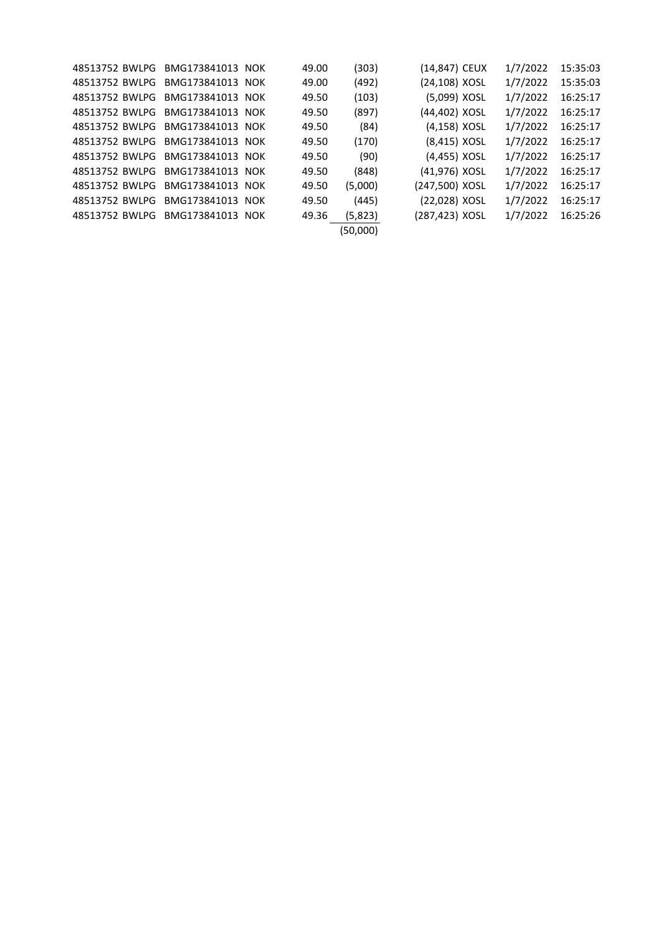| 48513752 BWLPG | BMG173841013 NOK                | 49.00 | (303)    | (14,847) CEUX  | 1/7/2022 | 15:35:03 |
|----------------|---------------------------------|-------|----------|----------------|----------|----------|
|                | 48513752 BWLPG BMG173841013 NOK | 49.00 | (492)    | (24,108) XOSL  | 1/7/2022 | 15:35:03 |
|                | 48513752 BWLPG BMG173841013 NOK | 49.50 | (103)    | (5,099) XOSL   | 1/7/2022 | 16:25:17 |
|                | 48513752 BWLPG BMG173841013 NOK | 49.50 | (897)    | (44,402) XOSL  | 1/7/2022 | 16:25:17 |
|                | 48513752 BWLPG BMG173841013 NOK | 49.50 | (84)     | (4,158) XOSL   | 1/7/2022 | 16:25:17 |
|                | 48513752 BWLPG BMG173841013 NOK | 49.50 | (170)    | (8,415) XOSL   | 1/7/2022 | 16:25:17 |
|                | 48513752 BWLPG BMG173841013 NOK | 49.50 | (90)     | (4,455) XOSL   | 1/7/2022 | 16:25:17 |
|                | 48513752 BWLPG BMG173841013 NOK | 49.50 | (848)    | (41,976) XOSL  | 1/7/2022 | 16:25:17 |
|                | 48513752 BWLPG BMG173841013 NOK | 49.50 | (5,000)  | (247,500) XOSL | 1/7/2022 | 16:25:17 |
|                | 48513752 BWLPG BMG173841013 NOK | 49.50 | (445)    | (22,028) XOSL  | 1/7/2022 | 16:25:17 |
| 48513752 BWLPG | BMG173841013 NOK                | 49.36 | (5,823)  | (287,423) XOSL | 1/7/2022 | 16:25:26 |
|                |                                 |       | (50,000) |                |          |          |
|                |                                 |       |          |                |          |          |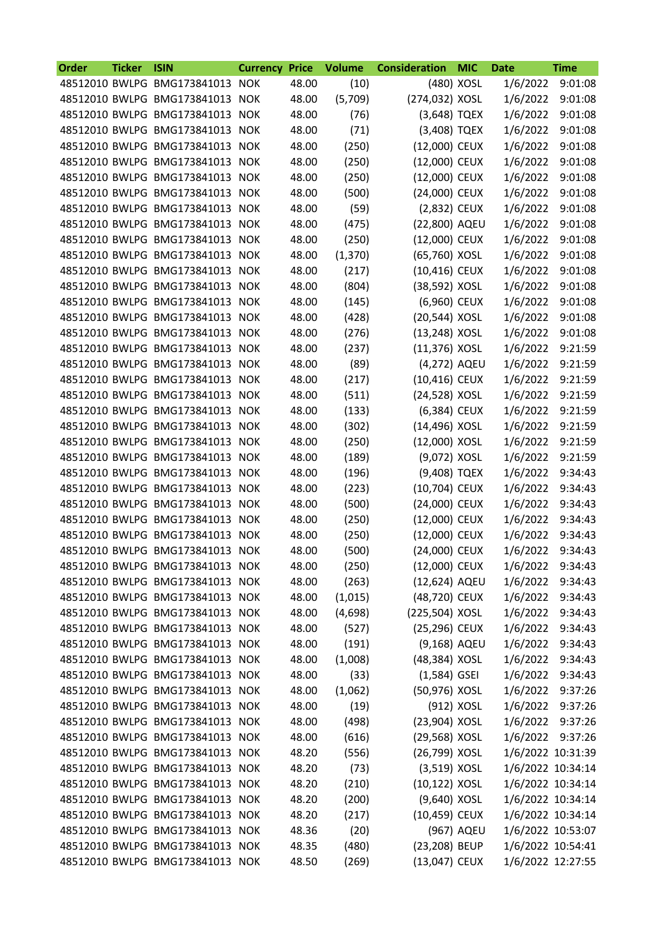| Order | <b>Ticker</b> | <b>ISIN</b>                     | <b>Currency</b> | <b>Price</b> | <b>Volume</b> | <b>Consideration</b> | <b>MIC</b> | <b>Date</b>       | <b>Time</b> |
|-------|---------------|---------------------------------|-----------------|--------------|---------------|----------------------|------------|-------------------|-------------|
|       |               | 48512010 BWLPG BMG173841013 NOK |                 | 48.00        | (10)          |                      | (480) XOSL | 1/6/2022          | 9:01:08     |
|       |               | 48512010 BWLPG BMG173841013 NOK |                 | 48.00        | (5,709)       | (274,032) XOSL       |            | 1/6/2022          | 9:01:08     |
|       |               | 48512010 BWLPG BMG173841013 NOK |                 | 48.00        | (76)          | (3,648) TQEX         |            | 1/6/2022          | 9:01:08     |
|       |               | 48512010 BWLPG BMG173841013 NOK |                 | 48.00        | (71)          | (3,408) TQEX         |            | 1/6/2022          | 9:01:08     |
|       |               | 48512010 BWLPG BMG173841013 NOK |                 | 48.00        | (250)         | (12,000) CEUX        |            | 1/6/2022          | 9:01:08     |
|       |               | 48512010 BWLPG BMG173841013 NOK |                 | 48.00        | (250)         | (12,000) CEUX        |            | 1/6/2022          | 9:01:08     |
|       |               | 48512010 BWLPG BMG173841013 NOK |                 | 48.00        | (250)         | (12,000) CEUX        |            | 1/6/2022          | 9:01:08     |
|       |               | 48512010 BWLPG BMG173841013 NOK |                 | 48.00        | (500)         | (24,000) CEUX        |            | 1/6/2022          | 9:01:08     |
|       |               | 48512010 BWLPG BMG173841013 NOK |                 | 48.00        | (59)          | (2,832) CEUX         |            | 1/6/2022          | 9:01:08     |
|       |               | 48512010 BWLPG BMG173841013 NOK |                 | 48.00        | (475)         | (22,800) AQEU        |            | 1/6/2022          | 9:01:08     |
|       |               | 48512010 BWLPG BMG173841013 NOK |                 | 48.00        | (250)         | (12,000) CEUX        |            | 1/6/2022          | 9:01:08     |
|       |               | 48512010 BWLPG BMG173841013 NOK |                 | 48.00        | (1, 370)      | (65,760) XOSL        |            | 1/6/2022          | 9:01:08     |
|       |               | 48512010 BWLPG BMG173841013 NOK |                 | 48.00        | (217)         | (10,416) CEUX        |            | 1/6/2022          | 9:01:08     |
|       |               | 48512010 BWLPG BMG173841013 NOK |                 | 48.00        | (804)         | (38,592) XOSL        |            | 1/6/2022          | 9:01:08     |
|       |               | 48512010 BWLPG BMG173841013 NOK |                 | 48.00        | (145)         | (6,960) CEUX         |            | 1/6/2022          | 9:01:08     |
|       |               | 48512010 BWLPG BMG173841013 NOK |                 | 48.00        | (428)         | (20,544) XOSL        |            | 1/6/2022          | 9:01:08     |
|       |               | 48512010 BWLPG BMG173841013 NOK |                 | 48.00        | (276)         | (13,248) XOSL        |            | 1/6/2022          | 9:01:08     |
|       |               | 48512010 BWLPG BMG173841013 NOK |                 | 48.00        | (237)         | (11,376) XOSL        |            | 1/6/2022          | 9:21:59     |
|       |               | 48512010 BWLPG BMG173841013 NOK |                 | 48.00        | (89)          | (4,272) AQEU         |            | 1/6/2022          | 9:21:59     |
|       |               | 48512010 BWLPG BMG173841013 NOK |                 | 48.00        | (217)         | (10,416) CEUX        |            | 1/6/2022          | 9:21:59     |
|       |               | 48512010 BWLPG BMG173841013 NOK |                 | 48.00        | (511)         | (24,528) XOSL        |            | 1/6/2022          | 9:21:59     |
|       |               | 48512010 BWLPG BMG173841013 NOK |                 | 48.00        | (133)         | (6,384) CEUX         |            | 1/6/2022          | 9:21:59     |
|       |               | 48512010 BWLPG BMG173841013 NOK |                 | 48.00        | (302)         | (14,496) XOSL        |            | 1/6/2022          | 9:21:59     |
|       |               | 48512010 BWLPG BMG173841013 NOK |                 | 48.00        | (250)         | (12,000) XOSL        |            | 1/6/2022          | 9:21:59     |
|       |               | 48512010 BWLPG BMG173841013 NOK |                 | 48.00        | (189)         | (9,072) XOSL         |            | 1/6/2022          | 9:21:59     |
|       |               | 48512010 BWLPG BMG173841013 NOK |                 | 48.00        | (196)         | (9,408) TQEX         |            | 1/6/2022          | 9:34:43     |
|       |               | 48512010 BWLPG BMG173841013 NOK |                 | 48.00        | (223)         | (10,704) CEUX        |            | 1/6/2022          | 9:34:43     |
|       |               | 48512010 BWLPG BMG173841013 NOK |                 | 48.00        | (500)         | (24,000) CEUX        |            | 1/6/2022          | 9:34:43     |
|       |               | 48512010 BWLPG BMG173841013 NOK |                 | 48.00        | (250)         | (12,000) CEUX        |            | 1/6/2022          | 9:34:43     |
|       |               | 48512010 BWLPG BMG173841013 NOK |                 | 48.00        | (250)         | (12,000) CEUX        |            | 1/6/2022          | 9:34:43     |
|       |               | 48512010 BWLPG BMG173841013 NOK |                 | 48.00        | (500)         | (24,000) CEUX        |            | 1/6/2022          | 9:34:43     |
|       |               | 48512010 BWLPG BMG173841013 NOK |                 | 48.00        | (250)         | (12,000) CEUX        |            | 1/6/2022          | 9:34:43     |
|       |               | 48512010 BWLPG BMG173841013 NOK |                 | 48.00        | (263)         | (12,624) AQEU        |            | 1/6/2022          | 9:34:43     |
|       |               | 48512010 BWLPG BMG173841013 NOK |                 | 48.00        | (1,015)       | (48,720) CEUX        |            | 1/6/2022          | 9:34:43     |
|       |               | 48512010 BWLPG BMG173841013 NOK |                 | 48.00        | (4,698)       | (225,504) XOSL       |            | 1/6/2022          | 9:34:43     |
|       |               | 48512010 BWLPG BMG173841013 NOK |                 | 48.00        | (527)         | (25,296) CEUX        |            | 1/6/2022          | 9:34:43     |
|       |               | 48512010 BWLPG BMG173841013 NOK |                 | 48.00        | (191)         | (9,168) AQEU         |            | 1/6/2022          | 9:34:43     |
|       |               | 48512010 BWLPG BMG173841013 NOK |                 | 48.00        | (1,008)       | (48,384) XOSL        |            | 1/6/2022          | 9:34:43     |
|       |               | 48512010 BWLPG BMG173841013 NOK |                 | 48.00        | (33)          | $(1,584)$ GSEI       |            | 1/6/2022          | 9:34:43     |
|       |               | 48512010 BWLPG BMG173841013 NOK |                 | 48.00        | (1,062)       | (50,976) XOSL        |            | 1/6/2022          | 9:37:26     |
|       |               | 48512010 BWLPG BMG173841013 NOK |                 | 48.00        | (19)          |                      | (912) XOSL | 1/6/2022          | 9:37:26     |
|       |               | 48512010 BWLPG BMG173841013 NOK |                 | 48.00        | (498)         | (23,904) XOSL        |            | 1/6/2022          | 9:37:26     |
|       |               | 48512010 BWLPG BMG173841013 NOK |                 | 48.00        | (616)         | (29,568) XOSL        |            | 1/6/2022          | 9:37:26     |
|       |               | 48512010 BWLPG BMG173841013 NOK |                 | 48.20        | (556)         | (26,799) XOSL        |            | 1/6/2022 10:31:39 |             |
|       |               | 48512010 BWLPG BMG173841013 NOK |                 | 48.20        | (73)          | $(3,519)$ XOSL       |            | 1/6/2022 10:34:14 |             |
|       |               | 48512010 BWLPG BMG173841013 NOK |                 | 48.20        | (210)         | (10,122) XOSL        |            | 1/6/2022 10:34:14 |             |
|       |               | 48512010 BWLPG BMG173841013 NOK |                 | 48.20        | (200)         | (9,640) XOSL         |            | 1/6/2022 10:34:14 |             |
|       |               | 48512010 BWLPG BMG173841013 NOK |                 | 48.20        | (217)         | (10,459) CEUX        |            | 1/6/2022 10:34:14 |             |
|       |               | 48512010 BWLPG BMG173841013 NOK |                 | 48.36        | (20)          |                      | (967) AQEU | 1/6/2022 10:53:07 |             |
|       |               | 48512010 BWLPG BMG173841013 NOK |                 | 48.35        | (480)         | (23,208) BEUP        |            | 1/6/2022 10:54:41 |             |
|       |               | 48512010 BWLPG BMG173841013 NOK |                 | 48.50        | (269)         | (13,047) CEUX        |            | 1/6/2022 12:27:55 |             |
|       |               |                                 |                 |              |               |                      |            |                   |             |